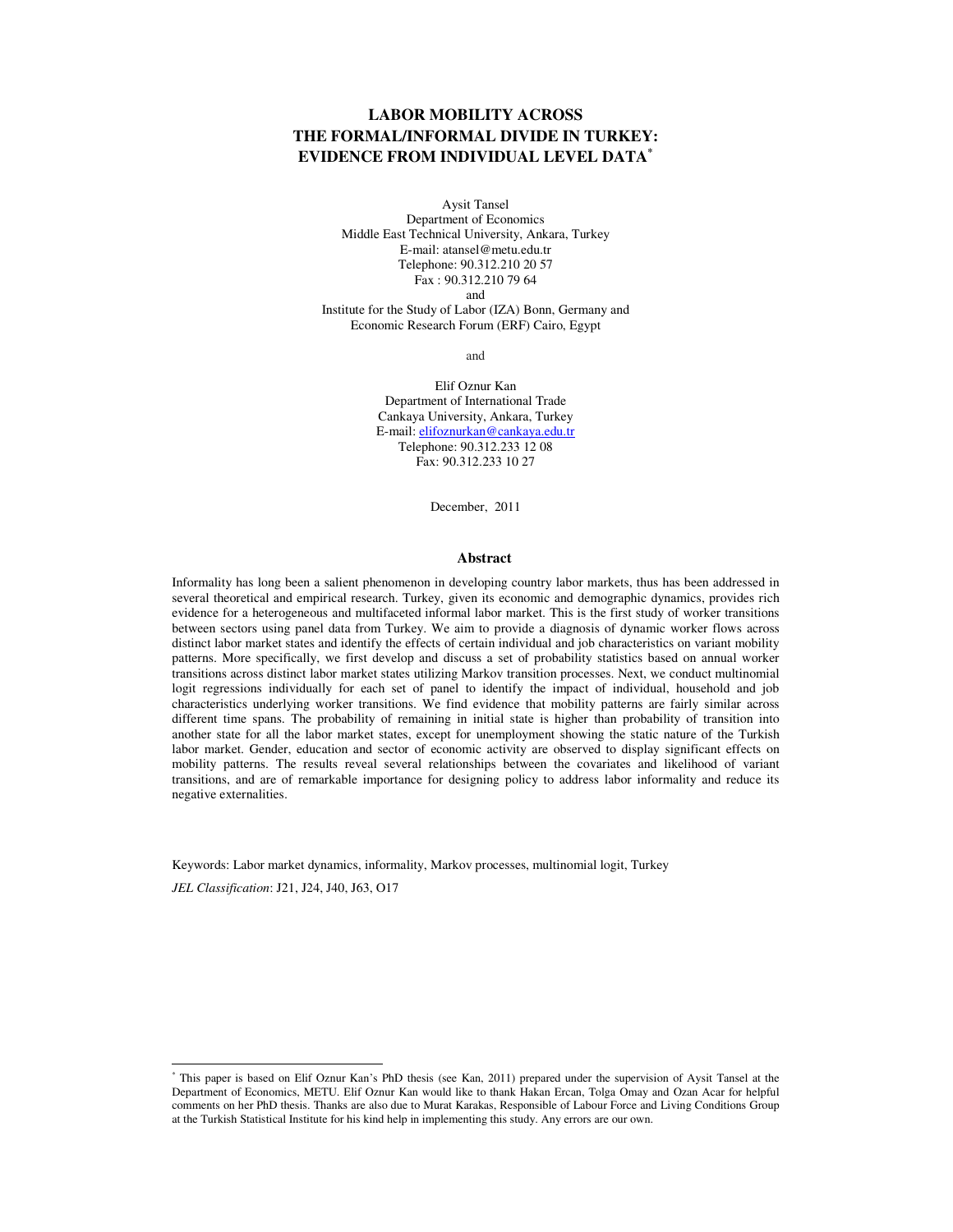# **LABOR MOBILITY ACROSS THE FORMAL/INFORMAL DIVIDE IN TURKEY: EVIDENCE FROM INDIVIDUAL LEVEL DATA\***

Aysit Tansel Department of Economics Middle East Technical University, Ankara, Turkey E-mail: atansel@metu.edu.tr Telephone: 90.312.210 20 57 Fax : 90.312.210 79 64 and Institute for the Study of Labor (IZA) Bonn, Germany and

Economic Research Forum (ERF) Cairo, Egypt

and

Elif Oznur Kan Department of International Trade Cankaya University, Ankara, Turkey E-mail: elifoznurkan@cankaya.edu.tr Telephone: 90.312.233 12 08 Fax: 90.312.233 10 27

December, 2011

#### **Abstract**

Informality has long been a salient phenomenon in developing country labor markets, thus has been addressed in several theoretical and empirical research. Turkey, given its economic and demographic dynamics, provides rich evidence for a heterogeneous and multifaceted informal labor market. This is the first study of worker transitions between sectors using panel data from Turkey. We aim to provide a diagnosis of dynamic worker flows across distinct labor market states and identify the effects of certain individual and job characteristics on variant mobility patterns. More specifically, we first develop and discuss a set of probability statistics based on annual worker transitions across distinct labor market states utilizing Markov transition processes. Next, we conduct multinomial logit regressions individually for each set of panel to identify the impact of individual, household and job characteristics underlying worker transitions. We find evidence that mobility patterns are fairly similar across different time spans. The probability of remaining in initial state is higher than probability of transition into another state for all the labor market states, except for unemployment showing the static nature of the Turkish labor market. Gender, education and sector of economic activity are observed to display significant effects on mobility patterns. The results reveal several relationships between the covariates and likelihood of variant transitions, and are of remarkable importance for designing policy to address labor informality and reduce its negative externalities.

Keywords: Labor market dynamics, informality, Markov processes, multinomial logit, Turkey

*JEL Classification*: J21, J24, J40, J63, O17

-

<sup>\*</sup> This paper is based on Elif Oznur Kan's PhD thesis (see Kan, 2011) prepared under the supervision of Aysit Tansel at the Department of Economics, METU. Elif Oznur Kan would like to thank Hakan Ercan, Tolga Omay and Ozan Acar for helpful comments on her PhD thesis. Thanks are also due to Murat Karakas, Responsible of Labour Force and Living Conditions Group at the Turkish Statistical Institute for his kind help in implementing this study. Any errors are our own.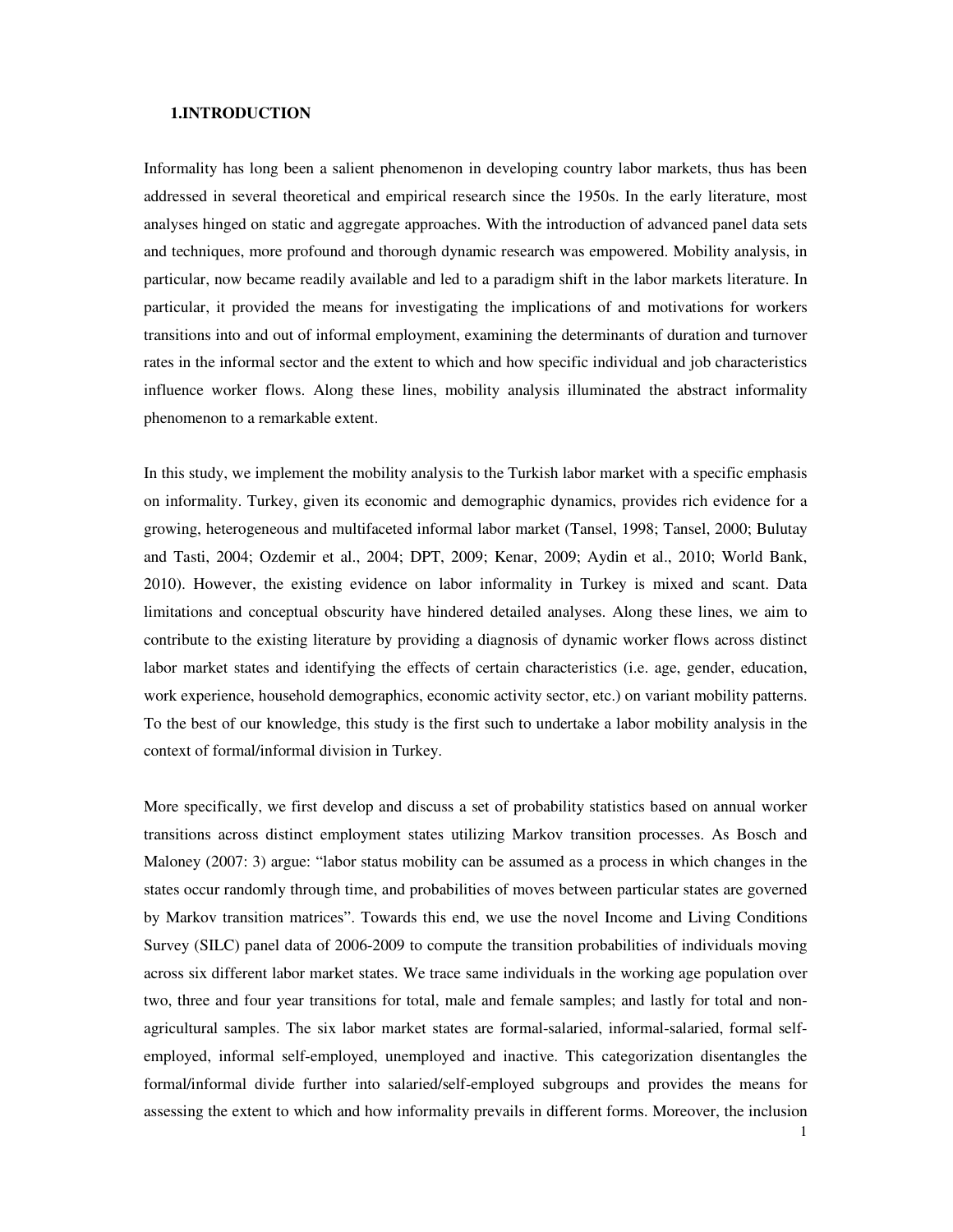# **1.INTRODUCTION**

Informality has long been a salient phenomenon in developing country labor markets, thus has been addressed in several theoretical and empirical research since the 1950s. In the early literature, most analyses hinged on static and aggregate approaches. With the introduction of advanced panel data sets and techniques, more profound and thorough dynamic research was empowered. Mobility analysis, in particular, now became readily available and led to a paradigm shift in the labor markets literature. In particular, it provided the means for investigating the implications of and motivations for workers transitions into and out of informal employment, examining the determinants of duration and turnover rates in the informal sector and the extent to which and how specific individual and job characteristics influence worker flows. Along these lines, mobility analysis illuminated the abstract informality phenomenon to a remarkable extent.

In this study, we implement the mobility analysis to the Turkish labor market with a specific emphasis on informality. Turkey, given its economic and demographic dynamics, provides rich evidence for a growing, heterogeneous and multifaceted informal labor market (Tansel, 1998; Tansel, 2000; Bulutay and Tasti, 2004; Ozdemir et al., 2004; DPT, 2009; Kenar, 2009; Aydin et al., 2010; World Bank, 2010). However, the existing evidence on labor informality in Turkey is mixed and scant. Data limitations and conceptual obscurity have hindered detailed analyses. Along these lines, we aim to contribute to the existing literature by providing a diagnosis of dynamic worker flows across distinct labor market states and identifying the effects of certain characteristics (i.e. age, gender, education, work experience, household demographics, economic activity sector, etc.) on variant mobility patterns. To the best of our knowledge, this study is the first such to undertake a labor mobility analysis in the context of formal/informal division in Turkey.

More specifically, we first develop and discuss a set of probability statistics based on annual worker transitions across distinct employment states utilizing Markov transition processes. As Bosch and Maloney (2007: 3) argue: "labor status mobility can be assumed as a process in which changes in the states occur randomly through time, and probabilities of moves between particular states are governed by Markov transition matrices". Towards this end, we use the novel Income and Living Conditions Survey (SILC) panel data of 2006-2009 to compute the transition probabilities of individuals moving across six different labor market states. We trace same individuals in the working age population over two, three and four year transitions for total, male and female samples; and lastly for total and nonagricultural samples. The six labor market states are formal-salaried, informal-salaried, formal selfemployed, informal self-employed, unemployed and inactive. This categorization disentangles the formal/informal divide further into salaried/self-employed subgroups and provides the means for assessing the extent to which and how informality prevails in different forms. Moreover, the inclusion

1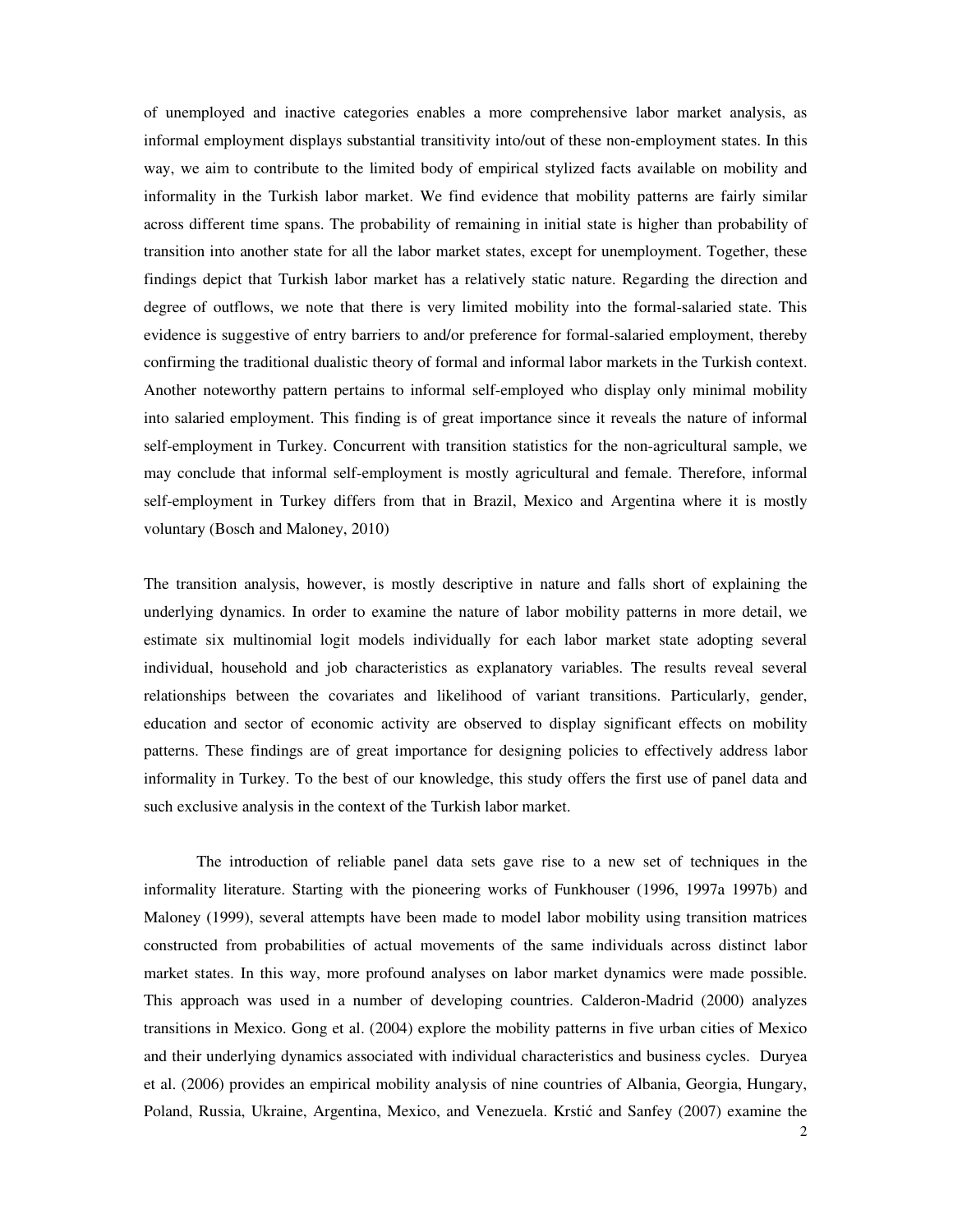of unemployed and inactive categories enables a more comprehensive labor market analysis, as informal employment displays substantial transitivity into/out of these non-employment states. In this way, we aim to contribute to the limited body of empirical stylized facts available on mobility and informality in the Turkish labor market. We find evidence that mobility patterns are fairly similar across different time spans. The probability of remaining in initial state is higher than probability of transition into another state for all the labor market states, except for unemployment. Together, these findings depict that Turkish labor market has a relatively static nature. Regarding the direction and degree of outflows, we note that there is very limited mobility into the formal-salaried state. This evidence is suggestive of entry barriers to and/or preference for formal-salaried employment, thereby confirming the traditional dualistic theory of formal and informal labor markets in the Turkish context. Another noteworthy pattern pertains to informal self-employed who display only minimal mobility into salaried employment. This finding is of great importance since it reveals the nature of informal self-employment in Turkey. Concurrent with transition statistics for the non-agricultural sample, we may conclude that informal self-employment is mostly agricultural and female. Therefore, informal self-employment in Turkey differs from that in Brazil, Mexico and Argentina where it is mostly voluntary (Bosch and Maloney, 2010)

The transition analysis, however, is mostly descriptive in nature and falls short of explaining the underlying dynamics. In order to examine the nature of labor mobility patterns in more detail, we estimate six multinomial logit models individually for each labor market state adopting several individual, household and job characteristics as explanatory variables. The results reveal several relationships between the covariates and likelihood of variant transitions. Particularly, gender, education and sector of economic activity are observed to display significant effects on mobility patterns. These findings are of great importance for designing policies to effectively address labor informality in Turkey. To the best of our knowledge, this study offers the first use of panel data and such exclusive analysis in the context of the Turkish labor market.

The introduction of reliable panel data sets gave rise to a new set of techniques in the informality literature. Starting with the pioneering works of Funkhouser (1996, 1997a 1997b) and Maloney (1999), several attempts have been made to model labor mobility using transition matrices constructed from probabilities of actual movements of the same individuals across distinct labor market states. In this way, more profound analyses on labor market dynamics were made possible. This approach was used in a number of developing countries. Calderon-Madrid (2000) analyzes transitions in Mexico. Gong et al. (2004) explore the mobility patterns in five urban cities of Mexico and their underlying dynamics associated with individual characteristics and business cycles. Duryea et al. (2006) provides an empirical mobility analysis of nine countries of Albania, Georgia, Hungary, Poland, Russia, Ukraine, Argentina, Mexico, and Venezuela. Krstić and Sanfey (2007) examine the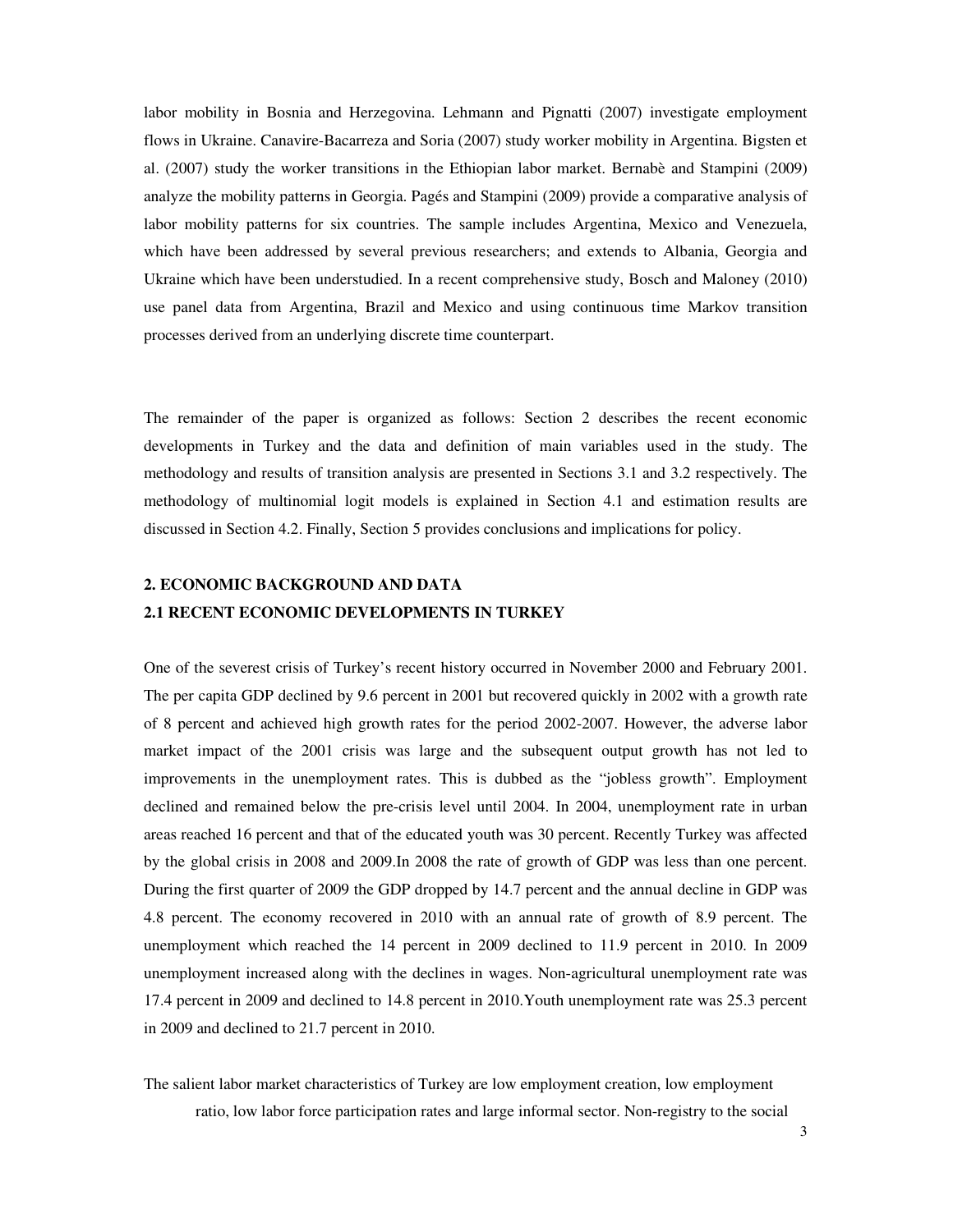labor mobility in Bosnia and Herzegovina. Lehmann and Pignatti (2007) investigate employment flows in Ukraine. Canavire-Bacarreza and Soria (2007) study worker mobility in Argentina. Bigsten et al. (2007) study the worker transitions in the Ethiopian labor market. Bernabè and Stampini (2009) analyze the mobility patterns in Georgia. Pagés and Stampini (2009) provide a comparative analysis of labor mobility patterns for six countries. The sample includes Argentina, Mexico and Venezuela, which have been addressed by several previous researchers; and extends to Albania, Georgia and Ukraine which have been understudied. In a recent comprehensive study, Bosch and Maloney (2010) use panel data from Argentina, Brazil and Mexico and using continuous time Markov transition processes derived from an underlying discrete time counterpart.

The remainder of the paper is organized as follows: Section 2 describes the recent economic developments in Turkey and the data and definition of main variables used in the study. The methodology and results of transition analysis are presented in Sections 3.1 and 3.2 respectively. The methodology of multinomial logit models is explained in Section 4.1 and estimation results are discussed in Section 4.2. Finally, Section 5 provides conclusions and implications for policy.

# **2. ECONOMIC BACKGROUND AND DATA 2.1 RECENT ECONOMIC DEVELOPMENTS IN TURKEY**

One of the severest crisis of Turkey's recent history occurred in November 2000 and February 2001. The per capita GDP declined by 9.6 percent in 2001 but recovered quickly in 2002 with a growth rate of 8 percent and achieved high growth rates for the period 2002-2007. However, the adverse labor market impact of the 2001 crisis was large and the subsequent output growth has not led to improvements in the unemployment rates. This is dubbed as the "jobless growth". Employment declined and remained below the pre-crisis level until 2004. In 2004, unemployment rate in urban areas reached 16 percent and that of the educated youth was 30 percent. Recently Turkey was affected by the global crisis in 2008 and 2009.In 2008 the rate of growth of GDP was less than one percent. During the first quarter of 2009 the GDP dropped by 14.7 percent and the annual decline in GDP was 4.8 percent. The economy recovered in 2010 with an annual rate of growth of 8.9 percent. The unemployment which reached the 14 percent in 2009 declined to 11.9 percent in 2010. In 2009 unemployment increased along with the declines in wages. Non-agricultural unemployment rate was 17.4 percent in 2009 and declined to 14.8 percent in 2010.Youth unemployment rate was 25.3 percent in 2009 and declined to 21.7 percent in 2010.

The salient labor market characteristics of Turkey are low employment creation, low employment ratio, low labor force participation rates and large informal sector. Non-registry to the social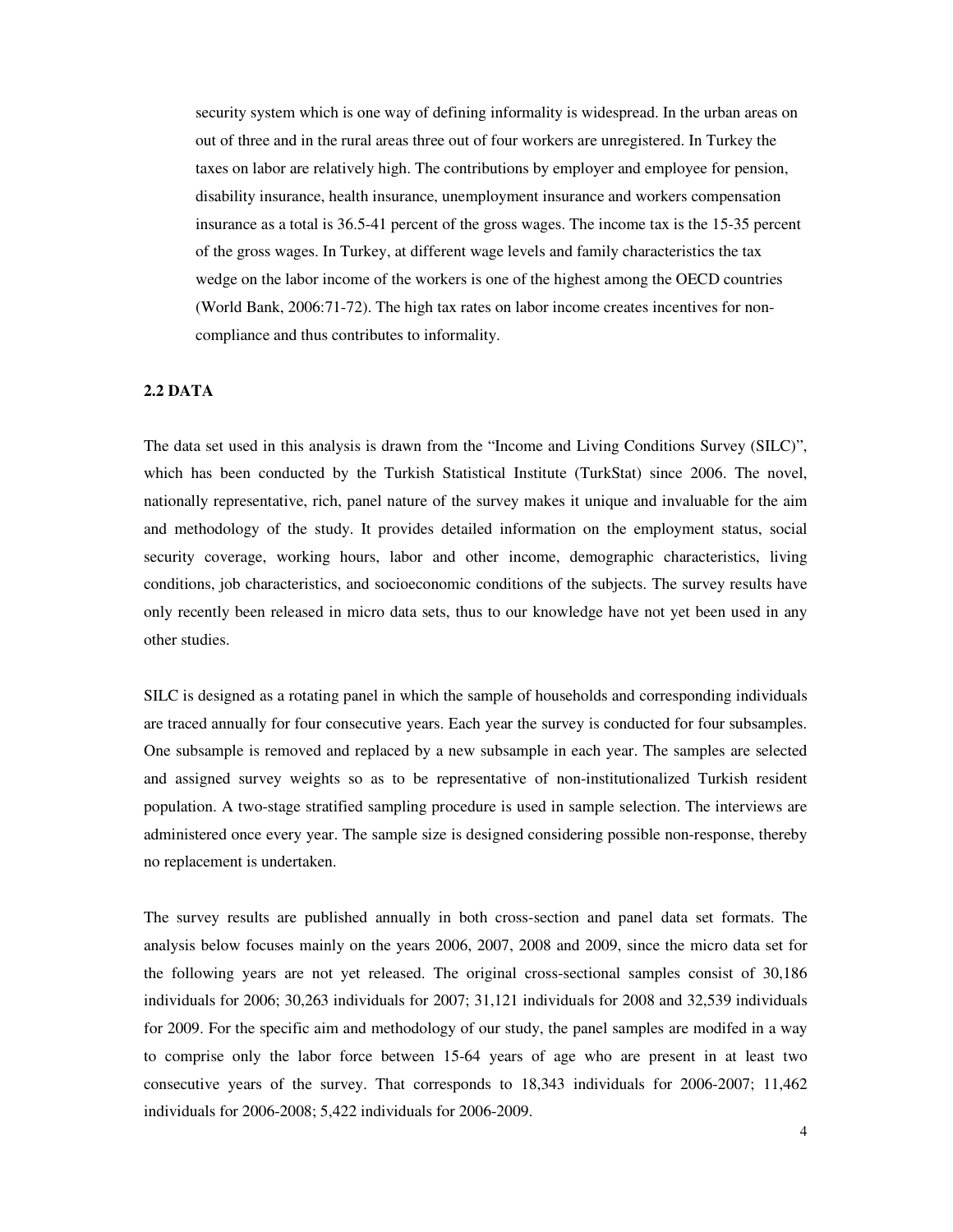security system which is one way of defining informality is widespread. In the urban areas on out of three and in the rural areas three out of four workers are unregistered. In Turkey the taxes on labor are relatively high. The contributions by employer and employee for pension, disability insurance, health insurance, unemployment insurance and workers compensation insurance as a total is 36.5-41 percent of the gross wages. The income tax is the 15-35 percent of the gross wages. In Turkey, at different wage levels and family characteristics the tax wedge on the labor income of the workers is one of the highest among the OECD countries (World Bank, 2006:71-72). The high tax rates on labor income creates incentives for noncompliance and thus contributes to informality.

# **2.2 DATA**

The data set used in this analysis is drawn from the "Income and Living Conditions Survey (SILC)", which has been conducted by the Turkish Statistical Institute (TurkStat) since 2006. The novel, nationally representative, rich, panel nature of the survey makes it unique and invaluable for the aim and methodology of the study. It provides detailed information on the employment status, social security coverage, working hours, labor and other income, demographic characteristics, living conditions, job characteristics, and socioeconomic conditions of the subjects. The survey results have only recently been released in micro data sets, thus to our knowledge have not yet been used in any other studies.

SILC is designed as a rotating panel in which the sample of households and corresponding individuals are traced annually for four consecutive years. Each year the survey is conducted for four subsamples. One subsample is removed and replaced by a new subsample in each year. The samples are selected and assigned survey weights so as to be representative of non-institutionalized Turkish resident population. A two-stage stratified sampling procedure is used in sample selection. The interviews are administered once every year. The sample size is designed considering possible non-response, thereby no replacement is undertaken.

The survey results are published annually in both cross-section and panel data set formats. The analysis below focuses mainly on the years 2006, 2007, 2008 and 2009, since the micro data set for the following years are not yet released. The original cross-sectional samples consist of 30,186 individuals for 2006; 30,263 individuals for 2007; 31,121 individuals for 2008 and 32,539 individuals for 2009. For the specific aim and methodology of our study, the panel samples are modifed in a way to comprise only the labor force between 15-64 years of age who are present in at least two consecutive years of the survey. That corresponds to 18,343 individuals for 2006-2007; 11,462 individuals for 2006-2008; 5,422 individuals for 2006-2009.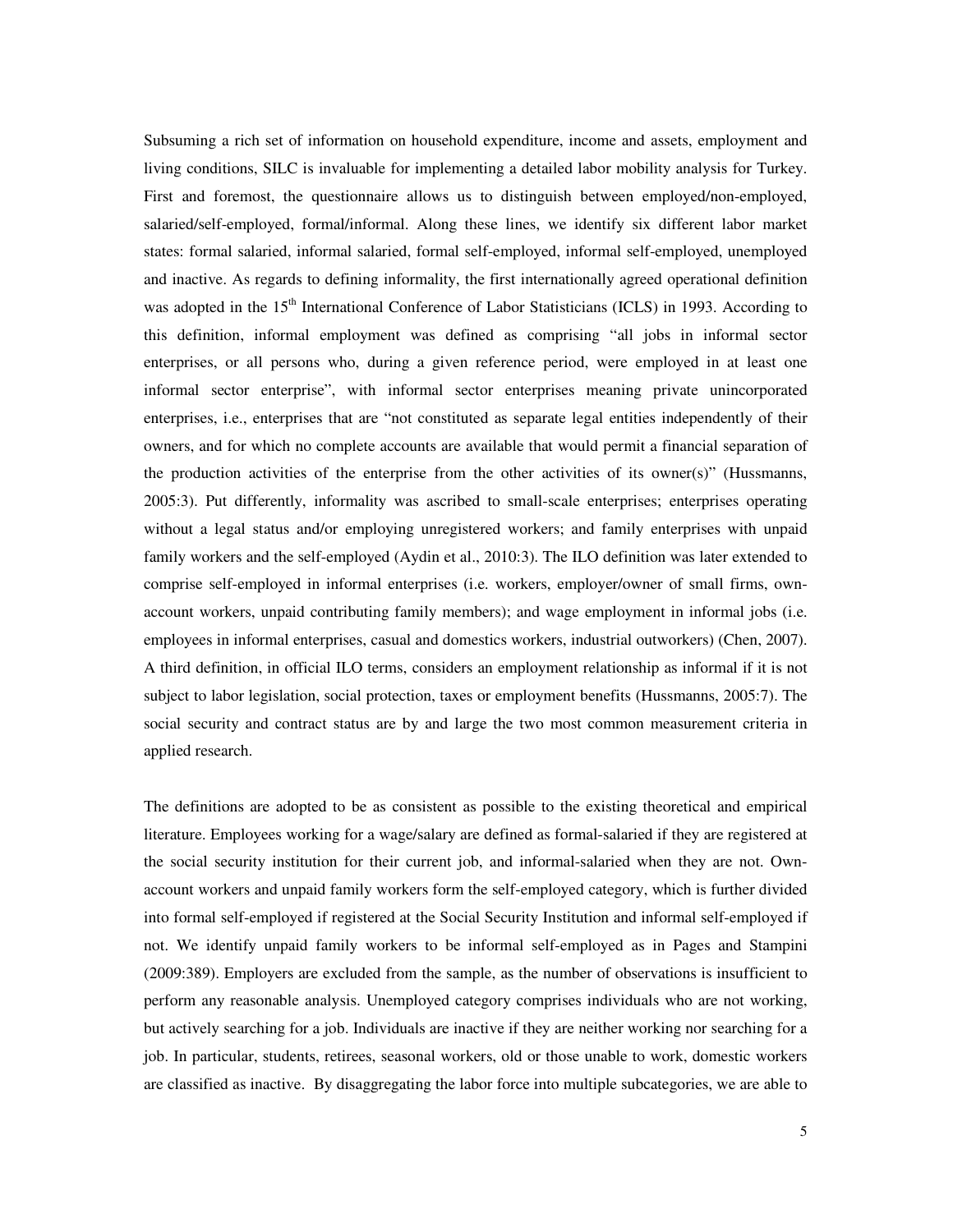Subsuming a rich set of information on household expenditure, income and assets, employment and living conditions, SILC is invaluable for implementing a detailed labor mobility analysis for Turkey. First and foremost, the questionnaire allows us to distinguish between employed/non-employed, salaried/self-employed, formal/informal. Along these lines, we identify six different labor market states: formal salaried, informal salaried, formal self-employed, informal self-employed, unemployed and inactive. As regards to defining informality, the first internationally agreed operational definition was adopted in the 15<sup>th</sup> International Conference of Labor Statisticians (ICLS) in 1993. According to this definition, informal employment was defined as comprising "all jobs in informal sector enterprises, or all persons who, during a given reference period, were employed in at least one informal sector enterprise", with informal sector enterprises meaning private unincorporated enterprises, i.e., enterprises that are "not constituted as separate legal entities independently of their owners, and for which no complete accounts are available that would permit a financial separation of the production activities of the enterprise from the other activities of its owner(s)" (Hussmanns, 2005:3). Put differently, informality was ascribed to small-scale enterprises; enterprises operating without a legal status and/or employing unregistered workers; and family enterprises with unpaid family workers and the self-employed (Aydin et al., 2010:3). The ILO definition was later extended to comprise self-employed in informal enterprises (i.e. workers, employer/owner of small firms, ownaccount workers, unpaid contributing family members); and wage employment in informal jobs (i.e. employees in informal enterprises, casual and domestics workers, industrial outworkers) (Chen, 2007). A third definition, in official ILO terms, considers an employment relationship as informal if it is not subject to labor legislation, social protection, taxes or employment benefits (Hussmanns, 2005:7). The social security and contract status are by and large the two most common measurement criteria in applied research.

The definitions are adopted to be as consistent as possible to the existing theoretical and empirical literature. Employees working for a wage/salary are defined as formal-salaried if they are registered at the social security institution for their current job, and informal-salaried when they are not. Ownaccount workers and unpaid family workers form the self-employed category, which is further divided into formal self-employed if registered at the Social Security Institution and informal self-employed if not. We identify unpaid family workers to be informal self-employed as in Pages and Stampini (2009:389). Employers are excluded from the sample, as the number of observations is insufficient to perform any reasonable analysis. Unemployed category comprises individuals who are not working, but actively searching for a job. Individuals are inactive if they are neither working nor searching for a job. In particular, students, retirees, seasonal workers, old or those unable to work, domestic workers are classified as inactive. By disaggregating the labor force into multiple subcategories, we are able to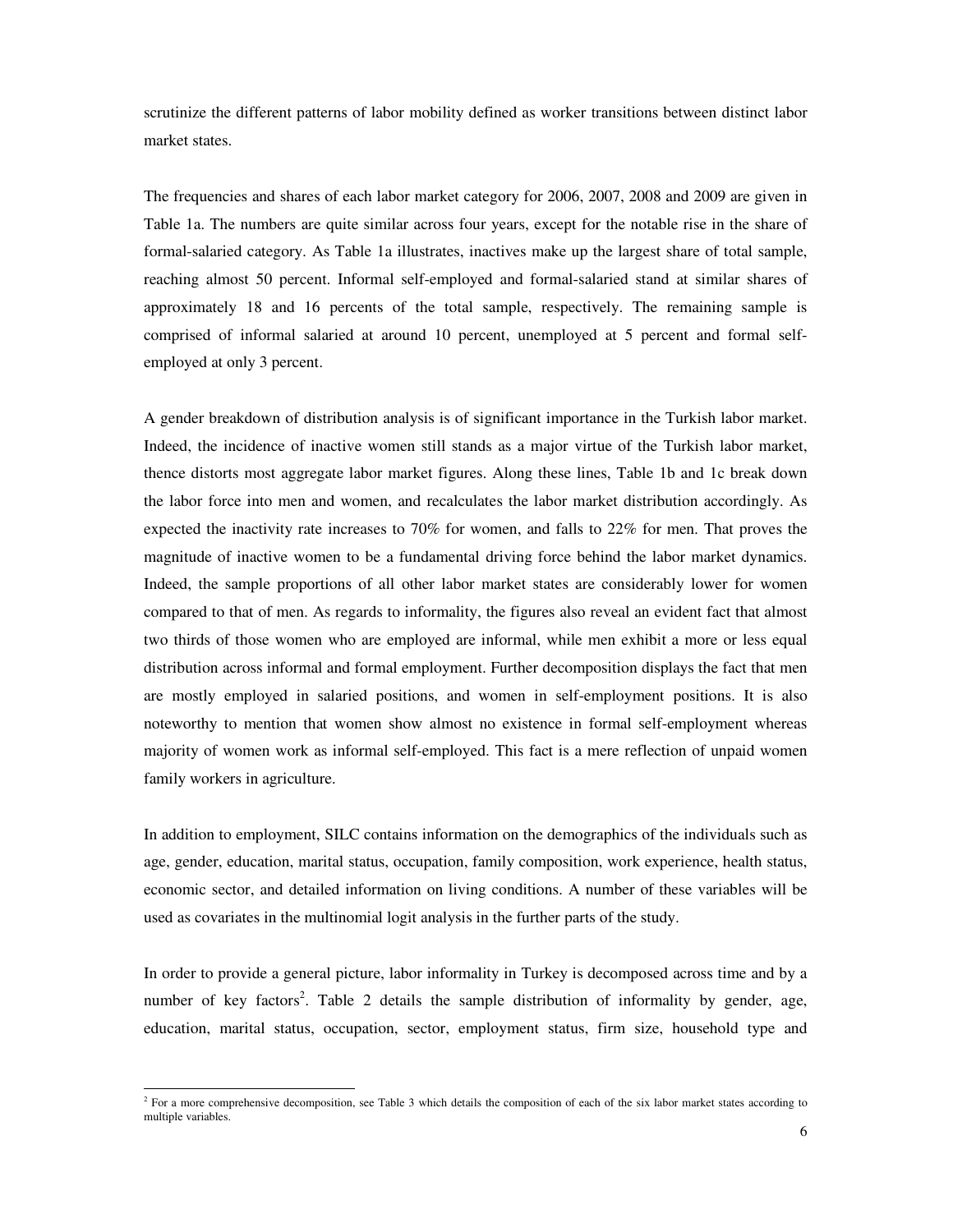scrutinize the different patterns of labor mobility defined as worker transitions between distinct labor market states.

The frequencies and shares of each labor market category for 2006, 2007, 2008 and 2009 are given in Table 1a. The numbers are quite similar across four years, except for the notable rise in the share of formal-salaried category. As Table 1a illustrates, inactives make up the largest share of total sample, reaching almost 50 percent. Informal self-employed and formal-salaried stand at similar shares of approximately 18 and 16 percents of the total sample, respectively. The remaining sample is comprised of informal salaried at around 10 percent, unemployed at 5 percent and formal selfemployed at only 3 percent.

A gender breakdown of distribution analysis is of significant importance in the Turkish labor market. Indeed, the incidence of inactive women still stands as a major virtue of the Turkish labor market, thence distorts most aggregate labor market figures. Along these lines, Table 1b and 1c break down the labor force into men and women, and recalculates the labor market distribution accordingly. As expected the inactivity rate increases to 70% for women, and falls to 22% for men. That proves the magnitude of inactive women to be a fundamental driving force behind the labor market dynamics. Indeed, the sample proportions of all other labor market states are considerably lower for women compared to that of men. As regards to informality, the figures also reveal an evident fact that almost two thirds of those women who are employed are informal, while men exhibit a more or less equal distribution across informal and formal employment. Further decomposition displays the fact that men are mostly employed in salaried positions, and women in self-employment positions. It is also noteworthy to mention that women show almost no existence in formal self-employment whereas majority of women work as informal self-employed. This fact is a mere reflection of unpaid women family workers in agriculture.

In addition to employment, SILC contains information on the demographics of the individuals such as age, gender, education, marital status, occupation, family composition, work experience, health status, economic sector, and detailed information on living conditions. A number of these variables will be used as covariates in the multinomial logit analysis in the further parts of the study.

In order to provide a general picture, labor informality in Turkey is decomposed across time and by a number of key factors<sup>2</sup>. Table 2 details the sample distribution of informality by gender, age, education, marital status, occupation, sector, employment status, firm size, household type and

The a more comprehensive decomposition, see Table 3 which details the composition of each of the six labor market states according to  $\frac{1}{2}$  For a more comprehensive decomposition, see Table 3 which details the composit multiple variables.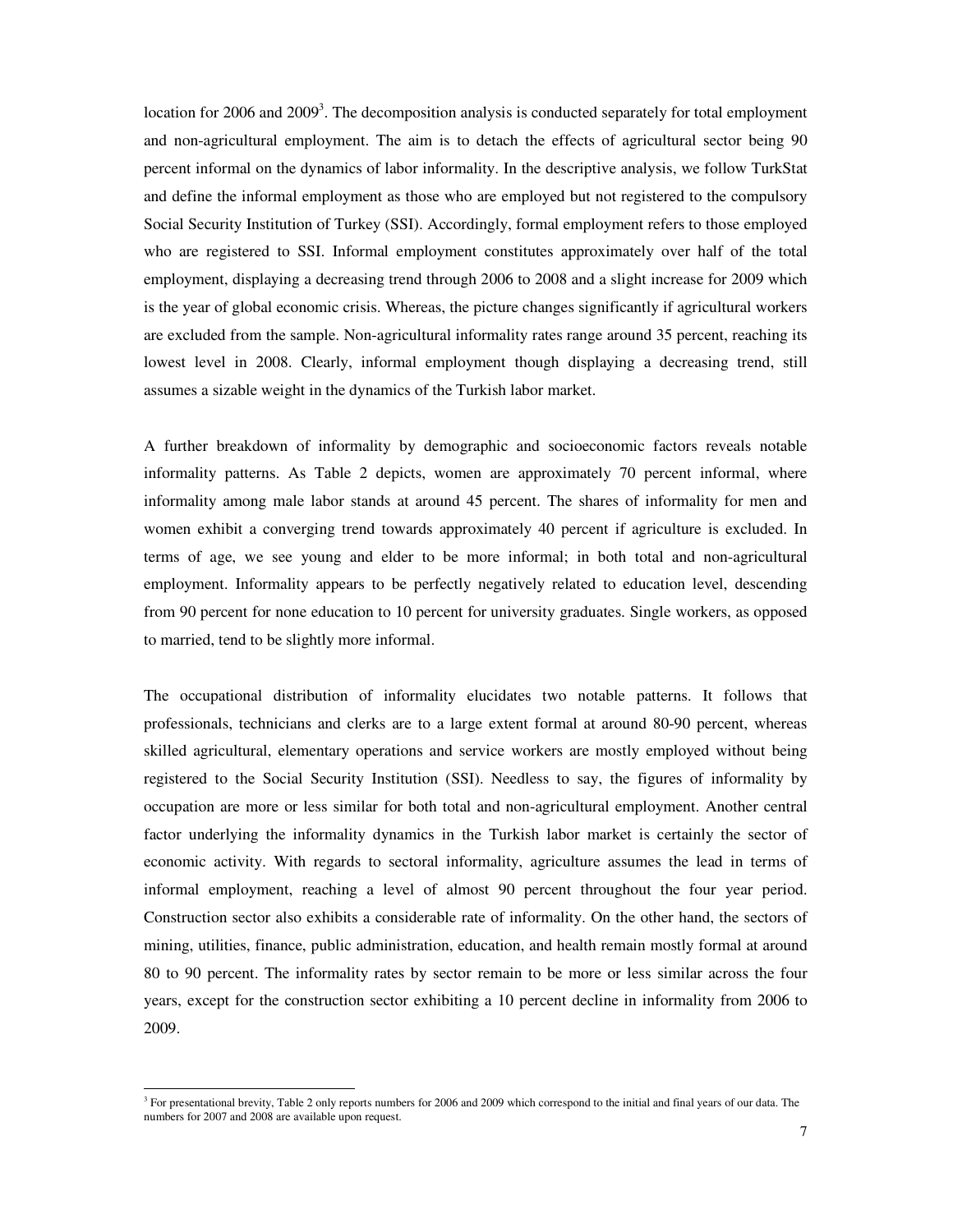location for 2006 and 2009<sup>3</sup>. The decomposition analysis is conducted separately for total employment and non-agricultural employment. The aim is to detach the effects of agricultural sector being 90 percent informal on the dynamics of labor informality. In the descriptive analysis, we follow TurkStat and define the informal employment as those who are employed but not registered to the compulsory Social Security Institution of Turkey (SSI). Accordingly, formal employment refers to those employed who are registered to SSI. Informal employment constitutes approximately over half of the total employment, displaying a decreasing trend through 2006 to 2008 and a slight increase for 2009 which is the year of global economic crisis. Whereas, the picture changes significantly if agricultural workers are excluded from the sample. Non-agricultural informality rates range around 35 percent, reaching its lowest level in 2008. Clearly, informal employment though displaying a decreasing trend, still assumes a sizable weight in the dynamics of the Turkish labor market.

A further breakdown of informality by demographic and socioeconomic factors reveals notable informality patterns. As Table 2 depicts, women are approximately 70 percent informal, where informality among male labor stands at around 45 percent. The shares of informality for men and women exhibit a converging trend towards approximately 40 percent if agriculture is excluded. In terms of age, we see young and elder to be more informal; in both total and non-agricultural employment. Informality appears to be perfectly negatively related to education level, descending from 90 percent for none education to 10 percent for university graduates. Single workers, as opposed to married, tend to be slightly more informal.

The occupational distribution of informality elucidates two notable patterns. It follows that professionals, technicians and clerks are to a large extent formal at around 80-90 percent, whereas skilled agricultural, elementary operations and service workers are mostly employed without being registered to the Social Security Institution (SSI). Needless to say, the figures of informality by occupation are more or less similar for both total and non-agricultural employment. Another central factor underlying the informality dynamics in the Turkish labor market is certainly the sector of economic activity. With regards to sectoral informality, agriculture assumes the lead in terms of informal employment, reaching a level of almost 90 percent throughout the four year period. Construction sector also exhibits a considerable rate of informality. On the other hand, the sectors of mining, utilities, finance, public administration, education, and health remain mostly formal at around 80 to 90 percent. The informality rates by sector remain to be more or less similar across the four years, except for the construction sector exhibiting a 10 percent decline in informality from 2006 to 2009.

-

<sup>&</sup>lt;sup>3</sup> For presentational brevity, Table 2 only reports numbers for 2006 and 2009 which correspond to the initial and final years of our data. The numbers for 2007 and 2008 are available upon request.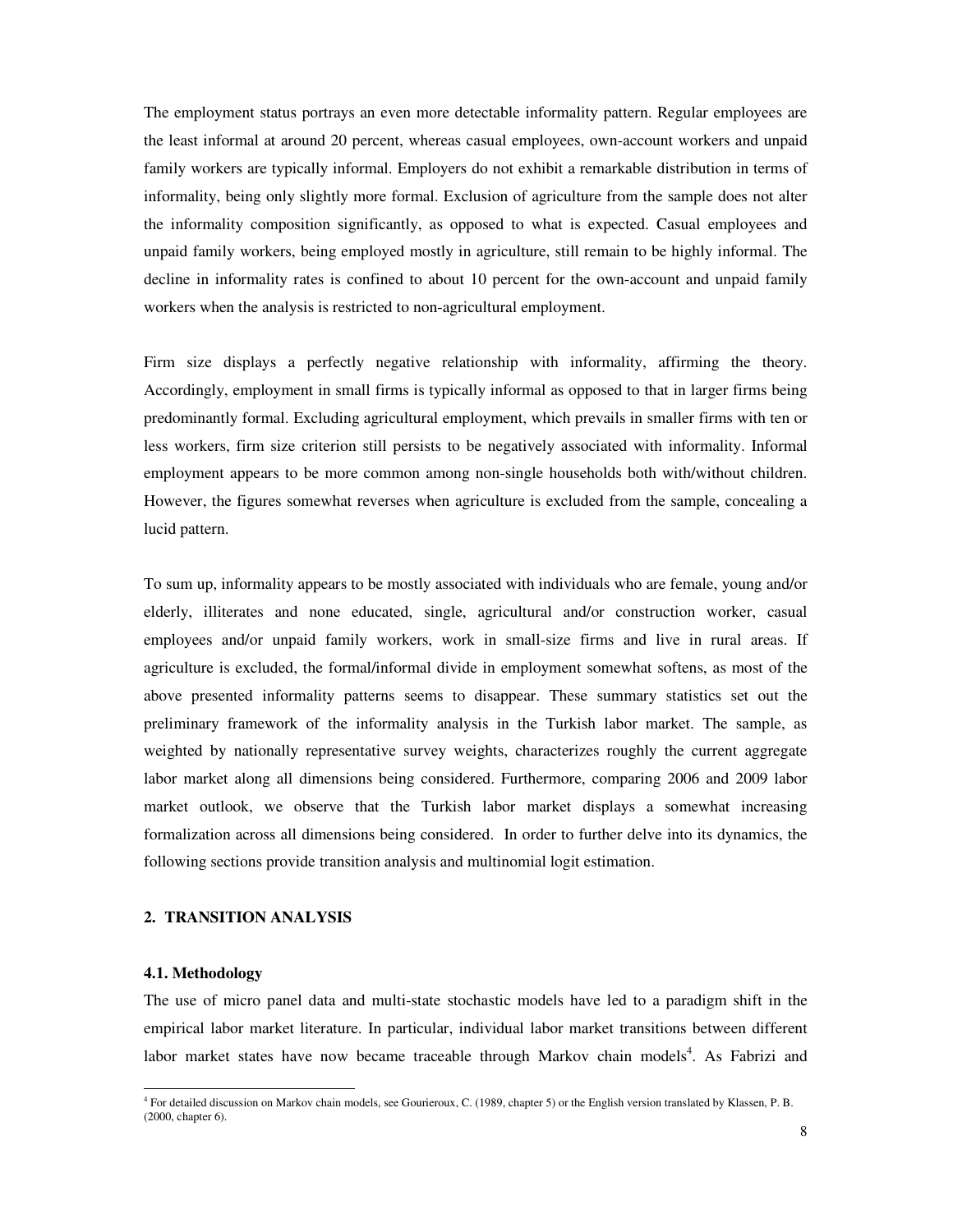The employment status portrays an even more detectable informality pattern. Regular employees are the least informal at around 20 percent, whereas casual employees, own-account workers and unpaid family workers are typically informal. Employers do not exhibit a remarkable distribution in terms of informality, being only slightly more formal. Exclusion of agriculture from the sample does not alter the informality composition significantly, as opposed to what is expected. Casual employees and unpaid family workers, being employed mostly in agriculture, still remain to be highly informal. The decline in informality rates is confined to about 10 percent for the own-account and unpaid family workers when the analysis is restricted to non-agricultural employment.

Firm size displays a perfectly negative relationship with informality, affirming the theory. Accordingly, employment in small firms is typically informal as opposed to that in larger firms being predominantly formal. Excluding agricultural employment, which prevails in smaller firms with ten or less workers, firm size criterion still persists to be negatively associated with informality. Informal employment appears to be more common among non-single households both with/without children. However, the figures somewhat reverses when agriculture is excluded from the sample, concealing a lucid pattern.

To sum up, informality appears to be mostly associated with individuals who are female, young and/or elderly, illiterates and none educated, single, agricultural and/or construction worker, casual employees and/or unpaid family workers, work in small-size firms and live in rural areas. If agriculture is excluded, the formal/informal divide in employment somewhat softens, as most of the above presented informality patterns seems to disappear. These summary statistics set out the preliminary framework of the informality analysis in the Turkish labor market. The sample, as weighted by nationally representative survey weights, characterizes roughly the current aggregate labor market along all dimensions being considered. Furthermore, comparing 2006 and 2009 labor market outlook, we observe that the Turkish labor market displays a somewhat increasing formalization across all dimensions being considered. In order to further delve into its dynamics, the following sections provide transition analysis and multinomial logit estimation.

# **2. TRANSITION ANALYSIS**

# **4.1. Methodology**

-

The use of micro panel data and multi-state stochastic models have led to a paradigm shift in the empirical labor market literature. In particular, individual labor market transitions between different labor market states have now became traceable through Markov chain models<sup>4</sup>. As Fabrizi and

<sup>4</sup> For detailed discussion on Markov chain models, see Gourieroux, C. (1989, chapter 5) or the English version translated by Klassen, P. B. (2000, chapter 6).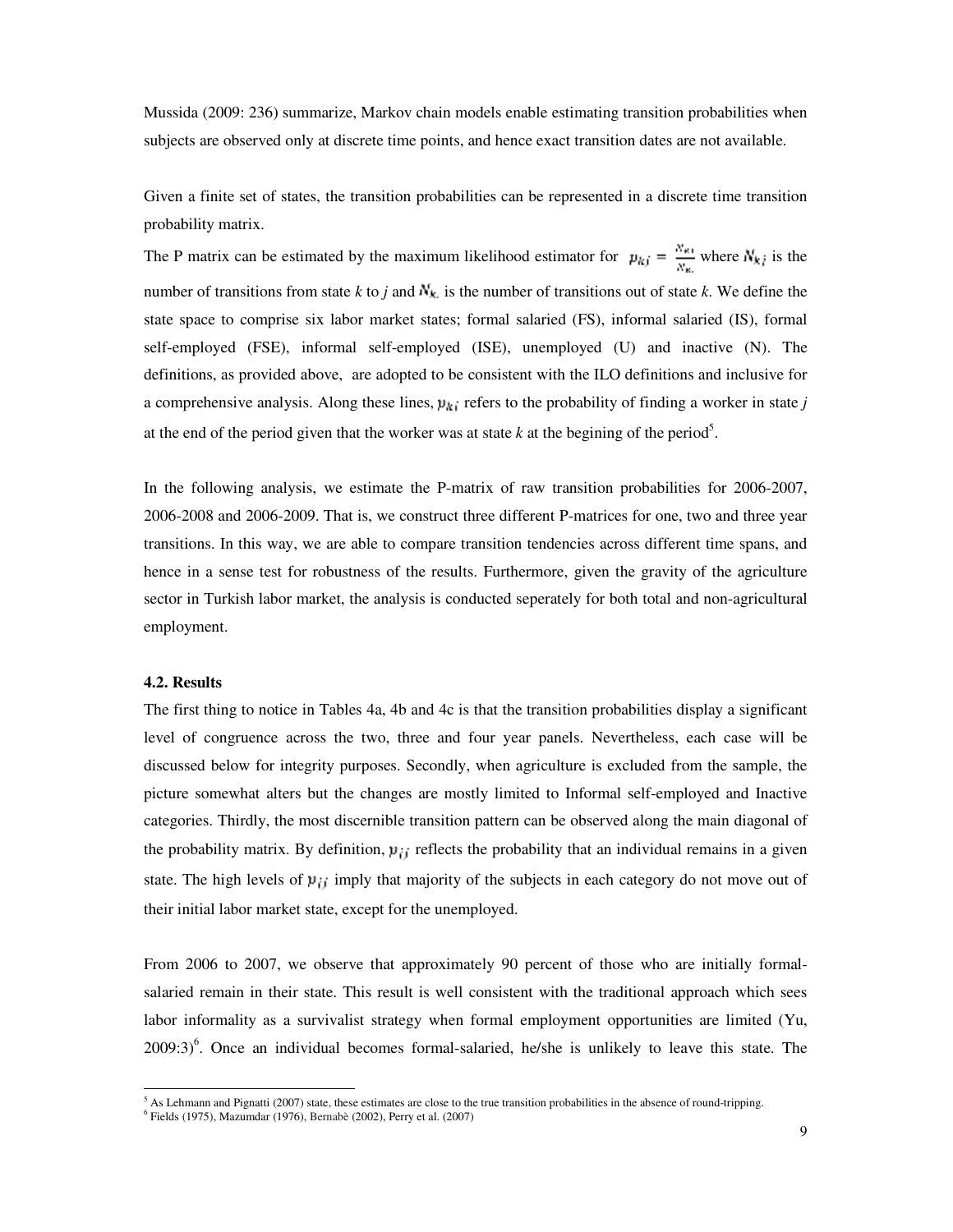Mussida (2009: 236) summarize, Markov chain models enable estimating transition probabilities when subjects are observed only at discrete time points, and hence exact transition dates are not available.

Given a finite set of states, the transition probabilities can be represented in a discrete time transition probability matrix.

The P matrix can be estimated by the maximum likelihood estimator for  $p_{kj} = \frac{N_{ki}}{N_{ki}}$  where  $N_{kj}$  is the number of transitions from state *k* to *j* and  $N_k$  is the number of transitions out of state *k*. We define the state space to comprise six labor market states; formal salaried (FS), informal salaried (IS), formal self-employed (FSE), informal self-employed (ISE), unemployed (U) and inactive (N). The definitions, as provided above, are adopted to be consistent with the ILO definitions and inclusive for a comprehensive analysis. Along these lines,  $p_{ki}$  refers to the probability of finding a worker in state *j* at the end of the period given that the worker was at state  $k$  at the begining of the period<sup>5</sup>.

In the following analysis, we estimate the P-matrix of raw transition probabilities for 2006-2007, 2006-2008 and 2006-2009. That is, we construct three different P-matrices for one, two and three year transitions. In this way, we are able to compare transition tendencies across different time spans, and hence in a sense test for robustness of the results. Furthermore, given the gravity of the agriculture sector in Turkish labor market, the analysis is conducted seperately for both total and non-agricultural employment.

# **4.2. Results**

-

The first thing to notice in Tables 4a, 4b and 4c is that the transition probabilities display a significant level of congruence across the two, three and four year panels. Nevertheless, each case will be discussed below for integrity purposes. Secondly, when agriculture is excluded from the sample, the picture somewhat alters but the changes are mostly limited to Informal self-employed and Inactive categories. Thirdly, the most discernible transition pattern can be observed along the main diagonal of the probability matrix. By definition,  $\mu_{ij}$  reflects the probability that an individual remains in a given state. The high levels of  $\mu_{ij}$  imply that majority of the subjects in each category do not move out of their initial labor market state, except for the unemployed.

From 2006 to 2007, we observe that approximately 90 percent of those who are initially formalsalaried remain in their state. This result is well consistent with the traditional approach which sees labor informality as a survivalist strategy when formal employment opportunities are limited (Yu,  $2009:3$ <sup>6</sup>. Once an individual becomes formal-salaried, he/she is unlikely to leave this state. The

 $<sup>5</sup>$  As Lehmann and Pignatti (2007) state, these estimates are close to the true transition probabilities in the absence of round-tripping.</sup>

<sup>6</sup> Fields (1975), Mazumdar (1976), Bernabè (2002), Perry et al. (2007)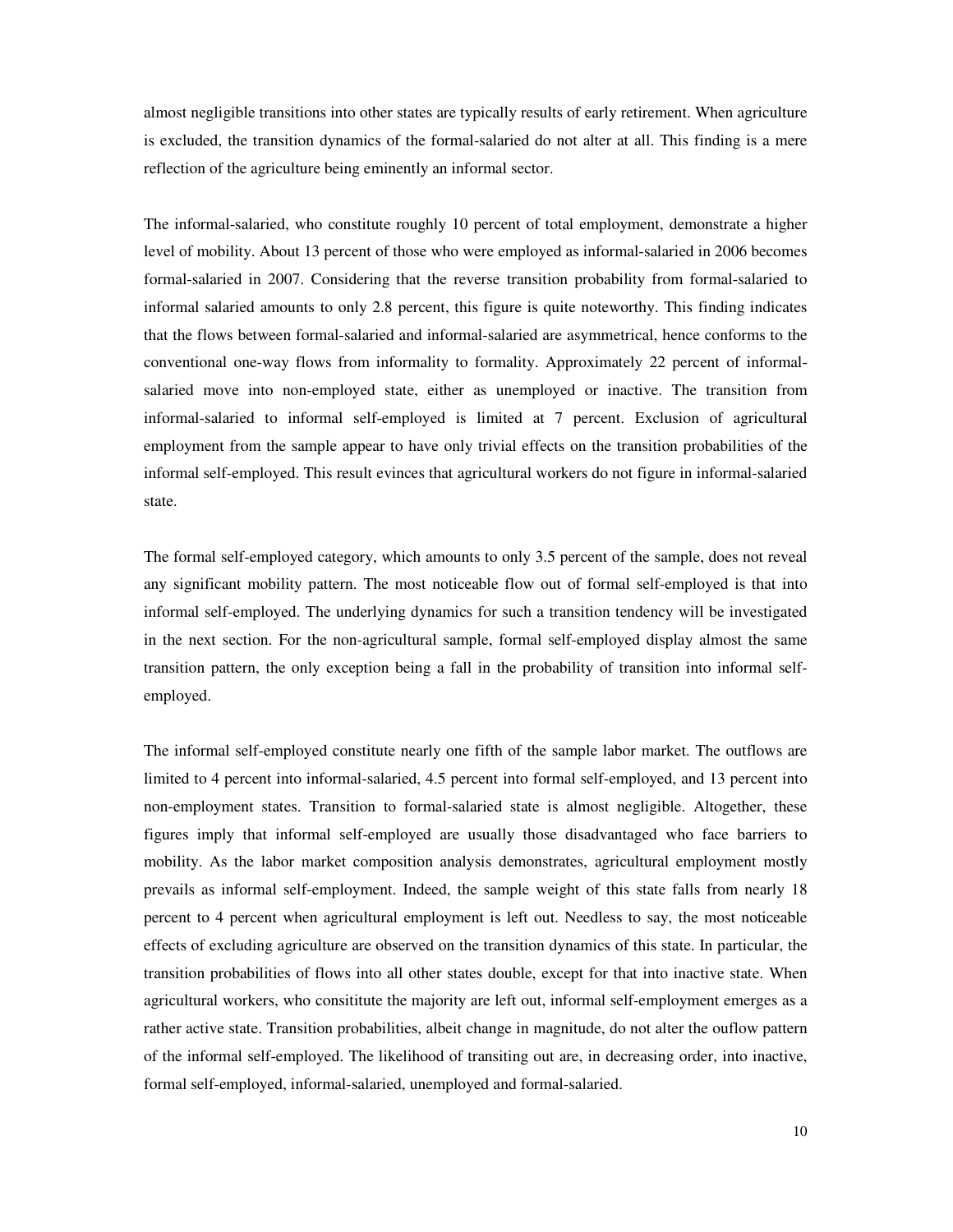almost negligible transitions into other states are typically results of early retirement. When agriculture is excluded, the transition dynamics of the formal-salaried do not alter at all. This finding is a mere reflection of the agriculture being eminently an informal sector.

The informal-salaried, who constitute roughly 10 percent of total employment, demonstrate a higher level of mobility. About 13 percent of those who were employed as informal-salaried in 2006 becomes formal-salaried in 2007. Considering that the reverse transition probability from formal-salaried to informal salaried amounts to only 2.8 percent, this figure is quite noteworthy. This finding indicates that the flows between formal-salaried and informal-salaried are asymmetrical, hence conforms to the conventional one-way flows from informality to formality. Approximately 22 percent of informalsalaried move into non-employed state, either as unemployed or inactive. The transition from informal-salaried to informal self-employed is limited at 7 percent. Exclusion of agricultural employment from the sample appear to have only trivial effects on the transition probabilities of the informal self-employed. This result evinces that agricultural workers do not figure in informal-salaried state.

The formal self-employed category, which amounts to only 3.5 percent of the sample, does not reveal any significant mobility pattern. The most noticeable flow out of formal self-employed is that into informal self-employed. The underlying dynamics for such a transition tendency will be investigated in the next section. For the non-agricultural sample, formal self-employed display almost the same transition pattern, the only exception being a fall in the probability of transition into informal selfemployed.

The informal self-employed constitute nearly one fifth of the sample labor market. The outflows are limited to 4 percent into informal-salaried, 4.5 percent into formal self-employed, and 13 percent into non-employment states. Transition to formal-salaried state is almost negligible. Altogether, these figures imply that informal self-employed are usually those disadvantaged who face barriers to mobility. As the labor market composition analysis demonstrates, agricultural employment mostly prevails as informal self-employment. Indeed, the sample weight of this state falls from nearly 18 percent to 4 percent when agricultural employment is left out. Needless to say, the most noticeable effects of excluding agriculture are observed on the transition dynamics of this state. In particular, the transition probabilities of flows into all other states double, except for that into inactive state. When agricultural workers, who consititute the majority are left out, informal self-employment emerges as a rather active state. Transition probabilities, albeit change in magnitude, do not alter the ouflow pattern of the informal self-employed. The likelihood of transiting out are, in decreasing order, into inactive, formal self-employed, informal-salaried, unemployed and formal-salaried.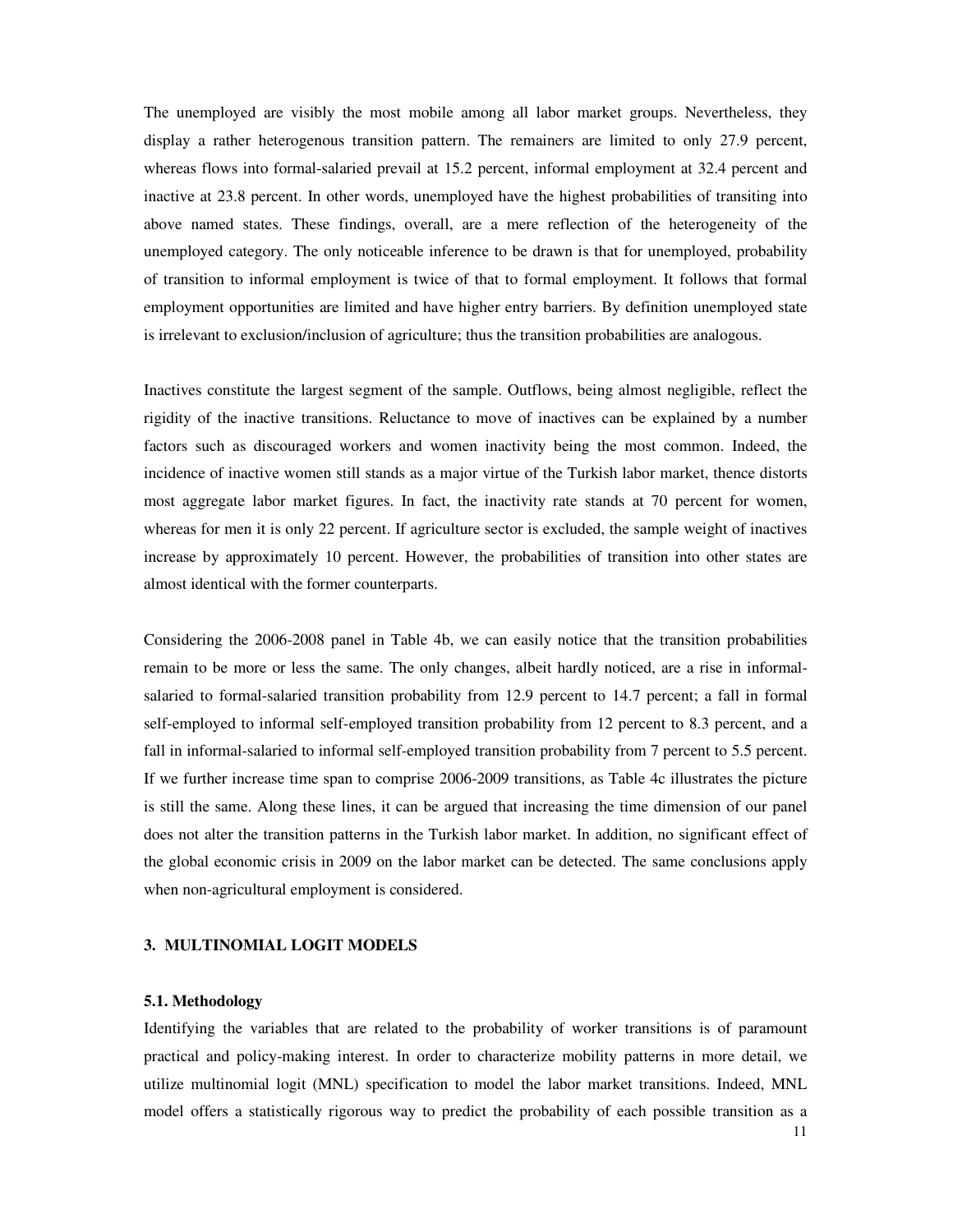The unemployed are visibly the most mobile among all labor market groups. Nevertheless, they display a rather heterogenous transition pattern. The remainers are limited to only 27.9 percent, whereas flows into formal-salaried prevail at 15.2 percent, informal employment at 32.4 percent and inactive at 23.8 percent. In other words, unemployed have the highest probabilities of transiting into above named states. These findings, overall, are a mere reflection of the heterogeneity of the unemployed category. The only noticeable inference to be drawn is that for unemployed, probability of transition to informal employment is twice of that to formal employment. It follows that formal employment opportunities are limited and have higher entry barriers. By definition unemployed state is irrelevant to exclusion/inclusion of agriculture; thus the transition probabilities are analogous.

Inactives constitute the largest segment of the sample. Outflows, being almost negligible, reflect the rigidity of the inactive transitions. Reluctance to move of inactives can be explained by a number factors such as discouraged workers and women inactivity being the most common. Indeed, the incidence of inactive women still stands as a major virtue of the Turkish labor market, thence distorts most aggregate labor market figures. In fact, the inactivity rate stands at 70 percent for women, whereas for men it is only 22 percent. If agriculture sector is excluded, the sample weight of inactives increase by approximately 10 percent. However, the probabilities of transition into other states are almost identical with the former counterparts.

Considering the 2006-2008 panel in Table 4b, we can easily notice that the transition probabilities remain to be more or less the same. The only changes, albeit hardly noticed, are a rise in informalsalaried to formal-salaried transition probability from 12.9 percent to 14.7 percent; a fall in formal self-employed to informal self-employed transition probability from 12 percent to 8.3 percent, and a fall in informal-salaried to informal self-employed transition probability from 7 percent to 5.5 percent. If we further increase time span to comprise 2006-2009 transitions, as Table 4c illustrates the picture is still the same. Along these lines, it can be argued that increasing the time dimension of our panel does not alter the transition patterns in the Turkish labor market. In addition, no significant effect of the global economic crisis in 2009 on the labor market can be detected. The same conclusions apply when non-agricultural employment is considered.

# **3. MULTINOMIAL LOGIT MODELS**

# **5.1. Methodology**

Identifying the variables that are related to the probability of worker transitions is of paramount practical and policy-making interest. In order to characterize mobility patterns in more detail, we utilize multinomial logit (MNL) specification to model the labor market transitions. Indeed, MNL model offers a statistically rigorous way to predict the probability of each possible transition as a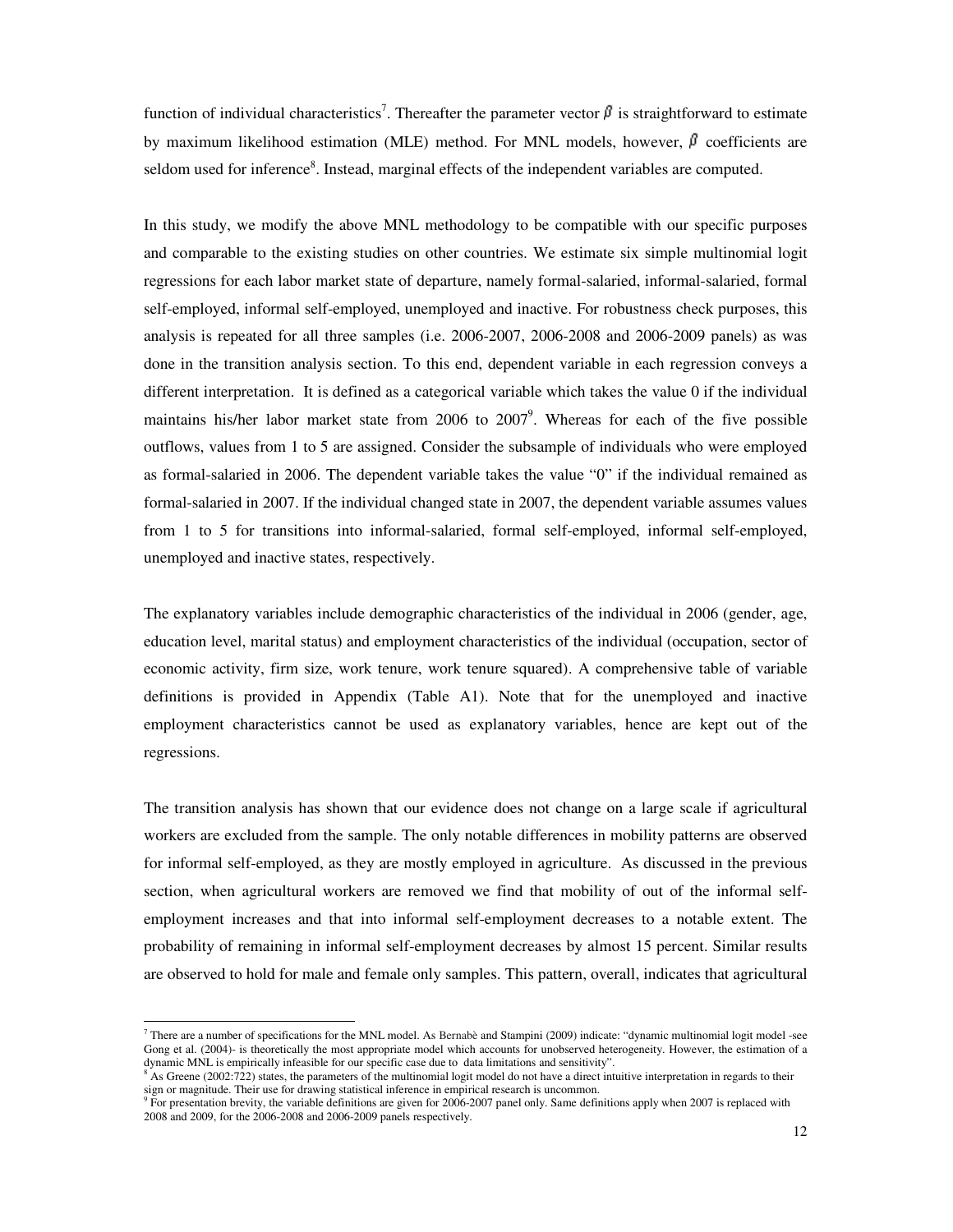function of individual characteristics<sup>7</sup>. Thereafter the parameter vector  $\beta$  is straightforward to estimate by maximum likelihood estimation (MLE) method. For MNL models, however,  $\beta$  coefficients are seldom used for inference<sup>8</sup>. Instead, marginal effects of the independent variables are computed.

In this study, we modify the above MNL methodology to be compatible with our specific purposes and comparable to the existing studies on other countries. We estimate six simple multinomial logit regressions for each labor market state of departure, namely formal-salaried, informal-salaried, formal self-employed, informal self-employed, unemployed and inactive. For robustness check purposes, this analysis is repeated for all three samples (i.e. 2006-2007, 2006-2008 and 2006-2009 panels) as was done in the transition analysis section. To this end, dependent variable in each regression conveys a different interpretation. It is defined as a categorical variable which takes the value 0 if the individual maintains his/her labor market state from  $2006$  to  $2007$ <sup>9</sup>. Whereas for each of the five possible outflows, values from 1 to 5 are assigned. Consider the subsample of individuals who were employed as formal-salaried in 2006. The dependent variable takes the value "0" if the individual remained as formal-salaried in 2007. If the individual changed state in 2007, the dependent variable assumes values from 1 to 5 for transitions into informal-salaried, formal self-employed, informal self-employed, unemployed and inactive states, respectively.

The explanatory variables include demographic characteristics of the individual in 2006 (gender, age, education level, marital status) and employment characteristics of the individual (occupation, sector of economic activity, firm size, work tenure, work tenure squared). A comprehensive table of variable definitions is provided in Appendix (Table A1). Note that for the unemployed and inactive employment characteristics cannot be used as explanatory variables, hence are kept out of the regressions.

The transition analysis has shown that our evidence does not change on a large scale if agricultural workers are excluded from the sample. The only notable differences in mobility patterns are observed for informal self-employed, as they are mostly employed in agriculture. As discussed in the previous section, when agricultural workers are removed we find that mobility of out of the informal selfemployment increases and that into informal self-employment decreases to a notable extent. The probability of remaining in informal self-employment decreases by almost 15 percent. Similar results are observed to hold for male and female only samples. This pattern, overall, indicates that agricultural

 7 There are a number of specifications for the MNL model. As Bernabè and Stampini (2009) indicate: "dynamic multinomial logit model -see Gong et al. (2004)- is theoretically the most appropriate model which accounts for unobserved heterogeneity. However, the estimation of a dynamic MNL is empirically infeasible for our specific case due to data limitations and sensitivity".

 $8$  As Greene (2002:722) states, the parameters of the multinomial logit model do not have a direct intuitive interpretation in regards to their sign or magnitude. Their use for drawing statistical inference in empirical research is uncommon.<br><sup>9</sup> For presentation brevity, the variable definitions are given for 2006-2007 panel only. Same definitions apply when 2007

<sup>2008</sup> and 2009, for the 2006-2008 and 2006-2009 panels respectively.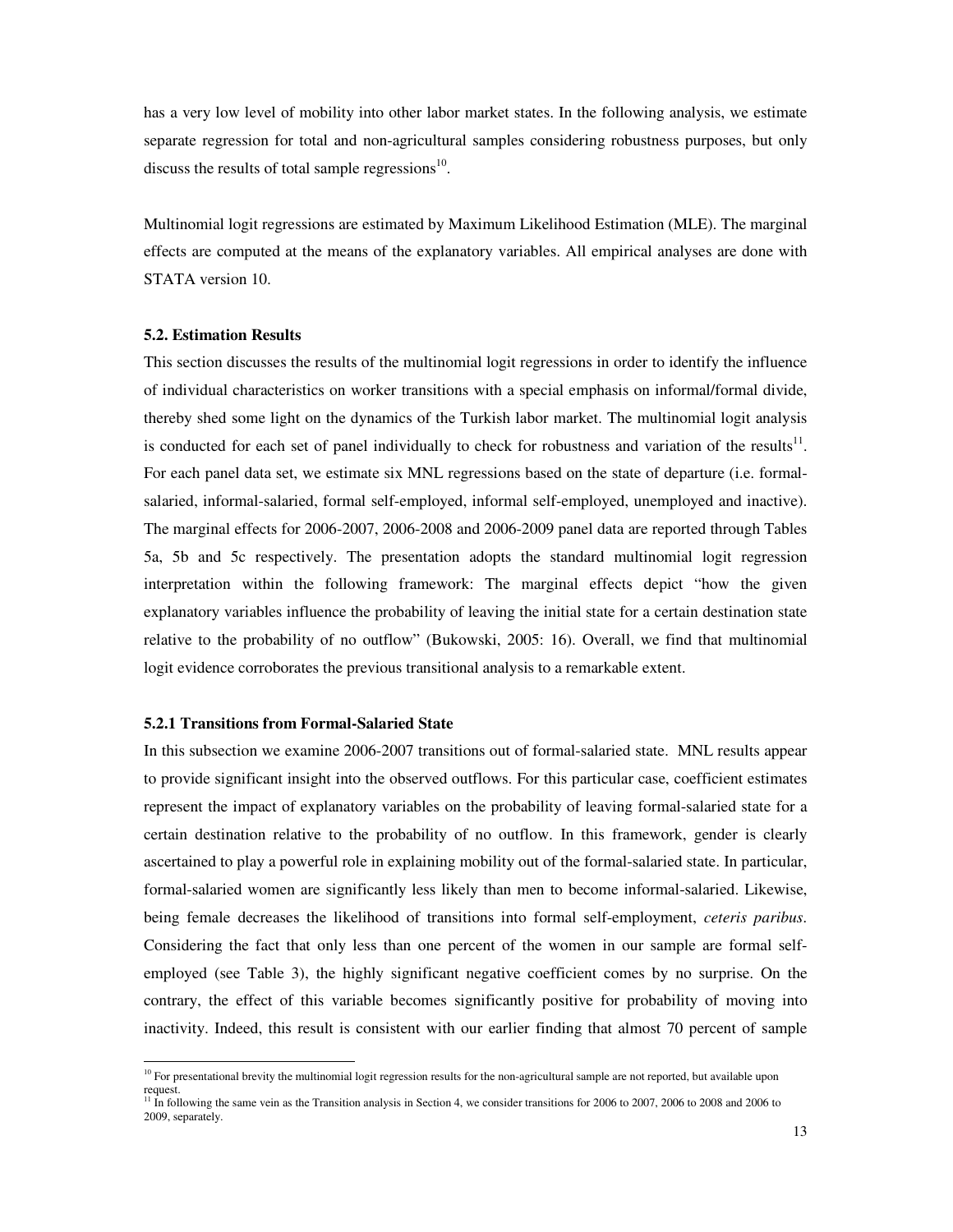has a very low level of mobility into other labor market states. In the following analysis, we estimate separate regression for total and non-agricultural samples considering robustness purposes, but only discuss the results of total sample regressions $^{10}$ .

Multinomial logit regressions are estimated by Maximum Likelihood Estimation (MLE). The marginal effects are computed at the means of the explanatory variables. All empirical analyses are done with STATA version 10.

### **5.2. Estimation Results**

This section discusses the results of the multinomial logit regressions in order to identify the influence of individual characteristics on worker transitions with a special emphasis on informal/formal divide, thereby shed some light on the dynamics of the Turkish labor market. The multinomial logit analysis is conducted for each set of panel individually to check for robustness and variation of the results $^{11}$ . For each panel data set, we estimate six MNL regressions based on the state of departure (i.e. formalsalaried, informal-salaried, formal self-employed, informal self-employed, unemployed and inactive). The marginal effects for 2006-2007, 2006-2008 and 2006-2009 panel data are reported through Tables 5a, 5b and 5c respectively. The presentation adopts the standard multinomial logit regression interpretation within the following framework: The marginal effects depict "how the given explanatory variables influence the probability of leaving the initial state for a certain destination state relative to the probability of no outflow" (Bukowski, 2005: 16). Overall, we find that multinomial logit evidence corroborates the previous transitional analysis to a remarkable extent.

### **5.2.1 Transitions from Formal-Salaried State**

-

In this subsection we examine 2006-2007 transitions out of formal-salaried state. MNL results appear to provide significant insight into the observed outflows. For this particular case, coefficient estimates represent the impact of explanatory variables on the probability of leaving formal-salaried state for a certain destination relative to the probability of no outflow. In this framework, gender is clearly ascertained to play a powerful role in explaining mobility out of the formal-salaried state. In particular, formal-salaried women are significantly less likely than men to become informal-salaried. Likewise, being female decreases the likelihood of transitions into formal self-employment, *ceteris paribus*. Considering the fact that only less than one percent of the women in our sample are formal selfemployed (see Table 3), the highly significant negative coefficient comes by no surprise. On the contrary, the effect of this variable becomes significantly positive for probability of moving into inactivity. Indeed, this result is consistent with our earlier finding that almost 70 percent of sample

 $10$  For presentational brevity the multinomial logit regression results for the non-agricultural sample are not reported, but available upon request.

<sup>&</sup>lt;sup>11</sup> In following the same vein as the Transition analysis in Section 4, we consider transitions for 2006 to 2007, 2006 to 2008 and 2006 to 2009, separately.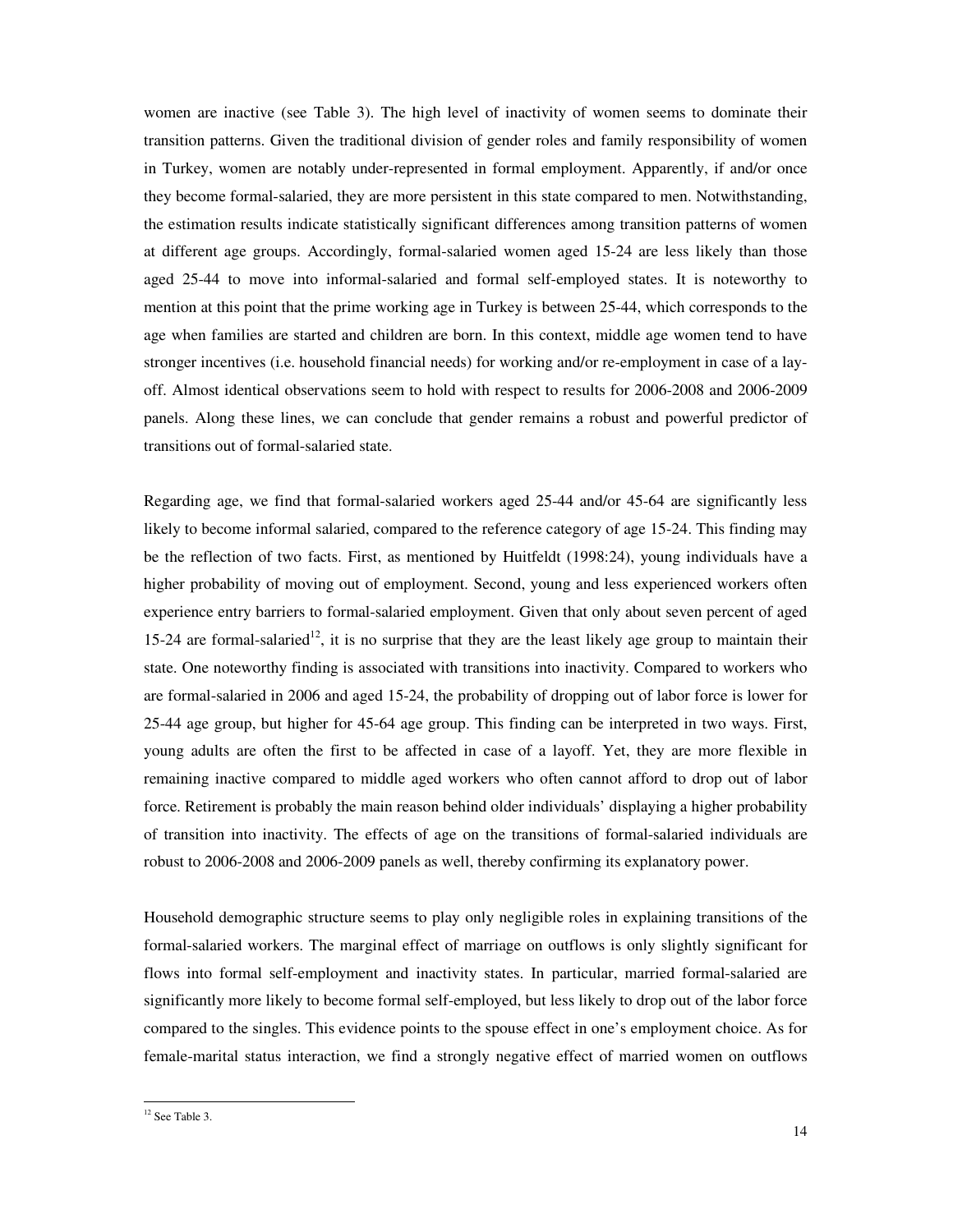women are inactive (see Table 3). The high level of inactivity of women seems to dominate their transition patterns. Given the traditional division of gender roles and family responsibility of women in Turkey, women are notably under-represented in formal employment. Apparently, if and/or once they become formal-salaried, they are more persistent in this state compared to men. Notwithstanding, the estimation results indicate statistically significant differences among transition patterns of women at different age groups. Accordingly, formal-salaried women aged 15-24 are less likely than those aged 25-44 to move into informal-salaried and formal self-employed states. It is noteworthy to mention at this point that the prime working age in Turkey is between 25-44, which corresponds to the age when families are started and children are born. In this context, middle age women tend to have stronger incentives (i.e. household financial needs) for working and/or re-employment in case of a layoff. Almost identical observations seem to hold with respect to results for 2006-2008 and 2006-2009 panels. Along these lines, we can conclude that gender remains a robust and powerful predictor of transitions out of formal-salaried state.

Regarding age, we find that formal-salaried workers aged 25-44 and/or 45-64 are significantly less likely to become informal salaried, compared to the reference category of age 15-24. This finding may be the reflection of two facts. First, as mentioned by Huitfeldt (1998:24), young individuals have a higher probability of moving out of employment. Second, young and less experienced workers often experience entry barriers to formal-salaried employment. Given that only about seven percent of aged 15-24 are formal-salaried<sup>12</sup>, it is no surprise that they are the least likely age group to maintain their state. One noteworthy finding is associated with transitions into inactivity. Compared to workers who are formal-salaried in 2006 and aged 15-24, the probability of dropping out of labor force is lower for 25-44 age group, but higher for 45-64 age group. This finding can be interpreted in two ways. First, young adults are often the first to be affected in case of a layoff. Yet, they are more flexible in remaining inactive compared to middle aged workers who often cannot afford to drop out of labor force. Retirement is probably the main reason behind older individuals' displaying a higher probability of transition into inactivity. The effects of age on the transitions of formal-salaried individuals are robust to 2006-2008 and 2006-2009 panels as well, thereby confirming its explanatory power.

Household demographic structure seems to play only negligible roles in explaining transitions of the formal-salaried workers. The marginal effect of marriage on outflows is only slightly significant for flows into formal self-employment and inactivity states. In particular, married formal-salaried are significantly more likely to become formal self-employed, but less likely to drop out of the labor force compared to the singles. This evidence points to the spouse effect in one's employment choice. As for female-marital status interaction, we find a strongly negative effect of married women on outflows

-

<sup>&</sup>lt;sup>12</sup> See Table 3.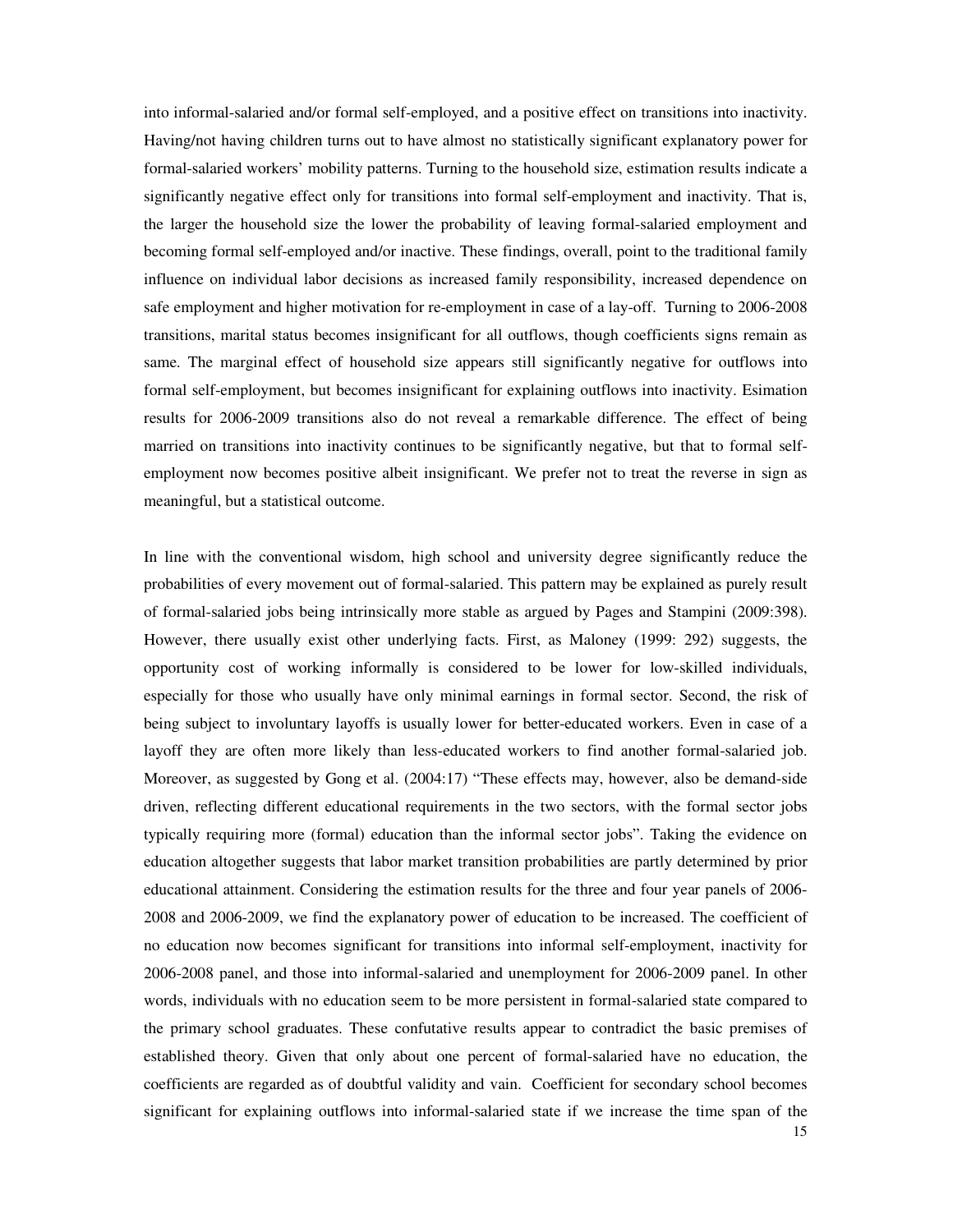into informal-salaried and/or formal self-employed, and a positive effect on transitions into inactivity. Having/not having children turns out to have almost no statistically significant explanatory power for formal-salaried workers' mobility patterns. Turning to the household size, estimation results indicate a significantly negative effect only for transitions into formal self-employment and inactivity. That is, the larger the household size the lower the probability of leaving formal-salaried employment and becoming formal self-employed and/or inactive. These findings, overall, point to the traditional family influence on individual labor decisions as increased family responsibility, increased dependence on safe employment and higher motivation for re-employment in case of a lay-off. Turning to 2006-2008 transitions, marital status becomes insignificant for all outflows, though coefficients signs remain as same. The marginal effect of household size appears still significantly negative for outflows into formal self-employment, but becomes insignificant for explaining outflows into inactivity. Esimation results for 2006-2009 transitions also do not reveal a remarkable difference. The effect of being married on transitions into inactivity continues to be significantly negative, but that to formal selfemployment now becomes positive albeit insignificant. We prefer not to treat the reverse in sign as meaningful, but a statistical outcome.

In line with the conventional wisdom, high school and university degree significantly reduce the probabilities of every movement out of formal-salaried. This pattern may be explained as purely result of formal-salaried jobs being intrinsically more stable as argued by Pages and Stampini (2009:398). However, there usually exist other underlying facts. First, as Maloney (1999: 292) suggests, the opportunity cost of working informally is considered to be lower for low-skilled individuals, especially for those who usually have only minimal earnings in formal sector. Second, the risk of being subject to involuntary layoffs is usually lower for better-educated workers. Even in case of a layoff they are often more likely than less-educated workers to find another formal-salaried job. Moreover, as suggested by Gong et al. (2004:17) "These effects may, however, also be demand-side driven, reflecting different educational requirements in the two sectors, with the formal sector jobs typically requiring more (formal) education than the informal sector jobs". Taking the evidence on education altogether suggests that labor market transition probabilities are partly determined by prior educational attainment. Considering the estimation results for the three and four year panels of 2006- 2008 and 2006-2009, we find the explanatory power of education to be increased. The coefficient of no education now becomes significant for transitions into informal self-employment, inactivity for 2006-2008 panel, and those into informal-salaried and unemployment for 2006-2009 panel. In other words, individuals with no education seem to be more persistent in formal-salaried state compared to the primary school graduates. These confutative results appear to contradict the basic premises of established theory. Given that only about one percent of formal-salaried have no education, the coefficients are regarded as of doubtful validity and vain. Coefficient for secondary school becomes significant for explaining outflows into informal-salaried state if we increase the time span of the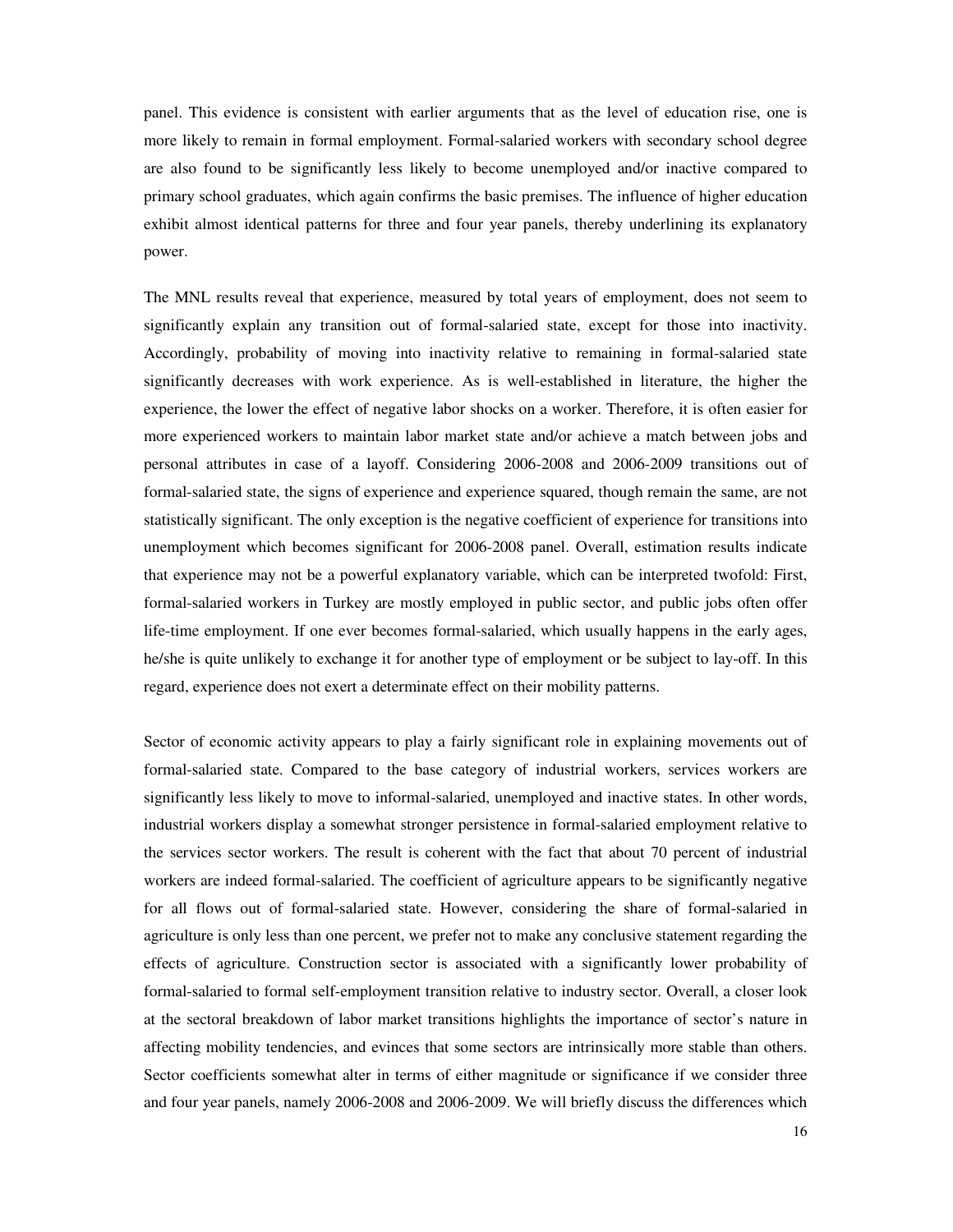panel. This evidence is consistent with earlier arguments that as the level of education rise, one is more likely to remain in formal employment. Formal-salaried workers with secondary school degree are also found to be significantly less likely to become unemployed and/or inactive compared to primary school graduates, which again confirms the basic premises. The influence of higher education exhibit almost identical patterns for three and four year panels, thereby underlining its explanatory power.

The MNL results reveal that experience, measured by total years of employment, does not seem to significantly explain any transition out of formal-salaried state, except for those into inactivity. Accordingly, probability of moving into inactivity relative to remaining in formal-salaried state significantly decreases with work experience. As is well-established in literature, the higher the experience, the lower the effect of negative labor shocks on a worker. Therefore, it is often easier for more experienced workers to maintain labor market state and/or achieve a match between jobs and personal attributes in case of a layoff. Considering 2006-2008 and 2006-2009 transitions out of formal-salaried state, the signs of experience and experience squared, though remain the same, are not statistically significant. The only exception is the negative coefficient of experience for transitions into unemployment which becomes significant for 2006-2008 panel. Overall, estimation results indicate that experience may not be a powerful explanatory variable, which can be interpreted twofold: First, formal-salaried workers in Turkey are mostly employed in public sector, and public jobs often offer life-time employment. If one ever becomes formal-salaried, which usually happens in the early ages, he/she is quite unlikely to exchange it for another type of employment or be subject to lay-off. In this regard, experience does not exert a determinate effect on their mobility patterns.

Sector of economic activity appears to play a fairly significant role in explaining movements out of formal-salaried state. Compared to the base category of industrial workers, services workers are significantly less likely to move to informal-salaried, unemployed and inactive states. In other words, industrial workers display a somewhat stronger persistence in formal-salaried employment relative to the services sector workers. The result is coherent with the fact that about 70 percent of industrial workers are indeed formal-salaried. The coefficient of agriculture appears to be significantly negative for all flows out of formal-salaried state. However, considering the share of formal-salaried in agriculture is only less than one percent, we prefer not to make any conclusive statement regarding the effects of agriculture. Construction sector is associated with a significantly lower probability of formal-salaried to formal self-employment transition relative to industry sector. Overall, a closer look at the sectoral breakdown of labor market transitions highlights the importance of sector's nature in affecting mobility tendencies, and evinces that some sectors are intrinsically more stable than others. Sector coefficients somewhat alter in terms of either magnitude or significance if we consider three and four year panels, namely 2006-2008 and 2006-2009. We will briefly discuss the differences which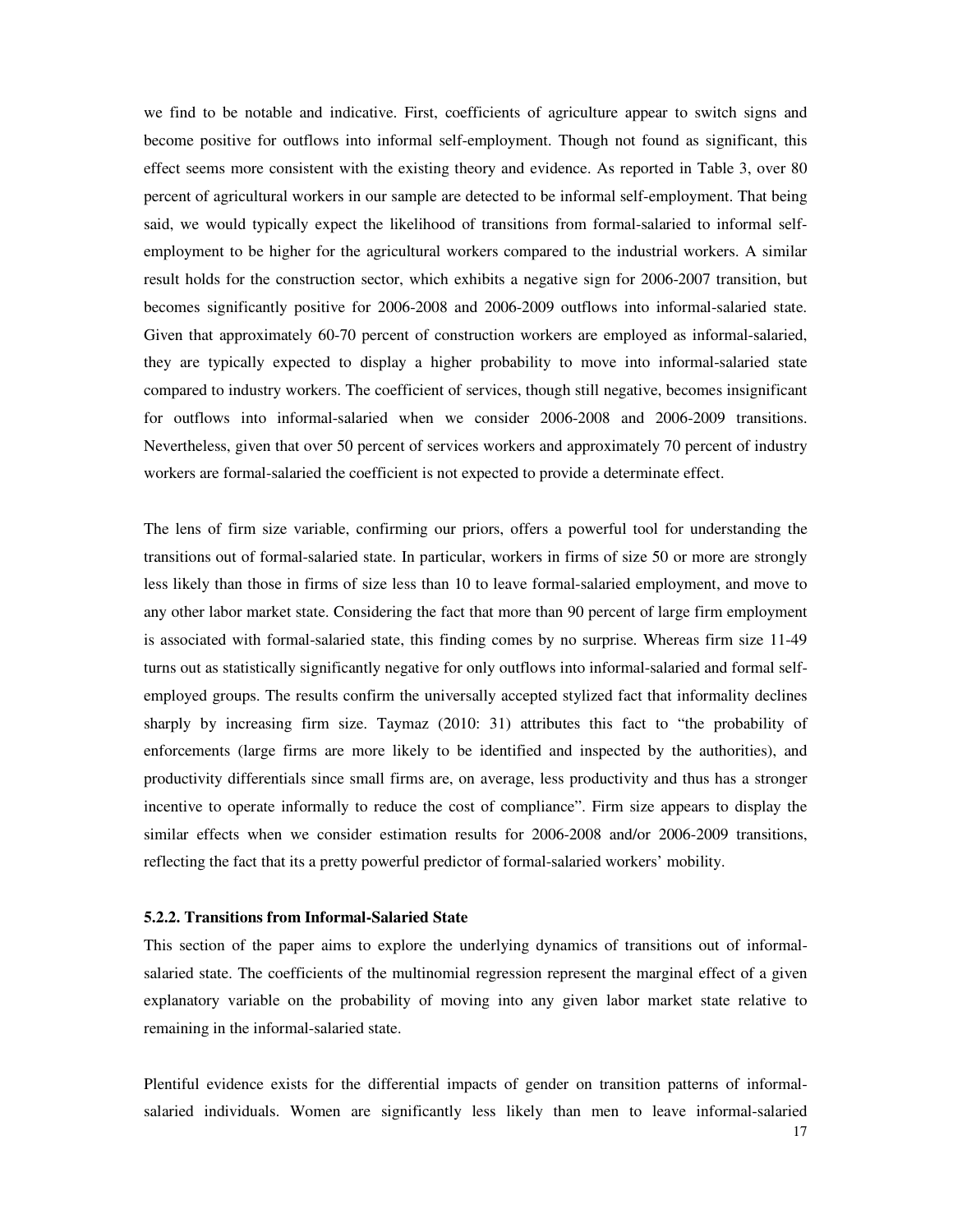we find to be notable and indicative. First, coefficients of agriculture appear to switch signs and become positive for outflows into informal self-employment. Though not found as significant, this effect seems more consistent with the existing theory and evidence. As reported in Table 3, over 80 percent of agricultural workers in our sample are detected to be informal self-employment. That being said, we would typically expect the likelihood of transitions from formal-salaried to informal selfemployment to be higher for the agricultural workers compared to the industrial workers. A similar result holds for the construction sector, which exhibits a negative sign for 2006-2007 transition, but becomes significantly positive for 2006-2008 and 2006-2009 outflows into informal-salaried state. Given that approximately 60-70 percent of construction workers are employed as informal-salaried, they are typically expected to display a higher probability to move into informal-salaried state compared to industry workers. The coefficient of services, though still negative, becomes insignificant for outflows into informal-salaried when we consider 2006-2008 and 2006-2009 transitions. Nevertheless, given that over 50 percent of services workers and approximately 70 percent of industry workers are formal-salaried the coefficient is not expected to provide a determinate effect.

The lens of firm size variable, confirming our priors, offers a powerful tool for understanding the transitions out of formal-salaried state. In particular, workers in firms of size 50 or more are strongly less likely than those in firms of size less than 10 to leave formal-salaried employment, and move to any other labor market state. Considering the fact that more than 90 percent of large firm employment is associated with formal-salaried state, this finding comes by no surprise. Whereas firm size 11-49 turns out as statistically significantly negative for only outflows into informal-salaried and formal selfemployed groups. The results confirm the universally accepted stylized fact that informality declines sharply by increasing firm size. Taymaz (2010: 31) attributes this fact to "the probability of enforcements (large firms are more likely to be identified and inspected by the authorities), and productivity differentials since small firms are, on average, less productivity and thus has a stronger incentive to operate informally to reduce the cost of compliance". Firm size appears to display the similar effects when we consider estimation results for 2006-2008 and/or 2006-2009 transitions, reflecting the fact that its a pretty powerful predictor of formal-salaried workers' mobility.

# **5.2.2. Transitions from Informal-Salaried State**

This section of the paper aims to explore the underlying dynamics of transitions out of informalsalaried state. The coefficients of the multinomial regression represent the marginal effect of a given explanatory variable on the probability of moving into any given labor market state relative to remaining in the informal-salaried state.

Plentiful evidence exists for the differential impacts of gender on transition patterns of informalsalaried individuals. Women are significantly less likely than men to leave informal-salaried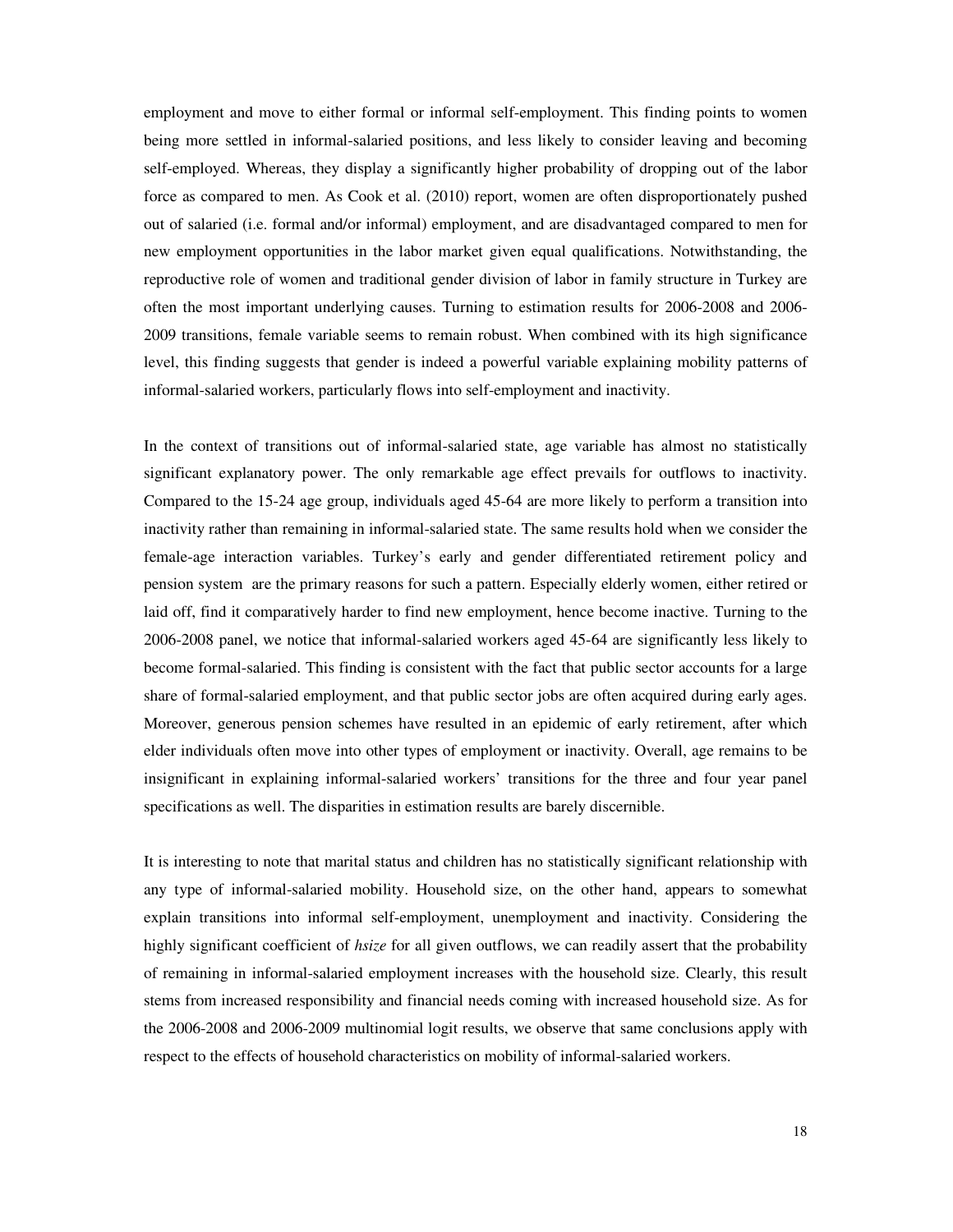employment and move to either formal or informal self-employment. This finding points to women being more settled in informal-salaried positions, and less likely to consider leaving and becoming self-employed. Whereas, they display a significantly higher probability of dropping out of the labor force as compared to men. As Cook et al. (2010) report, women are often disproportionately pushed out of salaried (i.e. formal and/or informal) employment, and are disadvantaged compared to men for new employment opportunities in the labor market given equal qualifications. Notwithstanding, the reproductive role of women and traditional gender division of labor in family structure in Turkey are often the most important underlying causes. Turning to estimation results for 2006-2008 and 2006- 2009 transitions, female variable seems to remain robust. When combined with its high significance level, this finding suggests that gender is indeed a powerful variable explaining mobility patterns of informal-salaried workers, particularly flows into self-employment and inactivity.

In the context of transitions out of informal-salaried state, age variable has almost no statistically significant explanatory power. The only remarkable age effect prevails for outflows to inactivity. Compared to the 15-24 age group, individuals aged 45-64 are more likely to perform a transition into inactivity rather than remaining in informal-salaried state. The same results hold when we consider the female-age interaction variables. Turkey's early and gender differentiated retirement policy and pension system are the primary reasons for such a pattern. Especially elderly women, either retired or laid off, find it comparatively harder to find new employment, hence become inactive. Turning to the 2006-2008 panel, we notice that informal-salaried workers aged 45-64 are significantly less likely to become formal-salaried. This finding is consistent with the fact that public sector accounts for a large share of formal-salaried employment, and that public sector jobs are often acquired during early ages. Moreover, generous pension schemes have resulted in an epidemic of early retirement, after which elder individuals often move into other types of employment or inactivity. Overall, age remains to be insignificant in explaining informal-salaried workers' transitions for the three and four year panel specifications as well. The disparities in estimation results are barely discernible.

It is interesting to note that marital status and children has no statistically significant relationship with any type of informal-salaried mobility. Household size, on the other hand, appears to somewhat explain transitions into informal self-employment, unemployment and inactivity. Considering the highly significant coefficient of *hsize* for all given outflows, we can readily assert that the probability of remaining in informal-salaried employment increases with the household size. Clearly, this result stems from increased responsibility and financial needs coming with increased household size. As for the 2006-2008 and 2006-2009 multinomial logit results, we observe that same conclusions apply with respect to the effects of household characteristics on mobility of informal-salaried workers.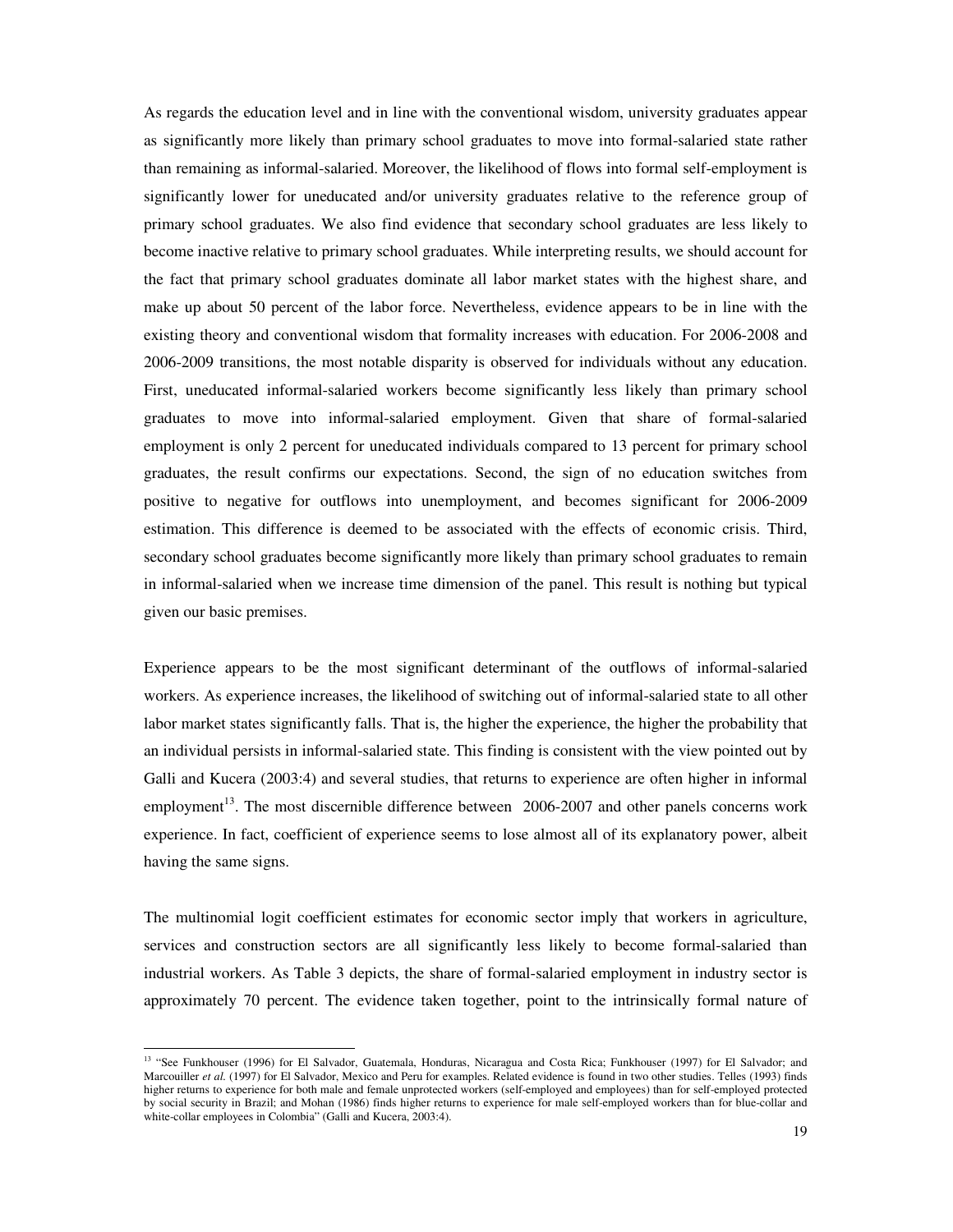As regards the education level and in line with the conventional wisdom, university graduates appear as significantly more likely than primary school graduates to move into formal-salaried state rather than remaining as informal-salaried. Moreover, the likelihood of flows into formal self-employment is significantly lower for uneducated and/or university graduates relative to the reference group of primary school graduates. We also find evidence that secondary school graduates are less likely to become inactive relative to primary school graduates. While interpreting results, we should account for the fact that primary school graduates dominate all labor market states with the highest share, and make up about 50 percent of the labor force. Nevertheless, evidence appears to be in line with the existing theory and conventional wisdom that formality increases with education. For 2006-2008 and 2006-2009 transitions, the most notable disparity is observed for individuals without any education. First, uneducated informal-salaried workers become significantly less likely than primary school graduates to move into informal-salaried employment. Given that share of formal-salaried employment is only 2 percent for uneducated individuals compared to 13 percent for primary school graduates, the result confirms our expectations. Second, the sign of no education switches from positive to negative for outflows into unemployment, and becomes significant for 2006-2009 estimation. This difference is deemed to be associated with the effects of economic crisis. Third, secondary school graduates become significantly more likely than primary school graduates to remain in informal-salaried when we increase time dimension of the panel. This result is nothing but typical given our basic premises.

Experience appears to be the most significant determinant of the outflows of informal-salaried workers. As experience increases, the likelihood of switching out of informal-salaried state to all other labor market states significantly falls. That is, the higher the experience, the higher the probability that an individual persists in informal-salaried state. This finding is consistent with the view pointed out by Galli and Kucera (2003:4) and several studies, that returns to experience are often higher in informal employment<sup>13</sup>. The most discernible difference between  $2006-2007$  and other panels concerns work experience. In fact, coefficient of experience seems to lose almost all of its explanatory power, albeit having the same signs.

The multinomial logit coefficient estimates for economic sector imply that workers in agriculture, services and construction sectors are all significantly less likely to become formal-salaried than industrial workers. As Table 3 depicts, the share of formal-salaried employment in industry sector is approximately 70 percent. The evidence taken together, point to the intrinsically formal nature of

-

<sup>&</sup>lt;sup>13</sup> "See Funkhouser (1996) for El Salvador, Guatemala, Honduras, Nicaragua and Costa Rica; Funkhouser (1997) for El Salvador; and Marcouiller *et al.* (1997) for El Salvador, Mexico and Peru for examples. Related evidence is found in two other studies. Telles (1993) finds higher returns to experience for both male and female unprotected workers (self-employed and employees) than for self-employed protected by social security in Brazil; and Mohan (1986) finds higher returns to experience for male self-employed workers than for blue-collar and white-collar employees in Colombia" (Galli and Kucera, 2003:4).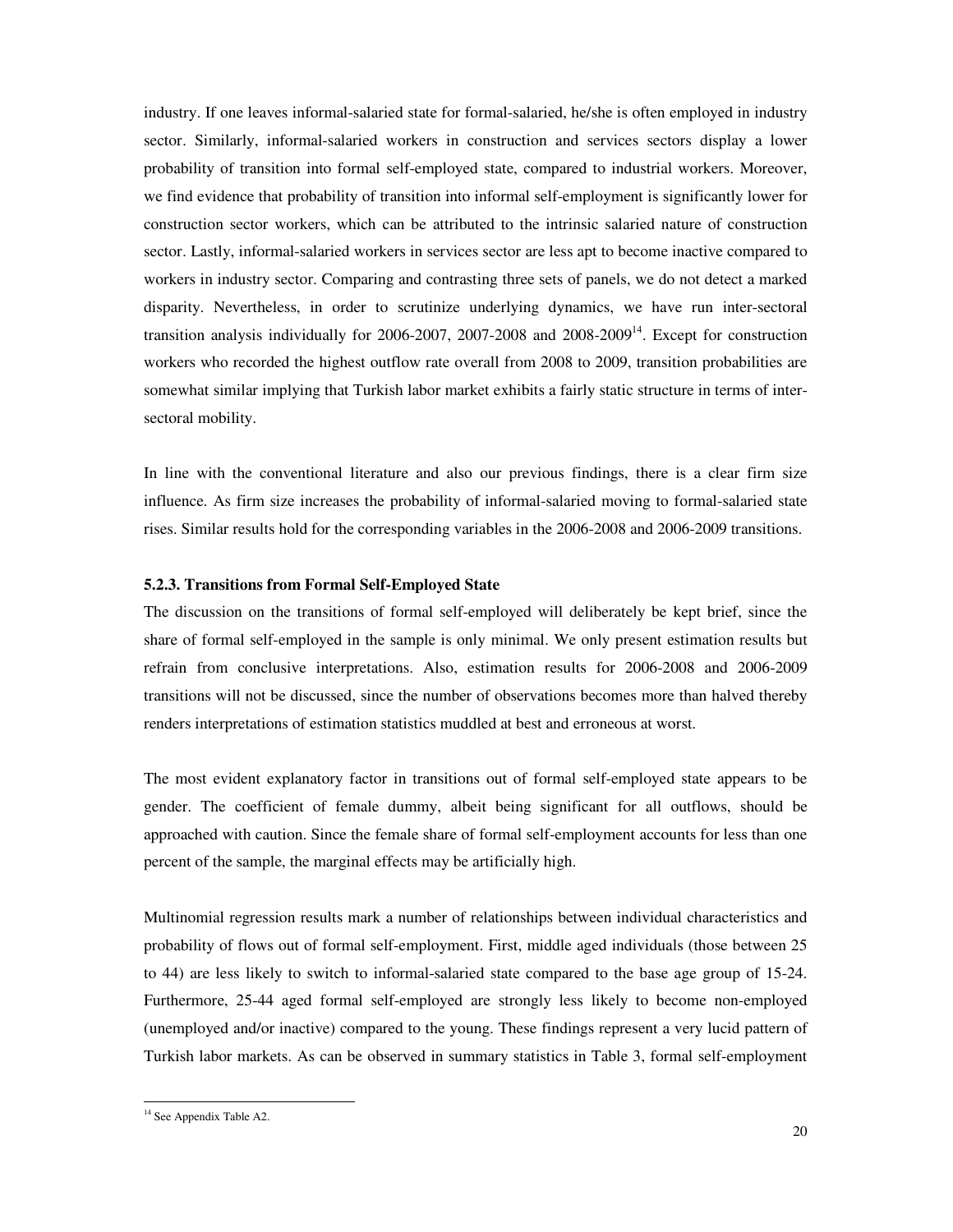industry. If one leaves informal-salaried state for formal-salaried, he/she is often employed in industry sector. Similarly, informal-salaried workers in construction and services sectors display a lower probability of transition into formal self-employed state, compared to industrial workers. Moreover, we find evidence that probability of transition into informal self-employment is significantly lower for construction sector workers, which can be attributed to the intrinsic salaried nature of construction sector. Lastly, informal-salaried workers in services sector are less apt to become inactive compared to workers in industry sector. Comparing and contrasting three sets of panels, we do not detect a marked disparity. Nevertheless, in order to scrutinize underlying dynamics, we have run inter-sectoral transition analysis individually for 2006-2007, 2007-2008 and 2008-2009<sup>14</sup>. Except for construction workers who recorded the highest outflow rate overall from 2008 to 2009, transition probabilities are somewhat similar implying that Turkish labor market exhibits a fairly static structure in terms of intersectoral mobility.

In line with the conventional literature and also our previous findings, there is a clear firm size influence. As firm size increases the probability of informal-salaried moving to formal-salaried state rises. Similar results hold for the corresponding variables in the 2006-2008 and 2006-2009 transitions.

# **5.2.3. Transitions from Formal Self-Employed State**

The discussion on the transitions of formal self-employed will deliberately be kept brief, since the share of formal self-employed in the sample is only minimal. We only present estimation results but refrain from conclusive interpretations. Also, estimation results for 2006-2008 and 2006-2009 transitions will not be discussed, since the number of observations becomes more than halved thereby renders interpretations of estimation statistics muddled at best and erroneous at worst.

The most evident explanatory factor in transitions out of formal self-employed state appears to be gender. The coefficient of female dummy, albeit being significant for all outflows, should be approached with caution. Since the female share of formal self-employment accounts for less than one percent of the sample, the marginal effects may be artificially high.

Multinomial regression results mark a number of relationships between individual characteristics and probability of flows out of formal self-employment. First, middle aged individuals (those between 25 to 44) are less likely to switch to informal-salaried state compared to the base age group of 15-24. Furthermore, 25-44 aged formal self-employed are strongly less likely to become non-employed (unemployed and/or inactive) compared to the young. These findings represent a very lucid pattern of Turkish labor markets. As can be observed in summary statistics in Table 3, formal self-employment

-

<sup>&</sup>lt;sup>14</sup> See Appendix Table A2.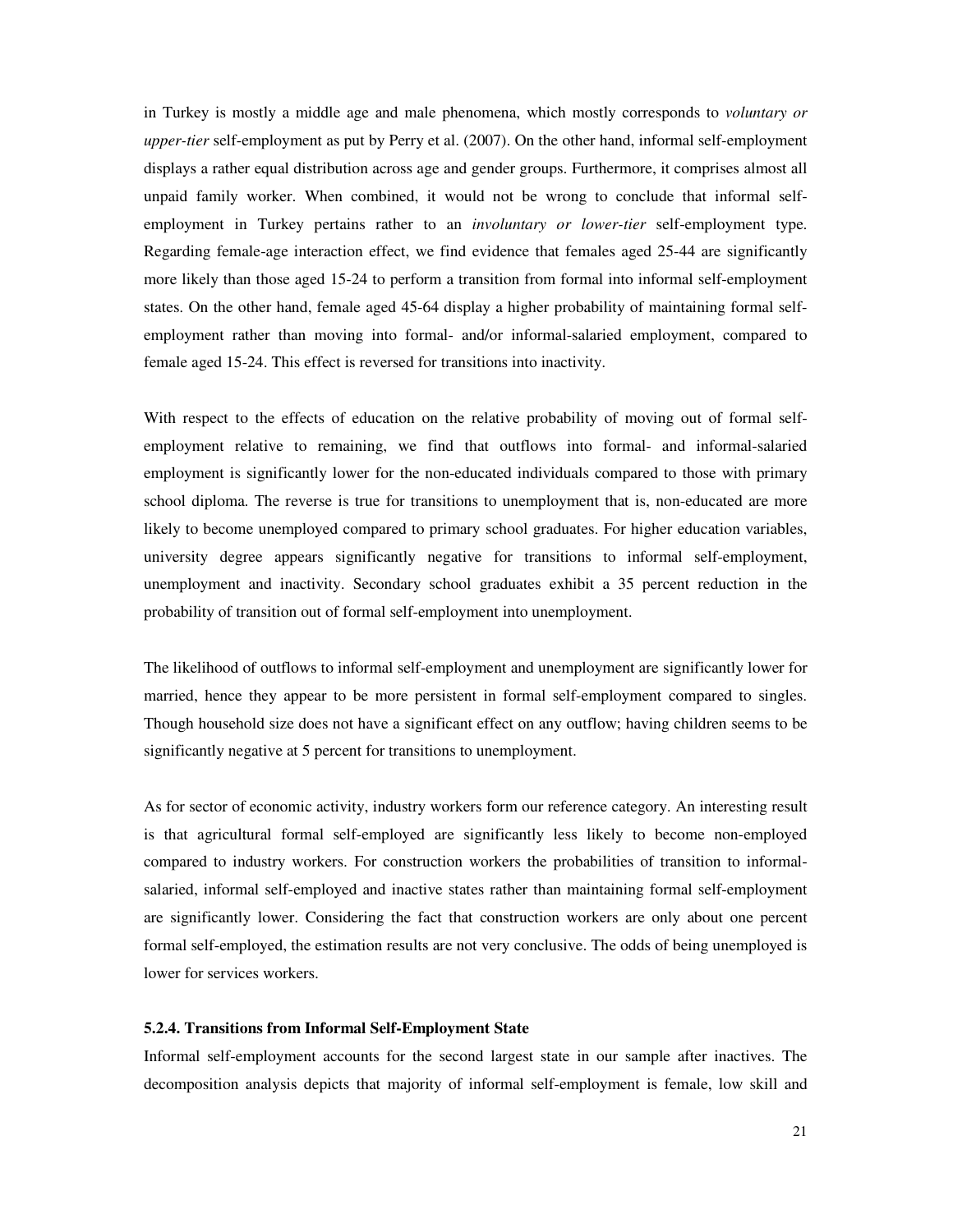in Turkey is mostly a middle age and male phenomena, which mostly corresponds to *voluntary or upper-tier* self-employment as put by Perry et al. (2007). On the other hand, informal self-employment displays a rather equal distribution across age and gender groups. Furthermore, it comprises almost all unpaid family worker. When combined, it would not be wrong to conclude that informal selfemployment in Turkey pertains rather to an *involuntary or lower-tier* self-employment type. Regarding female-age interaction effect, we find evidence that females aged 25-44 are significantly more likely than those aged 15-24 to perform a transition from formal into informal self-employment states. On the other hand, female aged 45-64 display a higher probability of maintaining formal selfemployment rather than moving into formal- and/or informal-salaried employment, compared to female aged 15-24. This effect is reversed for transitions into inactivity.

With respect to the effects of education on the relative probability of moving out of formal selfemployment relative to remaining, we find that outflows into formal- and informal-salaried employment is significantly lower for the non-educated individuals compared to those with primary school diploma. The reverse is true for transitions to unemployment that is, non-educated are more likely to become unemployed compared to primary school graduates. For higher education variables, university degree appears significantly negative for transitions to informal self-employment, unemployment and inactivity. Secondary school graduates exhibit a 35 percent reduction in the probability of transition out of formal self-employment into unemployment.

The likelihood of outflows to informal self-employment and unemployment are significantly lower for married, hence they appear to be more persistent in formal self-employment compared to singles. Though household size does not have a significant effect on any outflow; having children seems to be significantly negative at 5 percent for transitions to unemployment.

As for sector of economic activity, industry workers form our reference category. An interesting result is that agricultural formal self-employed are significantly less likely to become non-employed compared to industry workers. For construction workers the probabilities of transition to informalsalaried, informal self-employed and inactive states rather than maintaining formal self-employment are significantly lower. Considering the fact that construction workers are only about one percent formal self-employed, the estimation results are not very conclusive. The odds of being unemployed is lower for services workers.

# **5.2.4. Transitions from Informal Self-Employment State**

Informal self-employment accounts for the second largest state in our sample after inactives. The decomposition analysis depicts that majority of informal self-employment is female, low skill and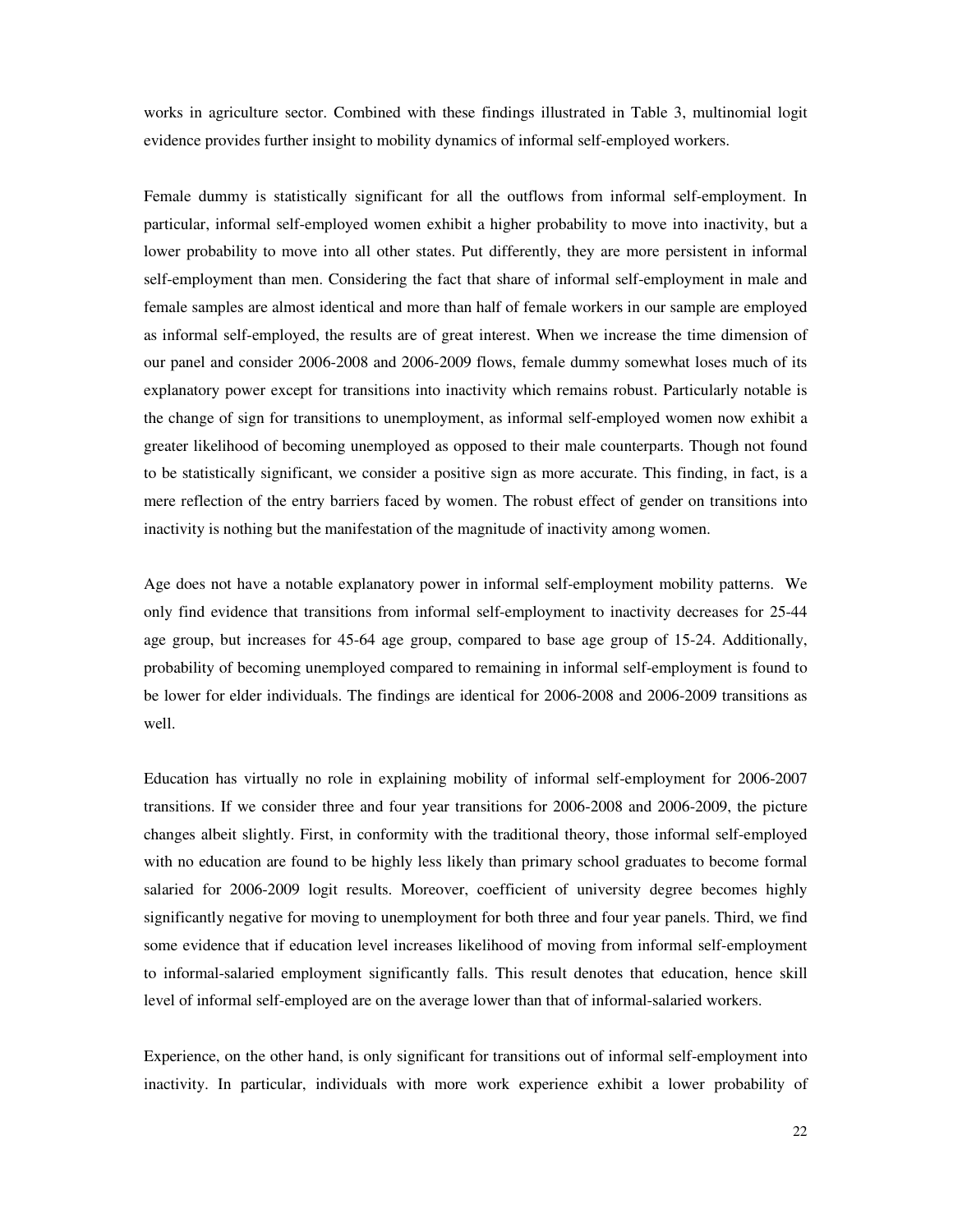works in agriculture sector. Combined with these findings illustrated in Table 3, multinomial logit evidence provides further insight to mobility dynamics of informal self-employed workers.

Female dummy is statistically significant for all the outflows from informal self-employment. In particular, informal self-employed women exhibit a higher probability to move into inactivity, but a lower probability to move into all other states. Put differently, they are more persistent in informal self-employment than men. Considering the fact that share of informal self-employment in male and female samples are almost identical and more than half of female workers in our sample are employed as informal self-employed, the results are of great interest. When we increase the time dimension of our panel and consider 2006-2008 and 2006-2009 flows, female dummy somewhat loses much of its explanatory power except for transitions into inactivity which remains robust. Particularly notable is the change of sign for transitions to unemployment, as informal self-employed women now exhibit a greater likelihood of becoming unemployed as opposed to their male counterparts. Though not found to be statistically significant, we consider a positive sign as more accurate. This finding, in fact, is a mere reflection of the entry barriers faced by women. The robust effect of gender on transitions into inactivity is nothing but the manifestation of the magnitude of inactivity among women.

Age does not have a notable explanatory power in informal self-employment mobility patterns. We only find evidence that transitions from informal self-employment to inactivity decreases for 25-44 age group, but increases for 45-64 age group, compared to base age group of 15-24. Additionally, probability of becoming unemployed compared to remaining in informal self-employment is found to be lower for elder individuals. The findings are identical for 2006-2008 and 2006-2009 transitions as well.

Education has virtually no role in explaining mobility of informal self-employment for 2006-2007 transitions. If we consider three and four year transitions for 2006-2008 and 2006-2009, the picture changes albeit slightly. First, in conformity with the traditional theory, those informal self-employed with no education are found to be highly less likely than primary school graduates to become formal salaried for 2006-2009 logit results. Moreover, coefficient of university degree becomes highly significantly negative for moving to unemployment for both three and four year panels. Third, we find some evidence that if education level increases likelihood of moving from informal self-employment to informal-salaried employment significantly falls. This result denotes that education, hence skill level of informal self-employed are on the average lower than that of informal-salaried workers.

Experience, on the other hand, is only significant for transitions out of informal self-employment into inactivity. In particular, individuals with more work experience exhibit a lower probability of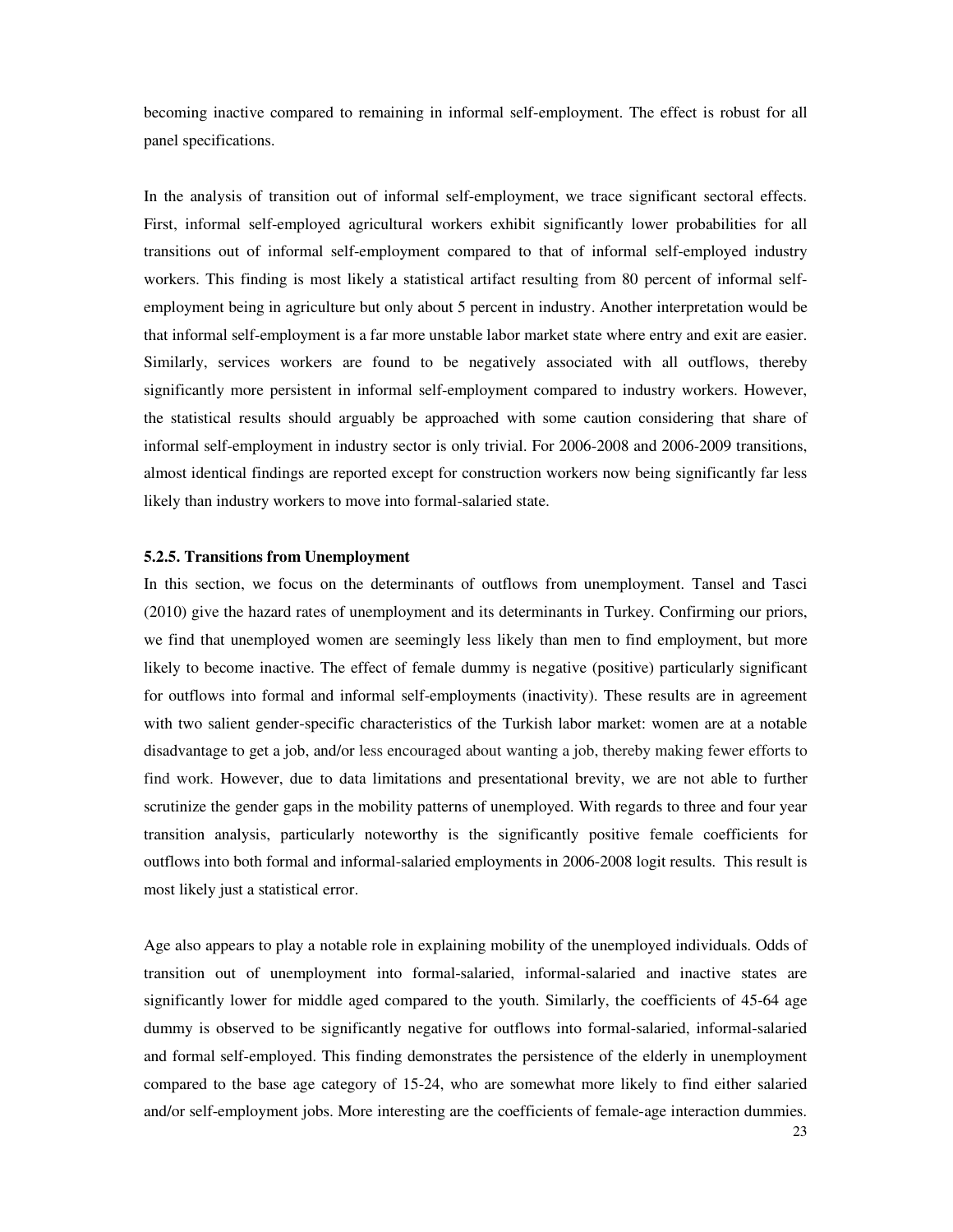becoming inactive compared to remaining in informal self-employment. The effect is robust for all panel specifications.

In the analysis of transition out of informal self-employment, we trace significant sectoral effects. First, informal self-employed agricultural workers exhibit significantly lower probabilities for all transitions out of informal self-employment compared to that of informal self-employed industry workers. This finding is most likely a statistical artifact resulting from 80 percent of informal selfemployment being in agriculture but only about 5 percent in industry. Another interpretation would be that informal self-employment is a far more unstable labor market state where entry and exit are easier. Similarly, services workers are found to be negatively associated with all outflows, thereby significantly more persistent in informal self-employment compared to industry workers. However, the statistical results should arguably be approached with some caution considering that share of informal self-employment in industry sector is only trivial. For 2006-2008 and 2006-2009 transitions, almost identical findings are reported except for construction workers now being significantly far less likely than industry workers to move into formal-salaried state.

### **5.2.5. Transitions from Unemployment**

In this section, we focus on the determinants of outflows from unemployment. Tansel and Tasci (2010) give the hazard rates of unemployment and its determinants in Turkey. Confirming our priors, we find that unemployed women are seemingly less likely than men to find employment, but more likely to become inactive. The effect of female dummy is negative (positive) particularly significant for outflows into formal and informal self-employments (inactivity). These results are in agreement with two salient gender-specific characteristics of the Turkish labor market: women are at a notable disadvantage to get a job, and/or less encouraged about wanting a job, thereby making fewer efforts to find work. However, due to data limitations and presentational brevity, we are not able to further scrutinize the gender gaps in the mobility patterns of unemployed. With regards to three and four year transition analysis, particularly noteworthy is the significantly positive female coefficients for outflows into both formal and informal-salaried employments in 2006-2008 logit results. This result is most likely just a statistical error.

Age also appears to play a notable role in explaining mobility of the unemployed individuals. Odds of transition out of unemployment into formal-salaried, informal-salaried and inactive states are significantly lower for middle aged compared to the youth. Similarly, the coefficients of 45-64 age dummy is observed to be significantly negative for outflows into formal-salaried, informal-salaried and formal self-employed. This finding demonstrates the persistence of the elderly in unemployment compared to the base age category of 15-24, who are somewhat more likely to find either salaried and/or self-employment jobs. More interesting are the coefficients of female-age interaction dummies.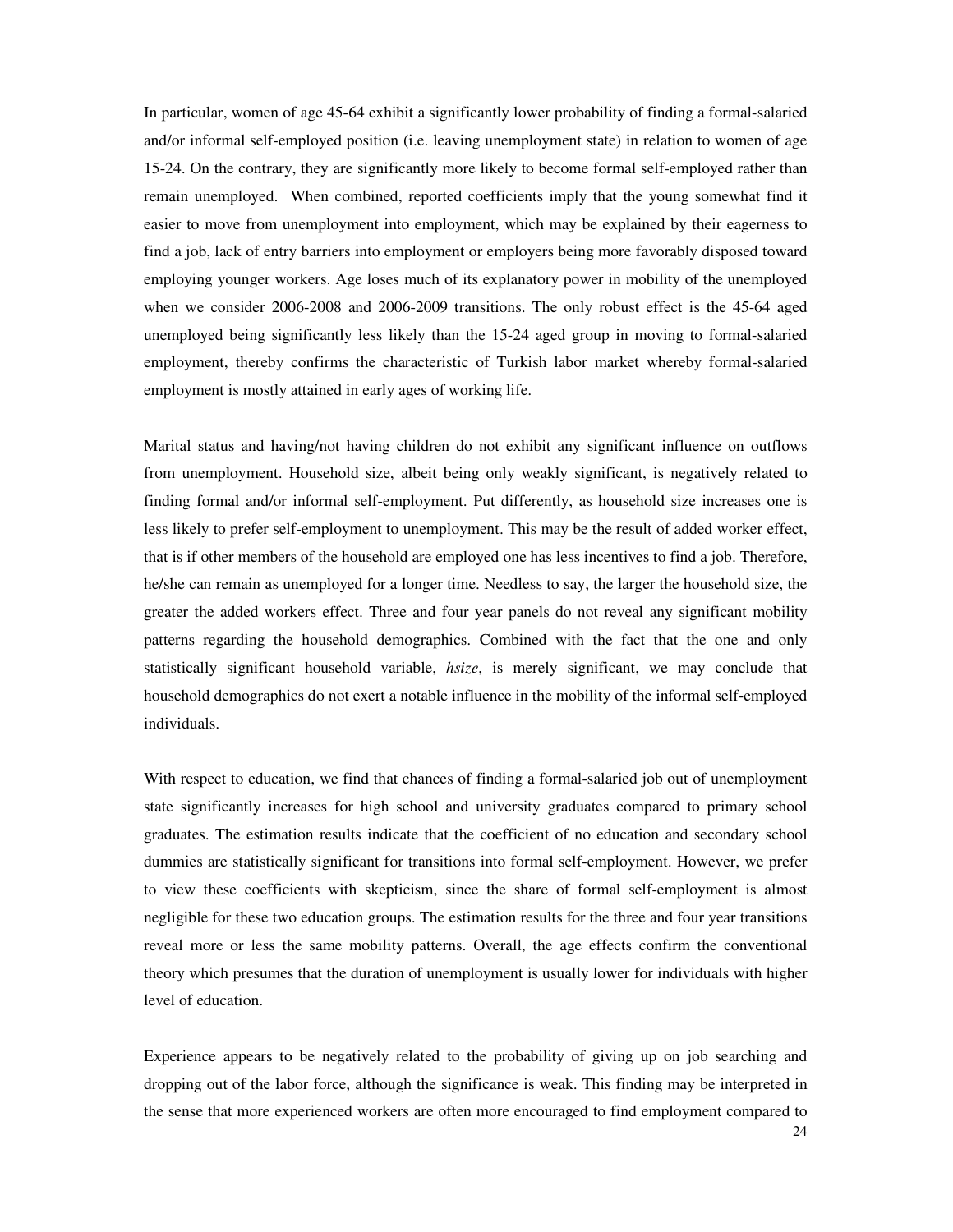In particular, women of age 45-64 exhibit a significantly lower probability of finding a formal-salaried and/or informal self-employed position (i.e. leaving unemployment state) in relation to women of age 15-24. On the contrary, they are significantly more likely to become formal self-employed rather than remain unemployed. When combined, reported coefficients imply that the young somewhat find it easier to move from unemployment into employment, which may be explained by their eagerness to find a job, lack of entry barriers into employment or employers being more favorably disposed toward employing younger workers. Age loses much of its explanatory power in mobility of the unemployed when we consider 2006-2008 and 2006-2009 transitions. The only robust effect is the 45-64 aged unemployed being significantly less likely than the 15-24 aged group in moving to formal-salaried employment, thereby confirms the characteristic of Turkish labor market whereby formal-salaried employment is mostly attained in early ages of working life.

Marital status and having/not having children do not exhibit any significant influence on outflows from unemployment. Household size, albeit being only weakly significant, is negatively related to finding formal and/or informal self-employment. Put differently, as household size increases one is less likely to prefer self-employment to unemployment. This may be the result of added worker effect, that is if other members of the household are employed one has less incentives to find a job. Therefore, he/she can remain as unemployed for a longer time. Needless to say, the larger the household size, the greater the added workers effect. Three and four year panels do not reveal any significant mobility patterns regarding the household demographics. Combined with the fact that the one and only statistically significant household variable, *hsize*, is merely significant, we may conclude that household demographics do not exert a notable influence in the mobility of the informal self-employed individuals.

With respect to education, we find that chances of finding a formal-salaried job out of unemployment state significantly increases for high school and university graduates compared to primary school graduates. The estimation results indicate that the coefficient of no education and secondary school dummies are statistically significant for transitions into formal self-employment. However, we prefer to view these coefficients with skepticism, since the share of formal self-employment is almost negligible for these two education groups. The estimation results for the three and four year transitions reveal more or less the same mobility patterns. Overall, the age effects confirm the conventional theory which presumes that the duration of unemployment is usually lower for individuals with higher level of education.

Experience appears to be negatively related to the probability of giving up on job searching and dropping out of the labor force, although the significance is weak. This finding may be interpreted in the sense that more experienced workers are often more encouraged to find employment compared to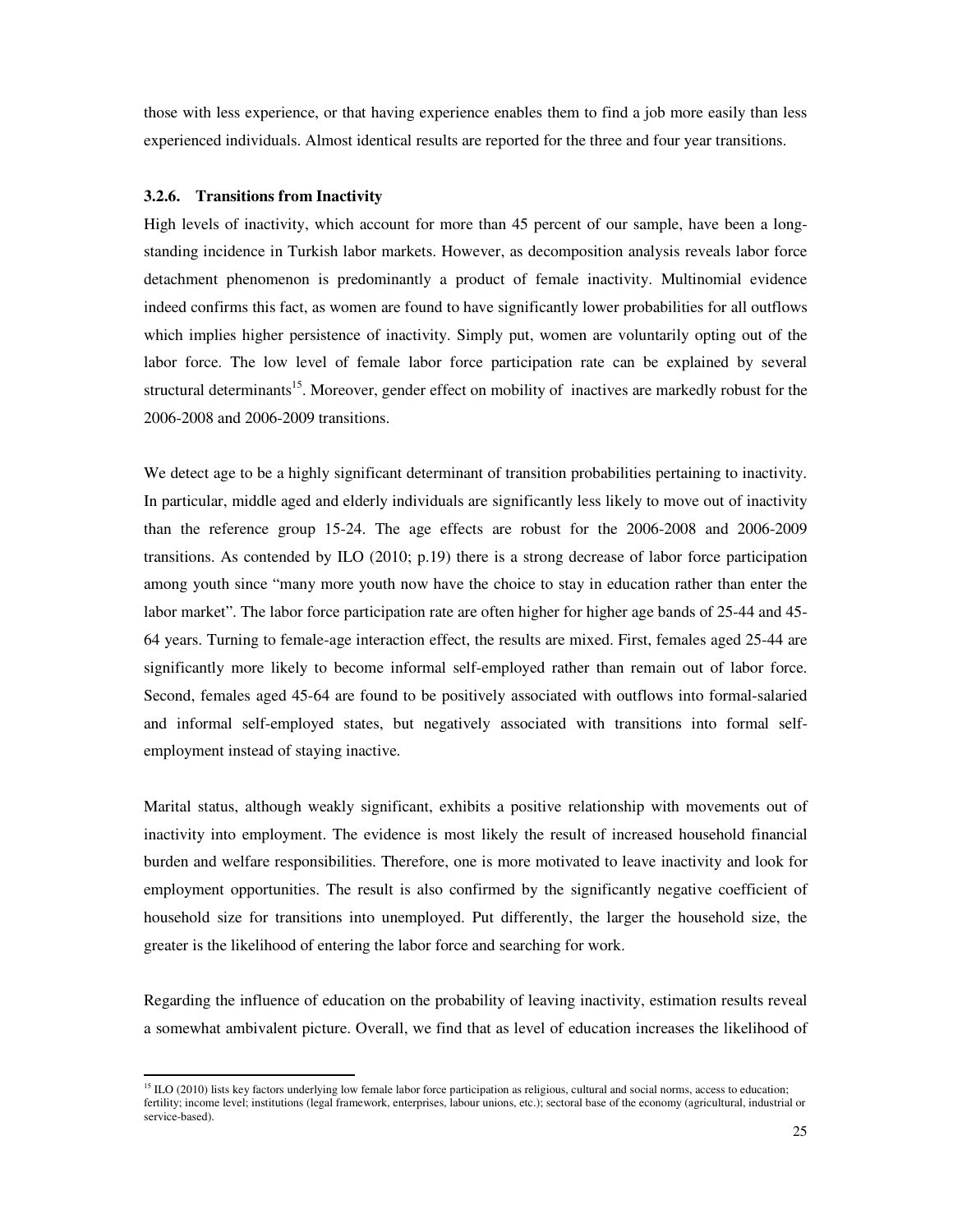those with less experience, or that having experience enables them to find a job more easily than less experienced individuals. Almost identical results are reported for the three and four year transitions.

### **3.2.6. Transitions from Inactivity**

-

High levels of inactivity, which account for more than 45 percent of our sample, have been a longstanding incidence in Turkish labor markets. However, as decomposition analysis reveals labor force detachment phenomenon is predominantly a product of female inactivity. Multinomial evidence indeed confirms this fact, as women are found to have significantly lower probabilities for all outflows which implies higher persistence of inactivity. Simply put, women are voluntarily opting out of the labor force. The low level of female labor force participation rate can be explained by several structural determinants<sup>15</sup>. Moreover, gender effect on mobility of inactives are markedly robust for the 2006-2008 and 2006-2009 transitions.

We detect age to be a highly significant determinant of transition probabilities pertaining to inactivity. In particular, middle aged and elderly individuals are significantly less likely to move out of inactivity than the reference group 15-24. The age effects are robust for the 2006-2008 and 2006-2009 transitions. As contended by ILO (2010; p.19) there is a strong decrease of labor force participation among youth since "many more youth now have the choice to stay in education rather than enter the labor market". The labor force participation rate are often higher for higher age bands of 25-44 and 45- 64 years. Turning to female-age interaction effect, the results are mixed. First, females aged 25-44 are significantly more likely to become informal self-employed rather than remain out of labor force. Second, females aged 45-64 are found to be positively associated with outflows into formal-salaried and informal self-employed states, but negatively associated with transitions into formal selfemployment instead of staying inactive.

Marital status, although weakly significant, exhibits a positive relationship with movements out of inactivity into employment. The evidence is most likely the result of increased household financial burden and welfare responsibilities. Therefore, one is more motivated to leave inactivity and look for employment opportunities. The result is also confirmed by the significantly negative coefficient of household size for transitions into unemployed. Put differently, the larger the household size, the greater is the likelihood of entering the labor force and searching for work.

Regarding the influence of education on the probability of leaving inactivity, estimation results reveal a somewhat ambivalent picture. Overall, we find that as level of education increases the likelihood of

 $<sup>15</sup>$  ILO (2010) lists key factors underlying low female labor force participation as religious, cultural and social norms, access to education;</sup> fertility; income level; institutions (legal framework, enterprises, labour unions, etc.); sectoral base of the economy (agricultural, industrial or service-based).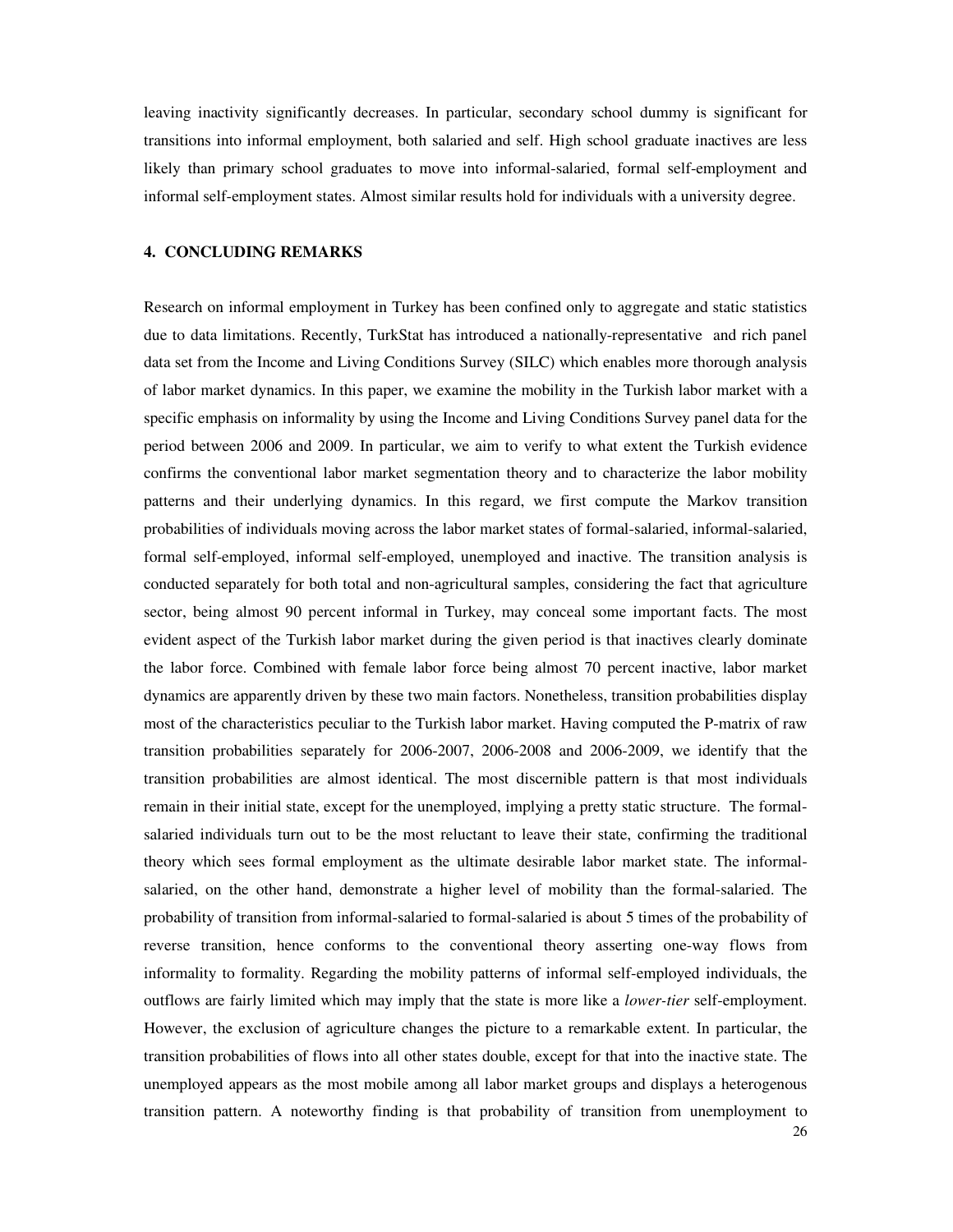leaving inactivity significantly decreases. In particular, secondary school dummy is significant for transitions into informal employment, both salaried and self. High school graduate inactives are less likely than primary school graduates to move into informal-salaried, formal self-employment and informal self-employment states. Almost similar results hold for individuals with a university degree.

# **4. CONCLUDING REMARKS**

Research on informal employment in Turkey has been confined only to aggregate and static statistics due to data limitations. Recently, TurkStat has introduced a nationally-representative and rich panel data set from the Income and Living Conditions Survey (SILC) which enables more thorough analysis of labor market dynamics. In this paper, we examine the mobility in the Turkish labor market with a specific emphasis on informality by using the Income and Living Conditions Survey panel data for the period between 2006 and 2009. In particular, we aim to verify to what extent the Turkish evidence confirms the conventional labor market segmentation theory and to characterize the labor mobility patterns and their underlying dynamics. In this regard, we first compute the Markov transition probabilities of individuals moving across the labor market states of formal-salaried, informal-salaried, formal self-employed, informal self-employed, unemployed and inactive. The transition analysis is conducted separately for both total and non-agricultural samples, considering the fact that agriculture sector, being almost 90 percent informal in Turkey, may conceal some important facts. The most evident aspect of the Turkish labor market during the given period is that inactives clearly dominate the labor force. Combined with female labor force being almost 70 percent inactive, labor market dynamics are apparently driven by these two main factors. Nonetheless, transition probabilities display most of the characteristics peculiar to the Turkish labor market. Having computed the P-matrix of raw transition probabilities separately for 2006-2007, 2006-2008 and 2006-2009, we identify that the transition probabilities are almost identical. The most discernible pattern is that most individuals remain in their initial state, except for the unemployed, implying a pretty static structure. The formalsalaried individuals turn out to be the most reluctant to leave their state, confirming the traditional theory which sees formal employment as the ultimate desirable labor market state. The informalsalaried, on the other hand, demonstrate a higher level of mobility than the formal-salaried. The probability of transition from informal-salaried to formal-salaried is about 5 times of the probability of reverse transition, hence conforms to the conventional theory asserting one-way flows from informality to formality. Regarding the mobility patterns of informal self-employed individuals, the outflows are fairly limited which may imply that the state is more like a *lower-tier* self-employment. However, the exclusion of agriculture changes the picture to a remarkable extent. In particular, the transition probabilities of flows into all other states double, except for that into the inactive state. The unemployed appears as the most mobile among all labor market groups and displays a heterogenous transition pattern. A noteworthy finding is that probability of transition from unemployment to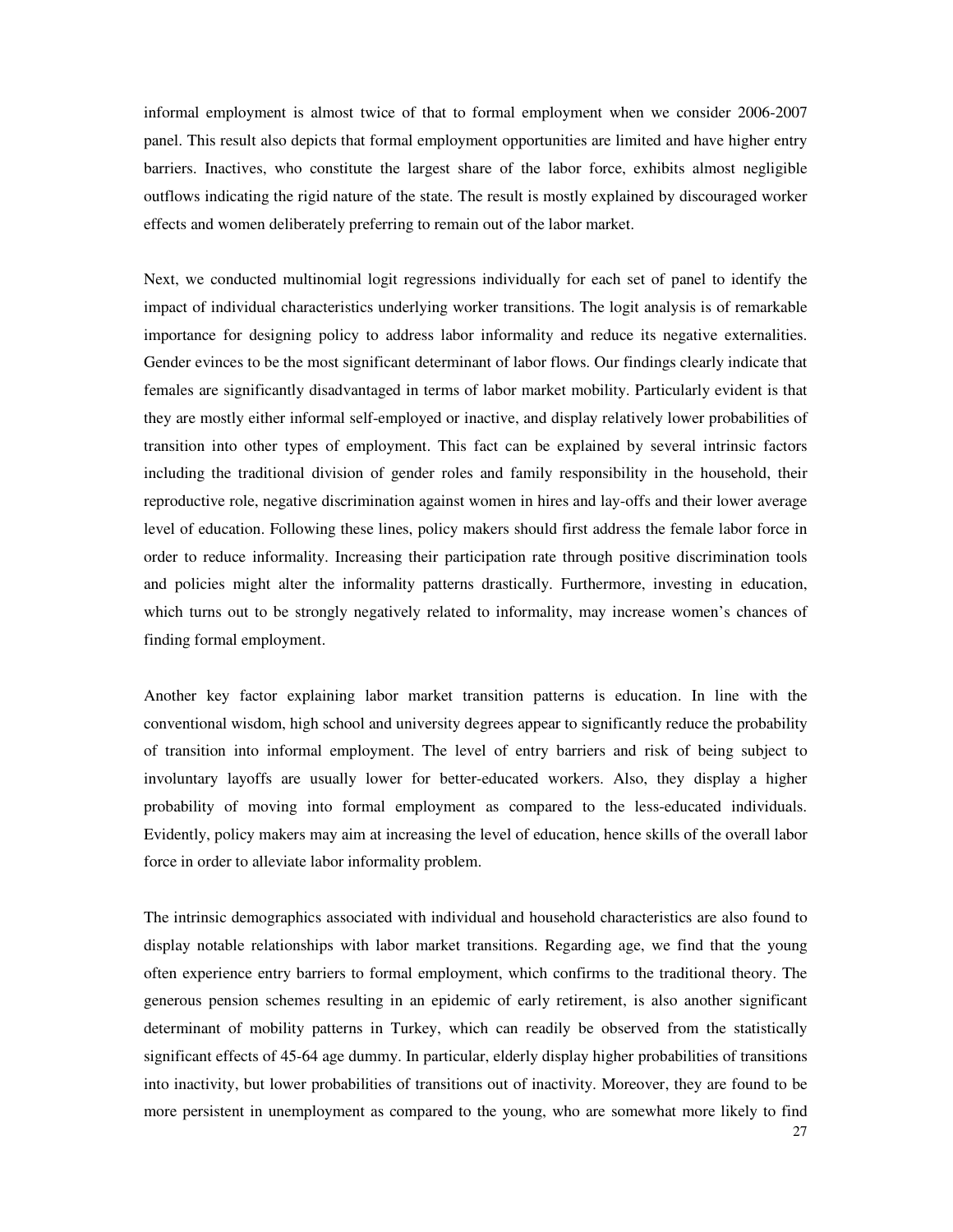informal employment is almost twice of that to formal employment when we consider 2006-2007 panel. This result also depicts that formal employment opportunities are limited and have higher entry barriers. Inactives, who constitute the largest share of the labor force, exhibits almost negligible outflows indicating the rigid nature of the state. The result is mostly explained by discouraged worker effects and women deliberately preferring to remain out of the labor market.

Next, we conducted multinomial logit regressions individually for each set of panel to identify the impact of individual characteristics underlying worker transitions. The logit analysis is of remarkable importance for designing policy to address labor informality and reduce its negative externalities. Gender evinces to be the most significant determinant of labor flows. Our findings clearly indicate that females are significantly disadvantaged in terms of labor market mobility. Particularly evident is that they are mostly either informal self-employed or inactive, and display relatively lower probabilities of transition into other types of employment. This fact can be explained by several intrinsic factors including the traditional division of gender roles and family responsibility in the household, their reproductive role, negative discrimination against women in hires and lay-offs and their lower average level of education. Following these lines, policy makers should first address the female labor force in order to reduce informality. Increasing their participation rate through positive discrimination tools and policies might alter the informality patterns drastically. Furthermore, investing in education, which turns out to be strongly negatively related to informality, may increase women's chances of finding formal employment.

Another key factor explaining labor market transition patterns is education. In line with the conventional wisdom, high school and university degrees appear to significantly reduce the probability of transition into informal employment. The level of entry barriers and risk of being subject to involuntary layoffs are usually lower for better-educated workers. Also, they display a higher probability of moving into formal employment as compared to the less-educated individuals. Evidently, policy makers may aim at increasing the level of education, hence skills of the overall labor force in order to alleviate labor informality problem.

The intrinsic demographics associated with individual and household characteristics are also found to display notable relationships with labor market transitions. Regarding age, we find that the young often experience entry barriers to formal employment, which confirms to the traditional theory. The generous pension schemes resulting in an epidemic of early retirement, is also another significant determinant of mobility patterns in Turkey, which can readily be observed from the statistically significant effects of 45-64 age dummy. In particular, elderly display higher probabilities of transitions into inactivity, but lower probabilities of transitions out of inactivity. Moreover, they are found to be more persistent in unemployment as compared to the young, who are somewhat more likely to find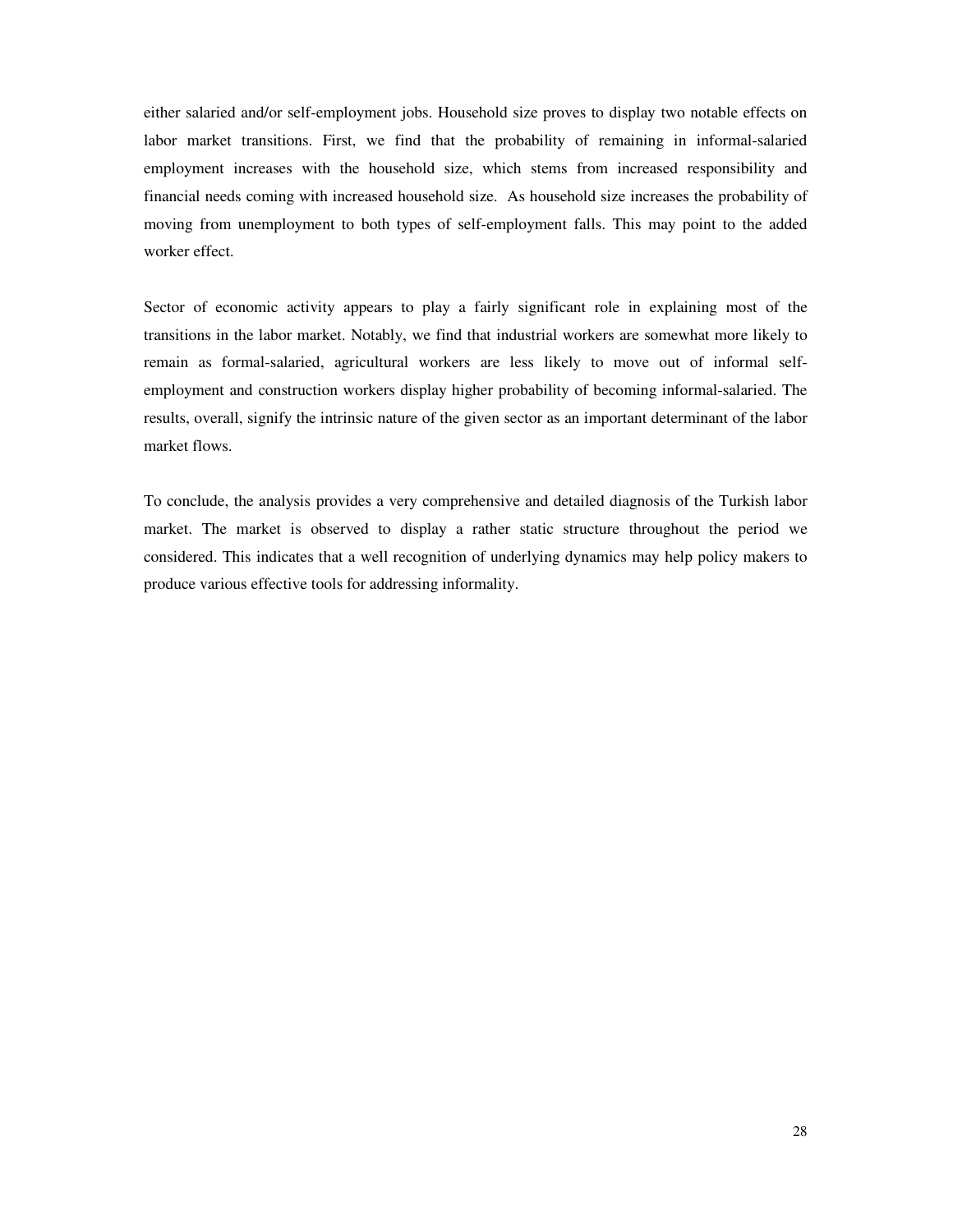either salaried and/or self-employment jobs. Household size proves to display two notable effects on labor market transitions. First, we find that the probability of remaining in informal-salaried employment increases with the household size, which stems from increased responsibility and financial needs coming with increased household size. As household size increases the probability of moving from unemployment to both types of self-employment falls. This may point to the added worker effect.

Sector of economic activity appears to play a fairly significant role in explaining most of the transitions in the labor market. Notably, we find that industrial workers are somewhat more likely to remain as formal-salaried, agricultural workers are less likely to move out of informal selfemployment and construction workers display higher probability of becoming informal-salaried. The results, overall, signify the intrinsic nature of the given sector as an important determinant of the labor market flows.

To conclude, the analysis provides a very comprehensive and detailed diagnosis of the Turkish labor market. The market is observed to display a rather static structure throughout the period we considered. This indicates that a well recognition of underlying dynamics may help policy makers to produce various effective tools for addressing informality.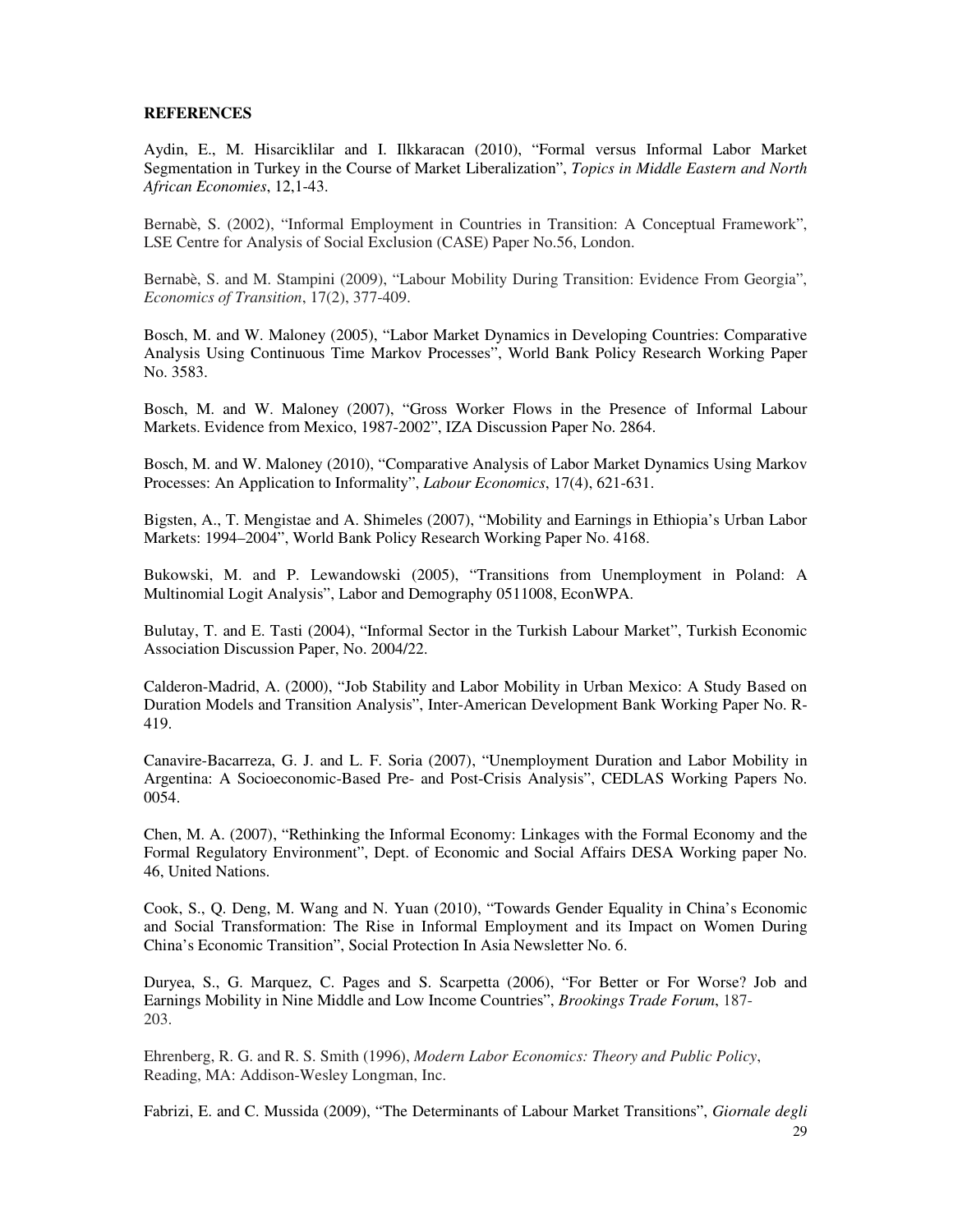# **REFERENCES**

Aydin, E., M. Hisarciklilar and I. Ilkkaracan (2010), "Formal versus Informal Labor Market Segmentation in Turkey in the Course of Market Liberalization", *Topics in Middle Eastern and North African Economies*, 12,1-43.

Bernabè, S. (2002), "Informal Employment in Countries in Transition: A Conceptual Framework", LSE Centre for Analysis of Social Exclusion (CASE) Paper No.56, London.

Bernabè, S. and M. Stampini (2009), "Labour Mobility During Transition: Evidence From Georgia", *Economics of Transition*, 17(2), 377-409.

Bosch, M. and W. Maloney (2005), "Labor Market Dynamics in Developing Countries: Comparative Analysis Using Continuous Time Markov Processes", World Bank Policy Research Working Paper No. 3583.

Bosch, M. and W. Maloney (2007), "Gross Worker Flows in the Presence of Informal Labour Markets. Evidence from Mexico, 1987-2002", IZA Discussion Paper No. 2864.

Bosch, M. and W. Maloney (2010), "Comparative Analysis of Labor Market Dynamics Using Markov Processes: An Application to Informality", *Labour Economics*, 17(4), 621-631.

Bigsten, A., T. Mengistae and A. Shimeles (2007), "Mobility and Earnings in Ethiopia's Urban Labor Markets: 1994–2004", World Bank Policy Research Working Paper No. 4168.

Bukowski, M. and P. Lewandowski (2005), "Transitions from Unemployment in Poland: A Multinomial Logit Analysis", Labor and Demography 0511008, EconWPA.

Bulutay, T. and E. Tasti (2004), "Informal Sector in the Turkish Labour Market", Turkish Economic Association Discussion Paper, No. 2004/22.

Calderon-Madrid, A. (2000), "Job Stability and Labor Mobility in Urban Mexico: A Study Based on Duration Models and Transition Analysis", Inter-American Development Bank Working Paper No. R-419.

Canavire-Bacarreza, G. J. and L. F. Soria (2007), "Unemployment Duration and Labor Mobility in Argentina: A Socioeconomic-Based Pre- and Post-Crisis Analysis", CEDLAS Working Papers No. 0054.

Chen, M. A. (2007), "Rethinking the Informal Economy: Linkages with the Formal Economy and the Formal Regulatory Environment", Dept. of Economic and Social Affairs DESA Working paper No. 46, United Nations.

Cook, S., Q. Deng, M. Wang and N. Yuan (2010), "Towards Gender Equality in China's Economic and Social Transformation: The Rise in Informal Employment and its Impact on Women During China's Economic Transition", Social Protection In Asia Newsletter No. 6.

Duryea, S., G. Marquez, C. Pages and S. Scarpetta (2006), "For Better or For Worse? Job and Earnings Mobility in Nine Middle and Low Income Countries", *Brookings Trade Forum*, 187- 203.

Ehrenberg, R. G. and R. S. Smith (1996), *Modern Labor Economics: Theory and Public Policy*, Reading, MA: Addison-Wesley Longman, Inc.

Fabrizi, E. and C. Mussida (2009), "The Determinants of Labour Market Transitions", *Giornale degli*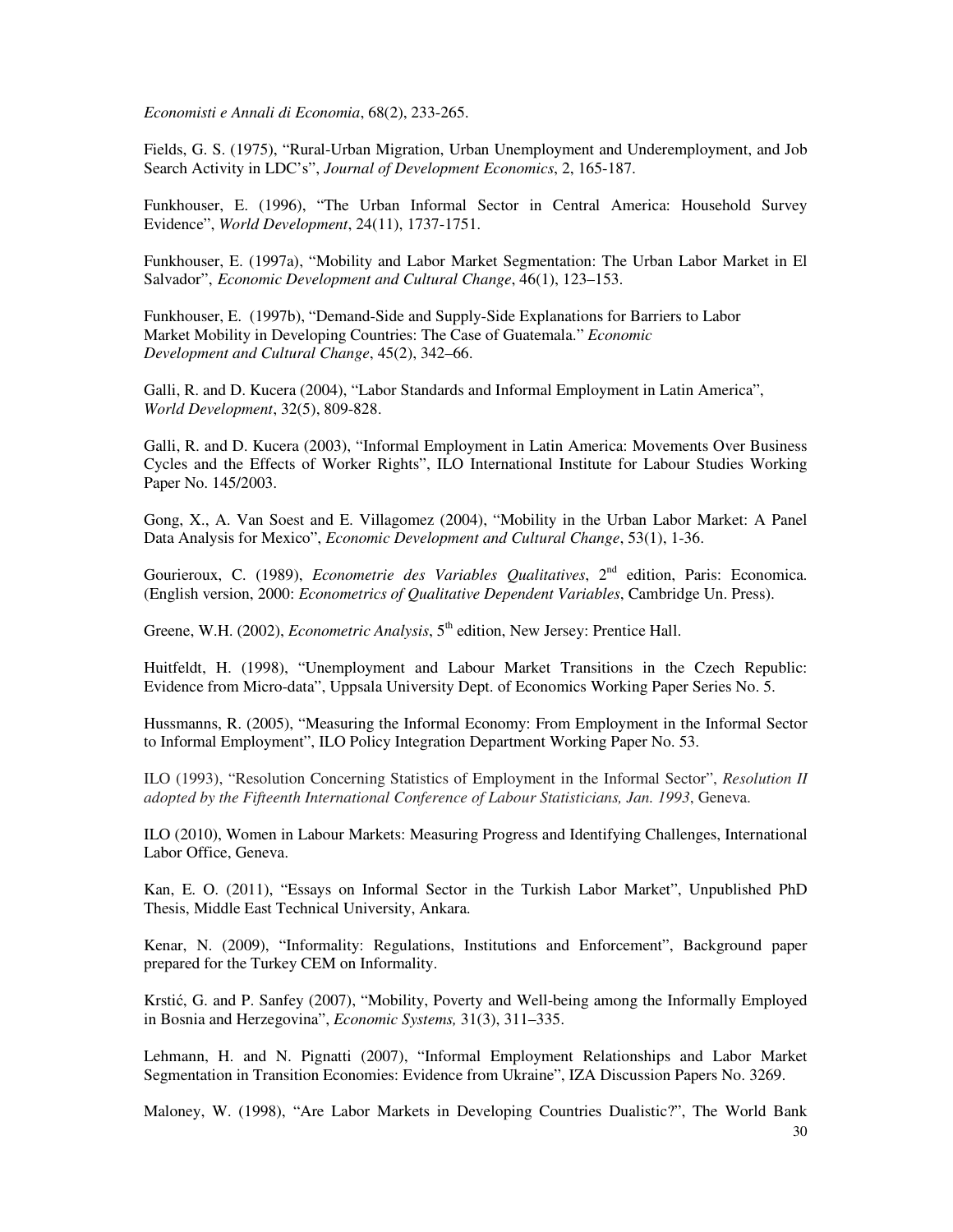*Economisti e Annali di Economia*, 68(2), 233-265.

Fields, G. S. (1975), "Rural-Urban Migration, Urban Unemployment and Underemployment, and Job Search Activity in LDC's", *Journal of Development Economics*, 2, 165-187.

Funkhouser, E. (1996), "The Urban Informal Sector in Central America: Household Survey Evidence", *World Development*, 24(11), 1737-1751.

Funkhouser, E. (1997a), "Mobility and Labor Market Segmentation: The Urban Labor Market in El Salvador", *Economic Development and Cultural Change*, 46(1), 123–153.

Funkhouser, E. (1997b), "Demand-Side and Supply-Side Explanations for Barriers to Labor Market Mobility in Developing Countries: The Case of Guatemala." *Economic Development and Cultural Change*, 45(2), 342–66.

Galli, R. and D. Kucera (2004), "Labor Standards and Informal Employment in Latin America", *World Development*, 32(5), 809-828.

Galli, R. and D. Kucera (2003), "Informal Employment in Latin America: Movements Over Business Cycles and the Effects of Worker Rights", ILO International Institute for Labour Studies Working Paper No. 145/2003.

Gong, X., A. Van Soest and E. Villagomez (2004), "Mobility in the Urban Labor Market: A Panel Data Analysis for Mexico", *Economic Development and Cultural Change*, 53(1), 1-36.

Gourieroux, C. (1989), *Econometrie des Variables Qualitatives*, 2<sup>nd</sup> edition, Paris: Economica. (English version, 2000: *Econometrics of Qualitative Dependent Variables*, Cambridge Un. Press).

Greene, W.H. (2002), *Econometric Analysis*, 5<sup>th</sup> edition, New Jersey: Prentice Hall.

Huitfeldt, H. (1998), "Unemployment and Labour Market Transitions in the Czech Republic: Evidence from Micro-data", Uppsala University Dept. of Economics Working Paper Series No. 5.

Hussmanns, R. (2005), "Measuring the Informal Economy: From Employment in the Informal Sector to Informal Employment", ILO Policy Integration Department Working Paper No. 53.

ILO (1993), "Resolution Concerning Statistics of Employment in the Informal Sector", *Resolution II adopted by the Fifteenth International Conference of Labour Statisticians, Jan. 1993*, Geneva.

ILO (2010), Women in Labour Markets: Measuring Progress and Identifying Challenges, International Labor Office, Geneva.

Kan, E. O. (2011), "Essays on Informal Sector in the Turkish Labor Market", Unpublished PhD Thesis, Middle East Technical University, Ankara.

Kenar, N. (2009), "Informality: Regulations, Institutions and Enforcement", Background paper prepared for the Turkey CEM on Informality.

Krstić, G. and P. Sanfey (2007), "Mobility, Poverty and Well-being among the Informally Employed in Bosnia and Herzegovina", *Economic Systems,* 31(3), 311–335.

Lehmann, H. and N. Pignatti (2007), "Informal Employment Relationships and Labor Market Segmentation in Transition Economies: Evidence from Ukraine", IZA Discussion Papers No. 3269.

Maloney, W. (1998), "Are Labor Markets in Developing Countries Dualistic?", The World Bank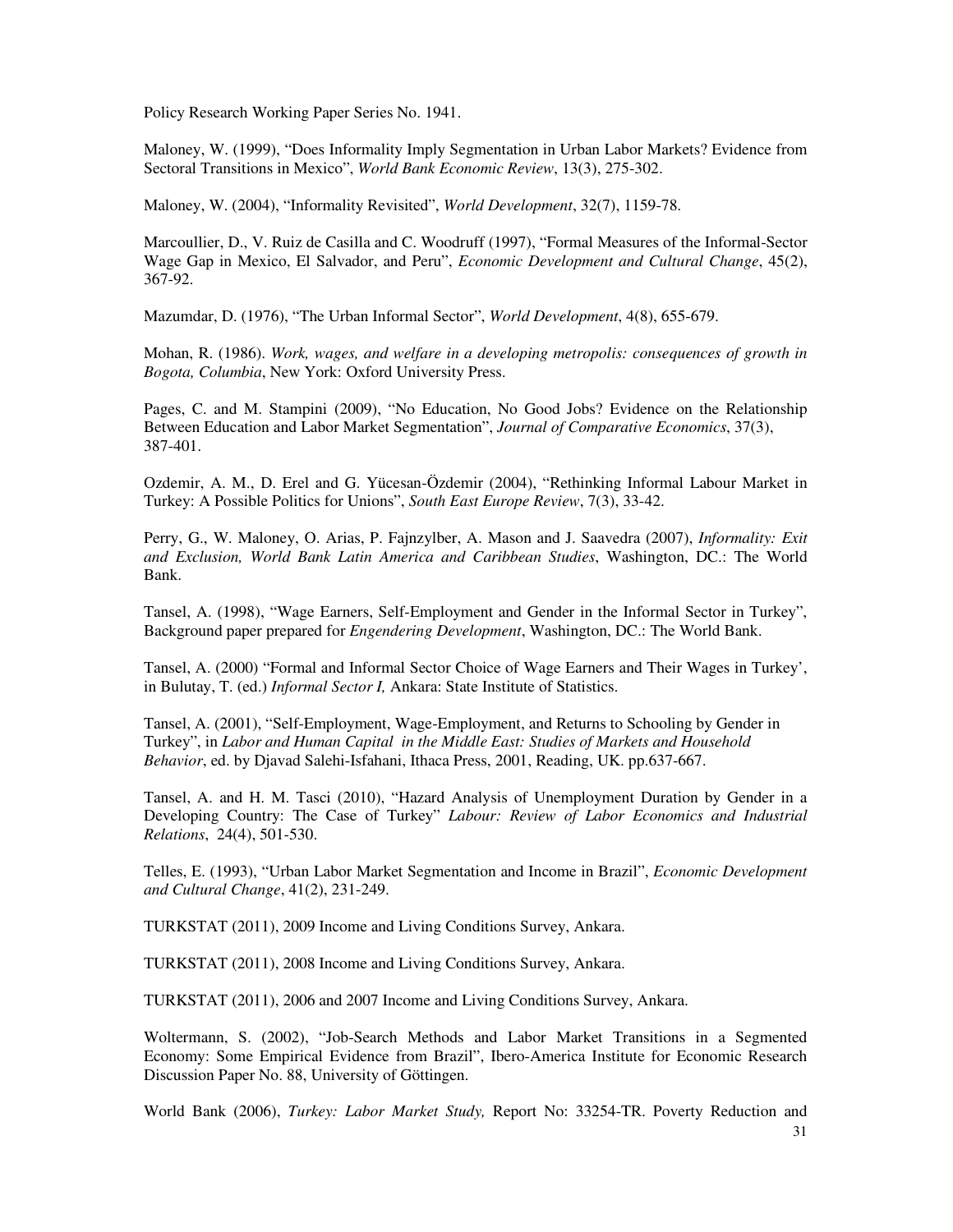Policy Research Working Paper Series No. 1941.

Maloney, W. (1999), "Does Informality Imply Segmentation in Urban Labor Markets? Evidence from Sectoral Transitions in Mexico", *World Bank Economic Review*, 13(3), 275-302.

Maloney, W. (2004), "Informality Revisited", *World Development*, 32(7), 1159-78.

Marcoullier, D., V. Ruiz de Casilla and C. Woodruff (1997), "Formal Measures of the Informal-Sector Wage Gap in Mexico, El Salvador, and Peru", *Economic Development and Cultural Change*, 45(2), 367-92.

Mazumdar, D. (1976), "The Urban Informal Sector", *World Development*, 4(8), 655-679.

Mohan, R. (1986). *Work, wages, and welfare in a developing metropolis: consequences of growth in Bogota, Columbia*, New York: Oxford University Press.

Pages, C. and M. Stampini (2009), "No Education, No Good Jobs? Evidence on the Relationship Between Education and Labor Market Segmentation", *Journal of Comparative Economics*, 37(3), 387-401.

Ozdemir, A. M., D. Erel and G. Yücesan-Özdemir (2004), "Rethinking Informal Labour Market in Turkey: A Possible Politics for Unions", *South East Europe Review*, 7(3), 33-42.

Perry, G., W. Maloney, O. Arias, P. Fajnzylber, A. Mason and J. Saavedra (2007), *Informality: Exit and Exclusion, World Bank Latin America and Caribbean Studies*, Washington, DC.: The World Bank.

Tansel, A. (1998), "Wage Earners, Self-Employment and Gender in the Informal Sector in Turkey", Background paper prepared for *Engendering Development*, Washington, DC.: The World Bank.

Tansel, A. (2000) "Formal and Informal Sector Choice of Wage Earners and Their Wages in Turkey', in Bulutay, T. (ed.) *Informal Sector I,* Ankara: State Institute of Statistics.

Tansel, A. (2001), "Self-Employment, Wage-Employment, and Returns to Schooling by Gender in Turkey", in *Labor and Human Capital in the Middle East: Studies of Markets and Household Behavior*, ed. by Djavad Salehi-Isfahani, Ithaca Press, 2001, Reading, UK. pp.637-667.

Tansel, A. and H. M. Tasci (2010), "Hazard Analysis of Unemployment Duration by Gender in a Developing Country: The Case of Turkey" *Labour: Review of Labor Economics and Industrial Relations*, 24(4), 501-530.

Telles, E. (1993), "Urban Labor Market Segmentation and Income in Brazil", *Economic Development and Cultural Change*, 41(2), 231-249.

TURKSTAT (2011), 2009 Income and Living Conditions Survey, Ankara.

TURKSTAT (2011), 2008 Income and Living Conditions Survey, Ankara.

TURKSTAT (2011), 2006 and 2007 Income and Living Conditions Survey, Ankara.

Woltermann, S. (2002), "Job-Search Methods and Labor Market Transitions in a Segmented Economy: Some Empirical Evidence from Brazil", Ibero-America Institute for Economic Research Discussion Paper No. 88, University of Göttingen.

World Bank (2006), *Turkey: Labor Market Study,* Report No: 33254-TR. Poverty Reduction and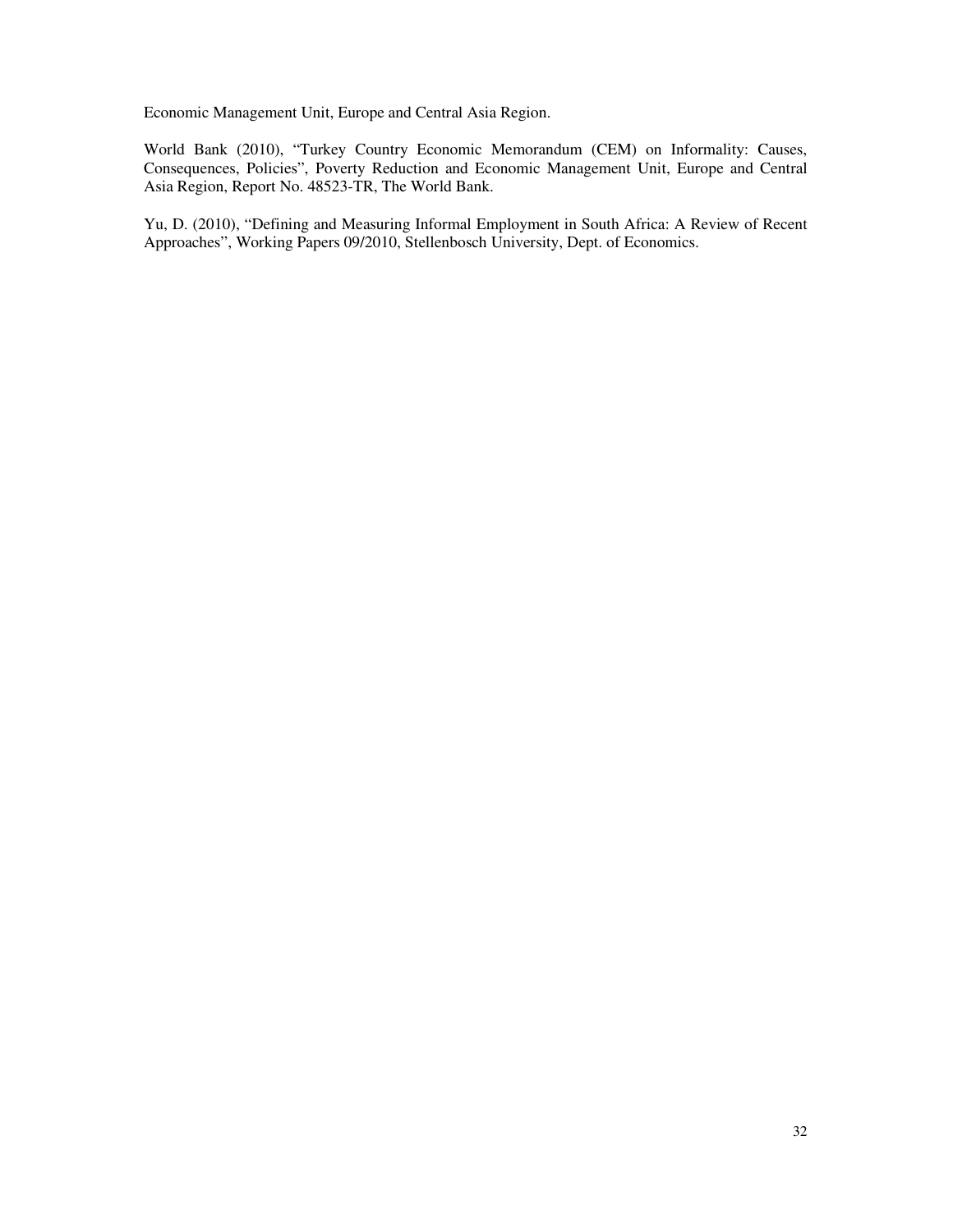Economic Management Unit, Europe and Central Asia Region.

World Bank (2010), "Turkey Country Economic Memorandum (CEM) on Informality: Causes, Consequences, Policies", Poverty Reduction and Economic Management Unit, Europe and Central Asia Region, Report No. 48523-TR, The World Bank.

Yu, D. (2010), "Defining and Measuring Informal Employment in South Africa: A Review of Recent Approaches", Working Papers 09/2010, Stellenbosch University, Dept. of Economics.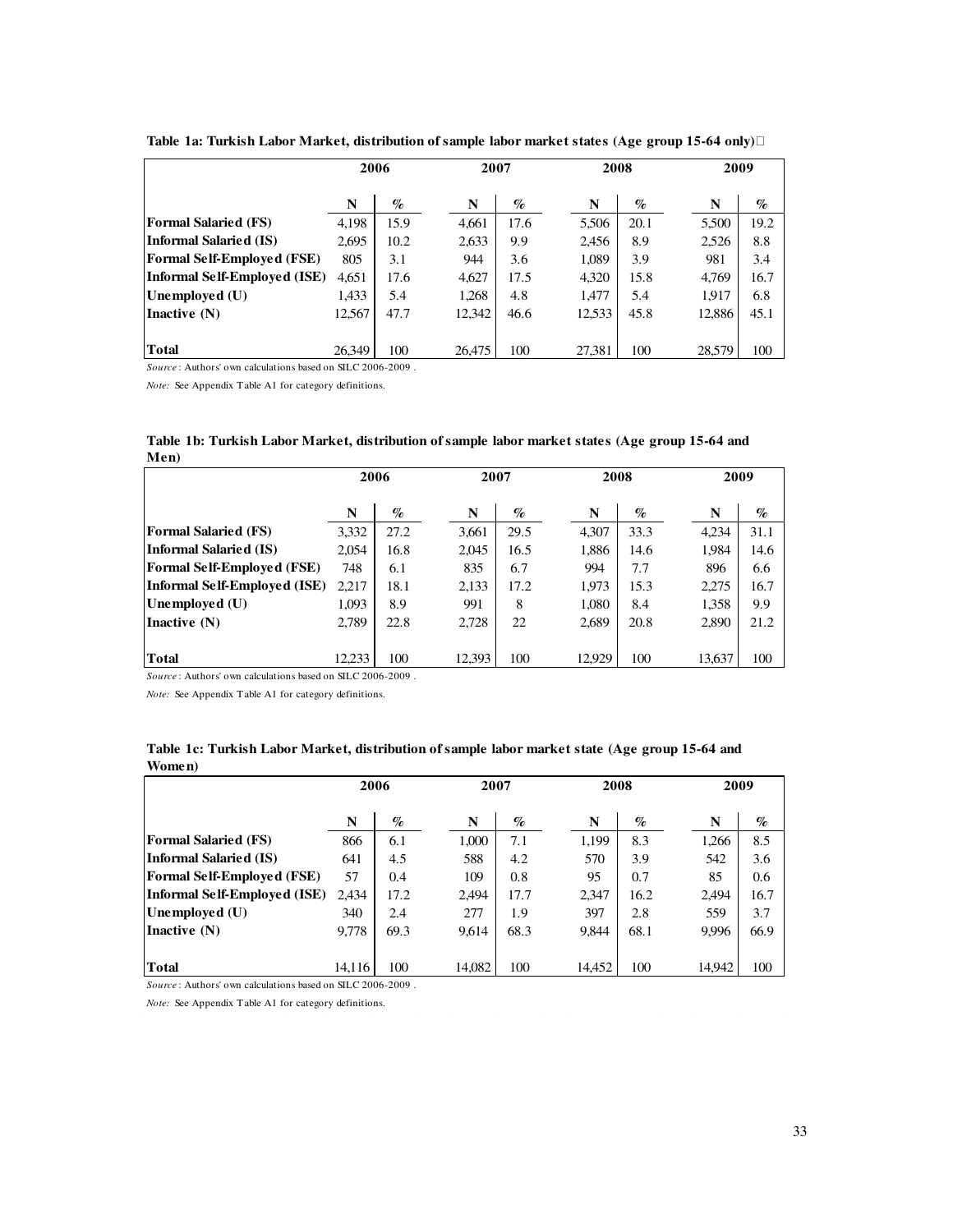|                                   | 2006   |      | 2007   |      | 2008   |      |        | 2009 |
|-----------------------------------|--------|------|--------|------|--------|------|--------|------|
|                                   | N      | $\%$ | N      | $\%$ | N      | $\%$ | N      | $\%$ |
| <b>Formal Salaried (FS)</b>       | 4,198  | 15.9 | 4,661  | 17.6 | 5,506  | 20.1 | 5,500  | 19.2 |
| Informal Salaried (IS)            | 2,695  | 10.2 | 2,633  | 9.9  | 2,456  | 8.9  | 2,526  | 8.8  |
| <b>Formal Self-Employed (FSE)</b> | 805    | 3.1  | 944    | 3.6  | 1,089  | 3.9  | 981    | 3.4  |
| Informal Self-Emploved (ISE)      | 4,651  | 17.6 | 4,627  | 17.5 | 4,320  | 15.8 | 4,769  | 16.7 |
| Unemployed $(U)$                  | 1,433  | 5.4  | 1,268  | 4.8  | 1,477  | 5.4  | 1,917  | 6.8  |
| Inactive $(N)$                    | 12,567 | 47.7 | 12.342 | 46.6 | 12,533 | 45.8 | 12,886 | 45.1 |
|                                   |        |      |        |      |        |      |        |      |
| <b>Total</b>                      | 26.349 | 100  | 26.475 | 100  | 27.381 | 100  | 28.579 | 100  |

**Table 1a: Turkish Labor Market, distribution of sample labor market states (Age group 15-64 only)**

*Source* : Authors' own calculations based on SILC 2006-2009 .

*Note:* See Appendix T able A1 for category definitions.

| мен)                              |        |      |        |      |        |      |        |      |
|-----------------------------------|--------|------|--------|------|--------|------|--------|------|
|                                   | 2006   |      | 2007   |      | 2008   |      | 2009   |      |
|                                   | N      | $\%$ | N      | $\%$ | N      | $\%$ | N      | $\%$ |
| <b>Formal Salaried (FS)</b>       | 3,332  | 27.2 | 3,661  | 29.5 | 4,307  | 33.3 | 4,234  | 31.1 |
| Informal Salaried (IS)            | 2,054  | 16.8 | 2,045  | 16.5 | 1,886  | 14.6 | 1,984  | 14.6 |
| <b>Formal Self-Employed (FSE)</b> | 748    | 6.1  | 835    | 6.7  | 994    | 7.7  | 896    | 6.6  |
| Informal Self-Employed (ISE)      | 2,217  | 18.1 | 2,133  | 17.2 | 1,973  | 15.3 | 2,275  | 16.7 |
| Unemployed $(U)$                  | 1,093  | 8.9  | 991    | 8    | 1,080  | 8.4  | 1,358  | 9.9  |
| Inactive (N)                      | 2,789  | 22.8 | 2,728  | 22   | 2,689  | 20.8 | 2,890  | 21.2 |
|                                   |        |      |        |      |        |      |        |      |
| Total                             | 12.233 | 100  | 12.393 | 100  | 12.929 | 100  | 13,637 | 100  |

**Table 1b: Turkish Labor Market, distribution of sample labor market states (Age group 15-64 and Men)** 

*Source* : Authors' own calculations based on SILC 2006-2009 .

*Note:* See Appendix T able A1 for category definitions.

| Women)                            |        |      |        |      |        |      |        |      |
|-----------------------------------|--------|------|--------|------|--------|------|--------|------|
|                                   | 2006   |      |        | 2007 |        | 2008 |        | 2009 |
|                                   | N      | $\%$ | N      | $\%$ | N      | $\%$ | N      | $\%$ |
| <b>Formal Salaried (FS)</b>       | 866    | 6.1  | 1,000  | 7.1  | 1,199  | 8.3  | 1,266  | 8.5  |
| Informal Salaried (IS)            | 641    | 4.5  | 588    | 4.2  | 570    | 3.9  | 542    | 3.6  |
| <b>Formal Self-Employed (FSE)</b> | 57     | 0.4  | 109    | 0.8  | 95     | 0.7  | 85     | 0.6  |
| Informal Self-Employed (ISE)      | 2.434  | 17.2 | 2,494  | 17.7 | 2,347  | 16.2 | 2,494  | 16.7 |
| Unemployed $(U)$                  | 340    | 2.4  | 277    | 1.9  | 397    | 2.8  | 559    | 3.7  |
| Inactive $(N)$                    | 9,778  | 69.3 | 9,614  | 68.3 | 9,844  | 68.1 | 9,996  | 66.9 |
| Total                             | 14.116 | 100  | 14.082 | 100  | 14.452 | 100  | 14,942 | 100  |

**Table 1c: Turkish Labor Market, distribution of sample labor market state (Age group 15-64 and** 

*Source* : Authors' own calculations based on SILC 2006-2009 .

*Note:* See Appendix T able A1 for category definitions.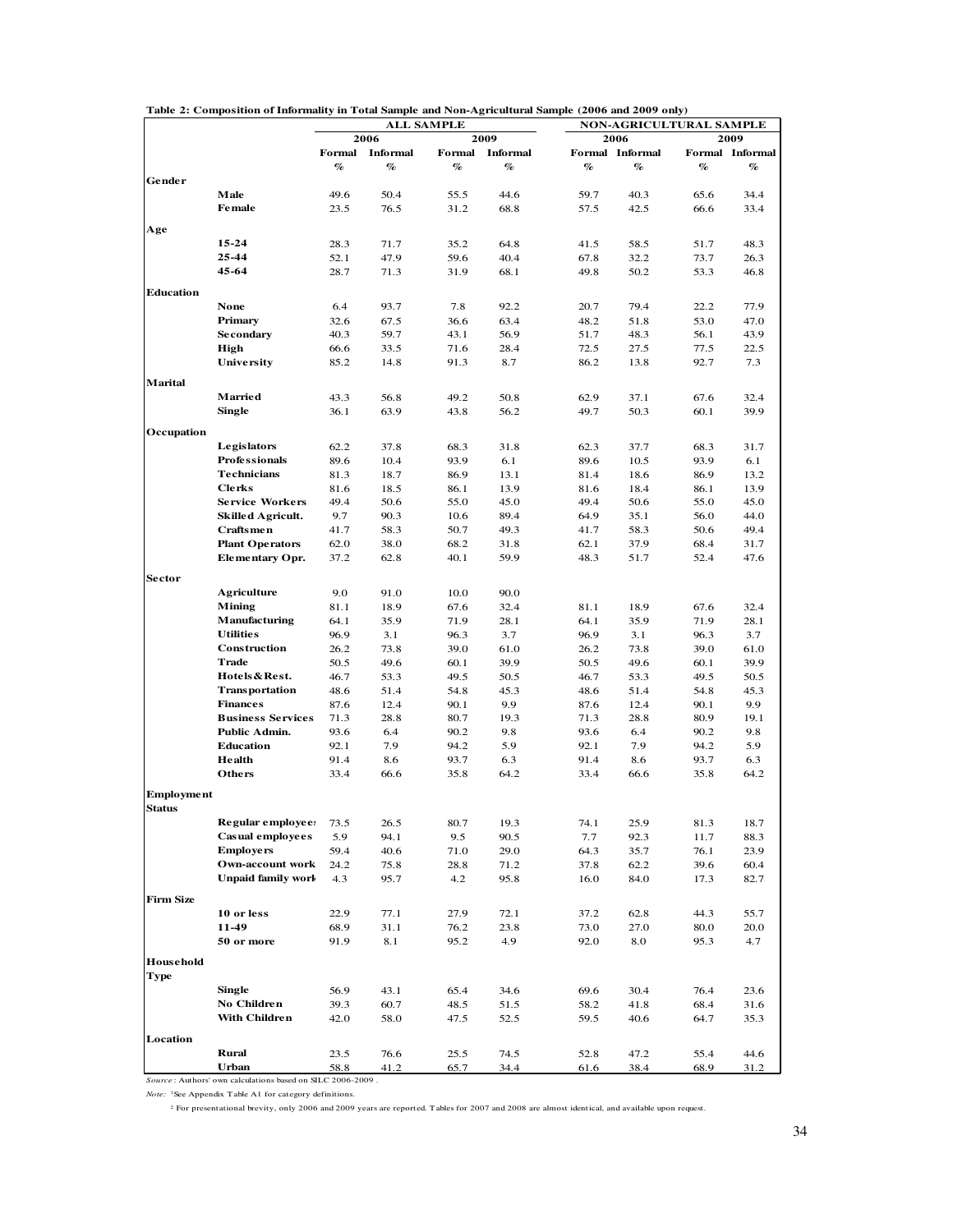|                   |                           |              |                         | <b>ALL SAMPLE</b>           |                         |              | <b>NON-AGRICULTURAL SAMPLE</b> |              |                         |
|-------------------|---------------------------|--------------|-------------------------|-----------------------------|-------------------------|--------------|--------------------------------|--------------|-------------------------|
|                   |                           |              | 2006                    |                             | 2009                    |              | 2006                           |              | 2009                    |
|                   |                           |              | Formal Informal<br>$\%$ | $\mathcal{A}_{\mathcal{O}}$ | Formal Informal<br>$\%$ | %            | Formal Informal<br>$\%$        | $\%$         | Formal Informal<br>$\%$ |
| Gender            |                           | %            |                         |                             |                         |              |                                |              |                         |
|                   | Male                      | 49.6         | 50.4                    | 55.5                        | 44.6                    | 59.7         | 40.3                           | 65.6         | 34.4                    |
|                   | <b>Female</b>             | 23.5         | 76.5                    | 31.2                        | 68.8                    | 57.5         | 42.5                           | 66.6         | 33.4                    |
|                   |                           |              |                         |                             |                         |              |                                |              |                         |
| Age               |                           |              |                         |                             |                         |              |                                |              |                         |
|                   | 15-24<br>25-44            | 28.3<br>52.1 | 71.7<br>47.9            | 35.2<br>59.6                | 64.8<br>40.4            | 41.5<br>67.8 | 58.5<br>32.2                   | 51.7<br>73.7 | 48.3<br>26.3            |
|                   | 45-64                     | 28.7         | 71.3                    | 31.9                        | 68.1                    | 49.8         | 50.2                           | 53.3         | 46.8                    |
|                   |                           |              |                         |                             |                         |              |                                |              |                         |
| <b>Education</b>  |                           |              |                         |                             |                         |              |                                |              |                         |
|                   | None                      | 6.4          | 93.7                    | 7.8                         | 92.2                    | 20.7         | 79.4                           | 22.2         | 77.9                    |
|                   | Primary                   | 32.6         | 67.5                    | 36.6                        | 63.4                    | 48.2         | 51.8                           | 53.0         | 47.0                    |
|                   | <b>Secondary</b>          | 40.3         | 59.7                    | 43.1                        | 56.9                    | 51.7         | 48.3                           | 56.1         | 43.9                    |
|                   | High<br>University        | 66.6         | 33.5                    | 71.6                        | 28.4                    | 72.5         | 27.5                           | 77.5         | 22.5                    |
|                   |                           | 85.2         | 14.8                    | 91.3                        | 8.7                     | 86.2         | 13.8                           | 92.7         | 7.3                     |
| <b>Marital</b>    |                           |              |                         |                             |                         |              |                                |              |                         |
|                   | <b>Married</b>            | 43.3         | 56.8                    | 49.2                        | 50.8                    | 62.9         | 37.1                           | 67.6         | 32.4                    |
|                   | <b>Single</b>             | 36.1         | 63.9                    | 43.8                        | 56.2                    | 49.7         | 50.3                           | 60.1         | 39.9                    |
| Occupation        |                           |              |                         |                             |                         |              |                                |              |                         |
|                   | Legislators               | 62.2         | 37.8                    | 68.3                        | 31.8                    | 62.3         | 37.7                           | 68.3         | 31.7                    |
|                   | <b>Professionals</b>      | 89.6         | 10.4                    | 93.9                        | 6.1                     | 89.6         | 10.5                           | 93.9         | 6.1                     |
|                   | <b>Technicians</b>        | 81.3         | 18.7                    | 86.9                        | 13.1                    | 81.4         | 18.6                           | 86.9         | 13.2                    |
|                   | <b>Clerks</b>             | 81.6         | 18.5                    | 86.1                        | 13.9                    | 81.6         | 18.4                           | 86.1         | 13.9                    |
|                   | <b>Service Workers</b>    | 49.4         | 50.6                    | 55.0                        | 45.0                    | 49.4         | 50.6                           | 55.0         | 45.0                    |
|                   | <b>Skilled Agricult.</b>  | 9.7          | 90.3                    | 10.6                        | 89.4                    | 64.9         | 35.1                           | 56.0         | 44.0                    |
|                   | Craftsmen                 | 41.7         | 58.3                    | 50.7                        | 49.3                    | 41.7         | 58.3                           | 50.6         | 49.4                    |
|                   | <b>Plant Operators</b>    | 62.0         | 38.0                    | 68.2                        | 31.8                    | 62.1         | 37.9                           | 68.4         | 31.7                    |
|                   | Elementary Opr.           | 37.2         | 62.8                    | 40.1                        | 59.9                    | 48.3         | 51.7                           | 52.4         | 47.6                    |
| Sector            |                           |              |                         |                             |                         |              |                                |              |                         |
|                   | <b>Agriculture</b>        | 9.0          | 91.0                    | 10.0                        | 90.0                    |              |                                |              |                         |
|                   | <b>Mining</b>             | 81.1         | 18.9                    | 67.6                        | 32.4                    | 81.1         | 18.9                           | 67.6         | 32.4                    |
|                   | Manufacturing             | 64.1         | 35.9                    | 71.9                        | 28.1                    | 64.1         | 35.9                           | 71.9         | 28.1                    |
|                   | <b>Utilities</b>          | 96.9         | 3.1                     | 96.3                        | 3.7                     | 96.9         | 3.1                            | 96.3         | 3.7                     |
|                   | Construction              | 26.2         | 73.8                    | 39.0                        | 61.0                    | 26.2         | 73.8                           | 39.0         | 61.0                    |
|                   | <b>Trade</b>              | 50.5         | 49.6                    | 60.1                        | 39.9                    | 50.5         | 49.6                           | 60.1         | 39.9                    |
|                   | Hotels & Rest.            | 46.7         | 53.3                    | 49.5                        | 50.5                    | 46.7         | 53.3                           | 49.5         | 50.5                    |
|                   | Transportation            | 48.6         | 51.4                    | 54.8                        | 45.3                    | 48.6         | 51.4                           | 54.8         | 45.3                    |
|                   | <b>Finances</b>           | 87.6         | 12.4                    | 90.1                        | 9.9                     | 87.6         | 12.4                           | 90.1         | 9.9                     |
|                   | <b>Business Services</b>  | 71.3         | 28.8                    | 80.7                        | 19.3                    | 71.3         | 28.8                           | 80.9         | 19.1                    |
|                   | Public Admin.             | 93.6         | 6.4                     | 90.2                        | 9.8                     | 93.6         | 6.4                            | 90.2         | 9.8                     |
|                   | <b>Education</b>          | 92.1         | 7.9                     | 94.2                        | 5.9                     | 92.1         | 7.9                            | 94.2         | 5.9                     |
|                   | Health                    | 91.4         | 8.6                     | 93.7                        | 6.3                     | 91.4         | 8.6                            | 93.7         | 6.3                     |
|                   | <b>Others</b>             | 33.4         | 66.6                    | 35.8                        | 64.2                    | 33.4         | 66.6                           | 35.8         | 64.2                    |
| <b>Employment</b> |                           |              |                         |                             |                         |              |                                |              |                         |
| Status            | Regular employee:         | 73.5         | 26.5                    | 80.7                        | 19.3                    | 74.1         | 25.9                           | 81.3         | 18.7                    |
|                   | <b>Casual employees</b>   | 5.9          | 94.1                    | 9.5                         | 90.5                    | 7.7          | 92.3                           | 11.7         | 88.3                    |
|                   | <b>Employers</b>          | 59.4         | 40.6                    | 71.0                        | 29.0                    | 64.3         | 35.7                           | 76.1         | 23.9                    |
|                   | Own-account work          | 24.2         | 75.8                    | 28.8                        | 71.2                    | 37.8         | 62.2                           | 39.6         | 60.4                    |
|                   | <b>Unpaid family work</b> | 4.3          | 95.7                    | 4.2                         | 95.8                    | 16.0         | 84.0                           | 17.3         | 82.7                    |
|                   |                           |              |                         |                             |                         |              |                                |              |                         |
| <b>Firm Size</b>  |                           |              |                         |                             |                         |              |                                |              |                         |
|                   | 10 or less                | 22.9         | 77.1                    | 27.9                        | 72.1                    | 37.2         | 62.8                           | 44.3         | 55.7                    |
|                   | 11-49                     | 68.9         | 31.1                    | 76.2                        | 23.8                    | 73.0         | 27.0                           | 80.0         | 20.0                    |
|                   | 50 or more                | 91.9         | 8.1                     | 95.2                        | 4.9                     | 92.0         | 8.0                            | 95.3         | 4.7                     |
| Household<br>Type |                           |              |                         |                             |                         |              |                                |              |                         |
|                   | <b>Single</b>             | 56.9         | 43.1                    | 65.4                        | 34.6                    | 69.6         | 30.4                           | 76.4         | 23.6                    |
|                   | No Children               | 39.3         | 60.7                    | 48.5                        | 51.5                    | 58.2         | 41.8                           | 68.4         | 31.6                    |
|                   | With Children             | 42.0         | 58.0                    | 47.5                        | 52.5                    | 59.5         | 40.6                           | 64.7         | 35.3                    |
|                   |                           |              |                         |                             |                         |              |                                |              |                         |
| Location          |                           |              |                         |                             |                         |              |                                |              |                         |
|                   | Rural                     | 23.5         | 76.6                    | 25.5                        | 74.5                    | 52.8         | 47.2                           | 55.4         | 44.6                    |
|                   | Urban                     | 58.8         | 41.2                    | 65.7                        | 34.4                    | 61.6         | 38.4                           | 68.9         | 31.2                    |

**Table 2: Composition of Informality in Total Sample and Non-Agricultural Sample (2006 and 2009 only)**

*Note:* 1See Appendix Table A1 for category definitions.

<sup>2</sup> For presentational brevity, only 2006 and 2009 years are reported. Tables for 2007 and 2008 are almost identical, and available upon request.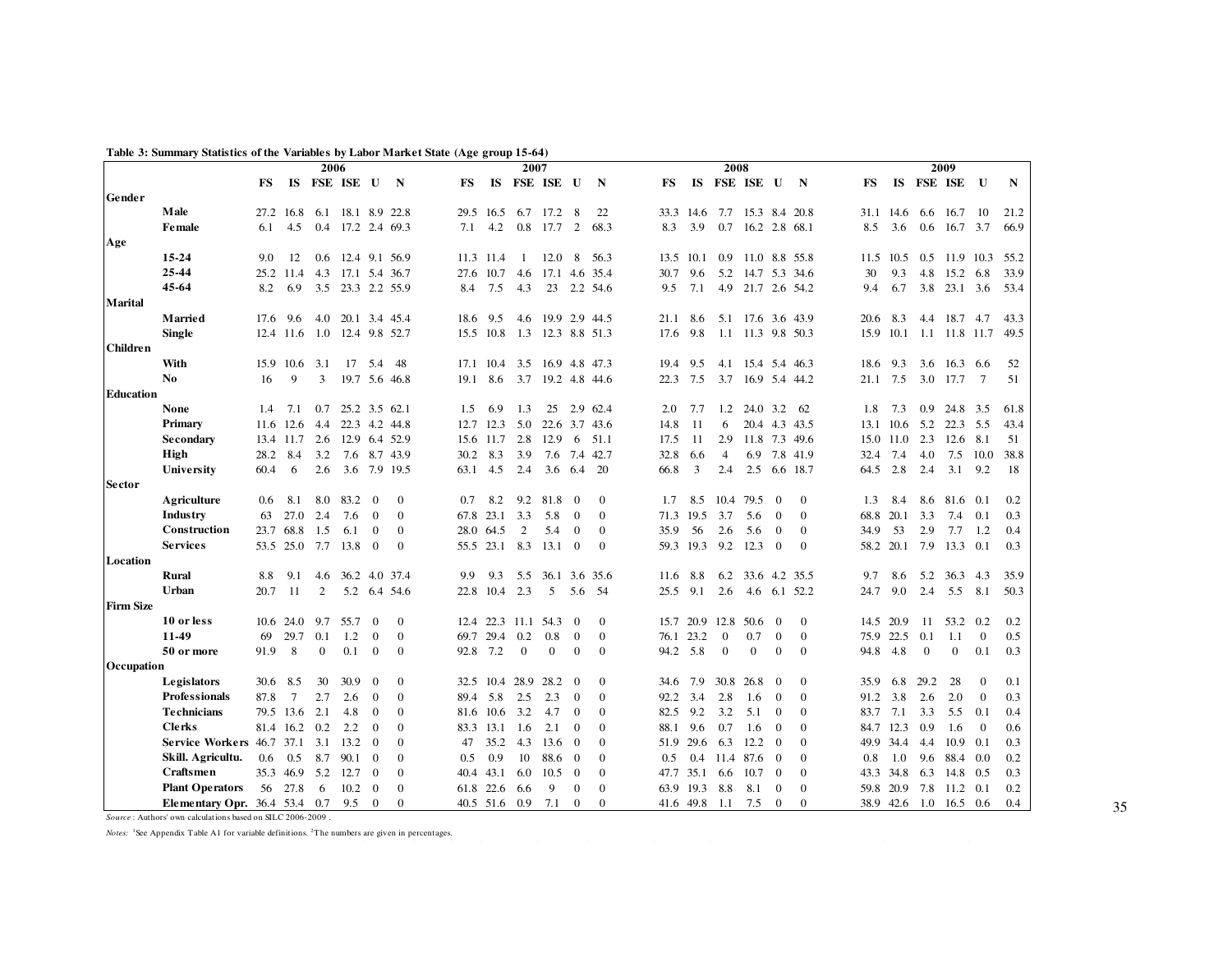|                  |                               |                  |                 |               | 2006              |                |               |      |               | 2007           |                             |                |               |      |           | 2008           |                     |                |                |           |               |              | 2009                         |                |             |
|------------------|-------------------------------|------------------|-----------------|---------------|-------------------|----------------|---------------|------|---------------|----------------|-----------------------------|----------------|---------------|------|-----------|----------------|---------------------|----------------|----------------|-----------|---------------|--------------|------------------------------|----------------|-------------|
|                  |                               | FS               | IS              |               | FSE ISE U         |                | $\mathbf N$   | FS   | IS            |                | FSE ISE U                   |                | N             | FS   | IS        |                | FSE ISE             | U              | N              | <b>FS</b> |               |              | IS FSE ISE                   | $\mathbf{U}$   | $\mathbf N$ |
| Gender           |                               |                  |                 |               |                   |                |               |      |               |                |                             |                |               |      |           |                |                     |                |                |           |               |              |                              |                |             |
|                  | Male                          |                  | 27.2 16.8       |               | 6.1 18.1 8.9 22.8 |                |               |      | 29.5 16.5     | 6.7            | 17.2                        | 8              | 22            |      | 33.3 14.6 | 7.7            | 15.3 8.4 20.8       |                |                |           | 31.1 14.6     | 6.6          | 16.7                         | 10             | 21.2        |
|                  | <b>Female</b>                 | 6.1              | 4.5             |               | 0.4 17.2 2.4 69.3 |                |               | 7.1  | 4.2           | $0.8\,$        | 17.7                        | 2              | 68.3          | 8.3  | 3.9       |                | $0.7$ 16.2 2.8 68.1 |                |                | 8.5       | 3.6           | 0.6          | 16.7 3.7                     |                | 66.9        |
| Age              |                               |                  |                 |               |                   |                |               |      |               |                |                             |                |               |      |           |                |                     |                |                |           |               |              |                              |                |             |
|                  | 15-24                         | 9.0              | 12              |               | 0.6 12.4 9.1 56.9 |                |               |      | 11.3 11.4     | -1             | $12.0\quad 8$               |                | 56.3          |      | 13.5 10.1 |                | 0.9 11.0 8.8 55.8   |                |                |           |               |              | 11.5 10.5 0.5 11.9 10.3 55.2 |                |             |
|                  | 25-44                         |                  | 25.2 11.4       |               | 4.3 17.1 5.4 36.7 |                |               | 27.6 | 10.7          | 4.6            | 17.1 4.6 35.4               |                |               | 30.7 | 9.6       |                | 5.2 14.7 5.3 34.6   |                |                | 30        | 9.3           | 4.8          | 15.2 6.8                     |                | 33.9        |
|                  | 45-64                         | 8.2              | 6.9             | 3.5           |                   |                | 23.3 2.2 55.9 | 8.4  | 7.5           | 4.3            | 23                          |                | 2.2 54.6      | 9.5  | 7.1       |                | 4.9 21.7 2.6 54.2   |                |                | 9.4       | 6.7           | 3.8          | 23.1                         | 3.6            | 53.4        |
| <b>Marital</b>   |                               |                  |                 |               |                   |                |               |      |               |                |                             |                |               |      |           |                |                     |                |                |           |               |              |                              |                |             |
|                  | Married                       | 17.6             | 9.6             |               | 4.0 20.1 3.4 45.4 |                |               | 18.6 | 9.5           |                | 4.6 19.9 2.9 44.5           |                |               | 21.1 | 8.6       |                | 5.1 17.6 3.6 43.9   |                |                | 20.6      | 8.3           |              | 4.4 18.7 4.7                 |                | 43.3        |
|                  | <b>Single</b>                 |                  | 12.4 11.6       | 1.0           | 12.4 9.8 52.7     |                |               |      | 15.5 10.8     |                | 1.3 12.3 8.8 51.3           |                |               | 17.6 | 9.8       |                | 1.1 11.3 9.8 50.3   |                |                | 15.9      | 10.1          |              | 1.1 11.8 11.7                |                | 49.5        |
| Children         |                               |                  |                 |               |                   |                |               |      |               |                |                             |                |               |      |           |                |                     |                |                |           |               |              |                              |                |             |
|                  | With                          |                  | 15.9 10.6 3.1   |               |                   | 17 5.4         | 48            |      |               |                | 17.1 10.4 3.5 16.9 4.8 47.3 |                |               |      | 19.4 9.5  |                | 4.1 15.4 5.4 46.3   |                |                | 18.6      | 9.3           | 3.6          | 16.3 6.6                     |                | 52          |
|                  | N <sub>0</sub>                | 16               | 9               | 3             |                   |                | 19.7 5.6 46.8 | 19.1 | 8.6           |                | 3.7 19.2 4.8 44.6           |                |               | 22.3 | 7.5       |                | 3.7 16.9 5.4 44.2   |                |                |           | 21.1 7.5      | 3.0          | 17.7                         | $\overline{7}$ | 51          |
| Education        |                               |                  |                 |               |                   |                |               |      |               |                |                             |                |               |      |           |                |                     |                |                |           |               |              |                              |                |             |
|                  | <b>None</b>                   | $1.4\phantom{0}$ | 7.1             | 0.7           |                   |                | 25.2 3.5 62.1 | 1.5  | 6.9           | 1.3            | 25                          |                | 2.9 62.4      | 2.0  | 7.7       | 1.2            | 24.0 3.2            |                | 62             | 1.8       | 7.3           | 0.9          | 24.8                         | 3.5            | 61.8        |
|                  | Primary                       | 11.6             |                 | $12.6$ 4.4    |                   |                | 22.3 4.2 44.8 |      | 12.7 12.3     | 5.0            |                             |                | 22.6 3.7 43.6 | 14.8 | -11       | 6              |                     |                | 20.4 4.3 43.5  | 13.1      |               |              | 10.6 5.2 22.3 5.5            |                | 43.4        |
|                  | Secondary                     |                  |                 | 13.4 11.7 2.6 |                   |                | 12.9 6.4 52.9 |      | 15.6 11.7     | 2.8            | 12.9                        | 6              | 51.1          | 17.5 | 11        | 2.9            |                     |                | 11.8 7.3 49.6  |           | 15.0 11.0 2.3 |              | 12.6                         | 8.1            | 51          |
|                  | High                          | 28.2             | 8.4             | 3.2           |                   |                | 7.6 8.7 43.9  | 30.2 | 8.3           | 3.9            | 7.6                         | 7.4            | 42.7          | 32.8 | 6.6       | $\overline{4}$ | 6.9                 |                | 7.8 41.9       | 32.4      | 7.4           | 4.0          | 7.5                          | 10.0           | 38.8        |
|                  | <b>University</b>             | 60.4             | 6               | 2.6           |                   |                | 3.6 7.9 19.5  | 63.1 | 4.5           | 2.4            | 3.6                         | 6.4            | -20           | 66.8 | 3         | 2.4            | 2.5                 |                | 6.6 18.7       | 64.5      | 2.8           | 2.4          | 3.1                          | 9.2            | 18          |
| <b>Sector</b>    |                               |                  |                 |               |                   |                |               |      |               |                |                             |                |               |      |           |                |                     |                |                |           |               |              |                              |                |             |
|                  | Agriculture                   | 0.6              | 8.1             | 8.0           | 83.2              | $\Omega$       | $\mathbf{0}$  | 0.7  | 8.2           | 9.2            | 81.8                        | $\Omega$       | $\mathbf{0}$  | 1.7  |           |                | 8.5 10.4 79.5       | $\Omega$       | $\Omega$       | 1.3       | 8.4           |              | 8.6 81.6 0.1                 |                | 0.2         |
|                  | Industry                      | 63               | 27.0            | 2.4           | 7.6               | $\Omega$       | $\Omega$      |      | 67.8 23.1     | 3.3            | 5.8                         | $\Omega$       | $\Omega$      |      | 71.3 19.5 | 3.7            | 5.6                 | $\Omega$       | $\Omega$       | 68.8      | 20.1          | 3.3          | 7.4                          | 0.1            | 0.3         |
|                  | Construction                  |                  | 23.7 68.8       | 1.5           | 6.1               | $\mathbf{0}$   | $\Omega$      |      | 28.0 64.5     | 2              | 5.4                         | $\Omega$       | $\mathbf{0}$  | 35.9 | 56        | 2.6            | 5.6                 | $\overline{0}$ | $\Omega$       | 34.9      | 53            | 2.9          | 7.7                          | 1.2            | 0.4         |
|                  | <b>Services</b>               |                  |                 | 53.5 25.0 7.7 | 13.8              | $\overline{0}$ | $\mathbf{0}$  |      |               |                | 55.5 23.1 8.3 13.1          | $\Omega$       | $\mathbf{0}$  |      | 59.3 19.3 |                | 9.2 12.3            | $\overline{0}$ | $\overline{0}$ |           | 58.2 20.1     | 7.9          | $13.3 \quad 0.1$             |                | 0.3         |
| Location         |                               |                  |                 |               |                   |                |               |      |               |                |                             |                |               |      |           |                |                     |                |                |           |               |              |                              |                |             |
|                  | <b>Rural</b>                  | 8.8              | 9.1             | 4.6           |                   |                | 36.2 4.0 37.4 | 9.9  | 9.3           | 5.5            | 36.1 3.6 35.6               |                |               | 11.6 | 8.8       |                | 6.2 33.6 4.2 35.5   |                |                | 9.7       | 8.6           | 5.2          | 36.3                         | 4.3            | 35.9        |
|                  | Urban                         | 20.7             | -11             | 2             |                   | 5.2 6.4        | 54.6          |      | 22.8 10.4     | 2.3            | 5                           |                | 5.6 54        | 25.5 | 9.1       | 2.6            |                     |                | 4.6 6.1 52.2   | 24.7      | 9.0           | 2.4          | 5.5                          | 8.1            | 50.3        |
| <b>Firm Size</b> |                               |                  |                 |               |                   |                |               |      |               |                |                             |                |               |      |           |                |                     |                |                |           |               |              |                              |                |             |
|                  | 10 or less                    |                  |                 | 10.6 24.0 9.7 | 55.7              | $\overline{0}$ | $\mathbf{0}$  |      |               |                | 12.4 22.3 11.1 54.3         | $\overline{0}$ | $\mathbf{0}$  |      |           |                | 15.7 20.9 12.8 50.6 | $\overline{0}$ | $\mathbf{0}$   |           | 14.5 20.9     | -11          | 53.2 0.2                     |                | 0.2         |
|                  | 11-49                         | 69               | 29.7            | 0.1           | 1.2               | $\mathbf{0}$   | $\mathbf{0}$  |      | 69.7 29.4 0.2 |                | 0.8                         | $\mathbf{0}$   | $\bf{0}$      | 76.1 | 23.2      | $\mathbf{0}$   | 0.7                 | $\mathbf{0}$   | $\overline{0}$ | 75.9      | 22.5          | 0.1          | 1.1                          | $\mathbf{0}$   | 0.5         |
|                  | 50 or more                    | 91.9             | 8               | $\mathbf{0}$  | 0.1               | $\mathbf{0}$   | $\mathbf{0}$  | 92.8 | 7.2           | $\overline{0}$ | $\Omega$                    | $\Omega$       | $\mathbf{0}$  | 94.2 | 5.8       | $\overline{0}$ | $\overline{0}$      | $\overline{0}$ | $\overline{0}$ | 94.8      | 4.8           | $\mathbf{0}$ | $\boldsymbol{0}$             | 0.1            | 0.3         |
| Occupation       |                               |                  |                 |               |                   |                |               |      |               |                |                             |                |               |      |           |                |                     |                |                |           |               |              |                              |                |             |
|                  | Legislators                   | 30.6             | 8.5             | 30            | 30.9              | $\overline{0}$ | $\mathbf{0}$  | 32.5 | 10.4          | 28.9           | 28.2                        | $\overline{0}$ | $\mathbf{0}$  | 34.6 | 7.9       | 30.8           | 26.8                | $\bf{0}$       | $\mathbf{0}$   | 35.9      | 6.8           | 29.2         | 28                           | $\mathbf{0}$   | 0.1         |
|                  | <b>Professionals</b>          | 87.8             | $7\phantom{.0}$ | 2.7           | 2.6               | $\mathbf{0}$   | $\Omega$      | 89.4 | 5.8           | 2.5            | 2.3                         | $\Omega$       | $\mathbf{0}$  | 92.2 | 3.4       | 2.8            | 1.6                 | $\overline{0}$ | $\theta$       | 91.2      | 3.8           | 2.6          | 2.0                          | $\mathbf{0}$   | 0.3         |
|                  | <b>Technicians</b>            |                  | 79.5 13.6       | 2.1           | 4.8               | $\mathbf{0}$   | $\mathbf{0}$  | 81.6 | 10.6          | 3.2            | 4.7                         | $\Omega$       | $\mathbf{0}$  | 82.5 | 9.2       | 3.2            | 5.1                 | $\mathbf{0}$   | $\overline{0}$ | 83.7      | 7.1           | 3.3          | 5.5                          | 0.1            | 0.4         |
|                  | <b>Clerks</b>                 |                  | 81.4 16.2 0.2   |               | 2.2               | $\Omega$       | $\Omega$      | 83.3 | 13.1 1.6      |                | 2.1                         | $\Omega$       | $\Omega$      |      | 88.1 9.6  | 0.7            | 1.6                 | $\overline{0}$ | $\Omega$       |           | 84.7 12.3 0.9 |              | 1.6                          | $\mathbf{0}$   | 0.6         |
|                  | Service Workers 46.7 37.1 3.1 |                  |                 |               | 13.2              | $\overline{0}$ | $\mathbf{0}$  | 47   | 35.2          | 4.3            | 13.6                        | $\overline{0}$ | $\mathbf{0}$  | 51.9 | 29.6      | 6.3            | 12.2                | $\overline{0}$ | $\Omega$       |           | 49.9 34.4     | 4.4          | 10.9                         | 0.1            | 0.3         |
|                  | Skill. Agricultu.             | 0.6              | 0.5             | 8.7           | 90.1              | $\overline{0}$ | $\mathbf{0}$  | 0.5  | 0.9           | 10             | 88.6                        | $\overline{0}$ | $\mathbf{0}$  | 0.5  | $0.4\,$   |                | 11.4 87.6           | $\overline{0}$ | $\Omega$       | 0.8       | 1.0           | 9.6          | 88.4                         | 0.0            | 0.2         |
|                  | Craftsmen                     | 35.3             |                 | 46.9 5.2      | 12.7              | $\mathbf{0}$   | $\mathbf{0}$  | 40.4 | 43.1          | 6.0            | 10.5                        | $\overline{0}$ | $\mathbf{0}$  | 47.7 | 35.1      | 6.6            | 10.7                | $\overline{0}$ | $\Omega$       |           | 43.3 34.8     | 6.3          | 14.8 0.5                     |                | 0.3         |
|                  | <b>Plant Operators</b>        | 56               | 27.8            | -6            | 10.2              | $\Omega$       | $\Omega$      |      | 61.8 22.6     | 6.6            | 9                           | $\Omega$       | $\Omega$      | 63.9 | 19.3      | 8.8            | 8.1                 | $\overline{0}$ | $\Omega$       | 59.8      | 20.9          | 7.8          | $11.2 \quad 0.1$             |                | 0.2         |
|                  | Elementary Opr. 36.4 53.4 0.7 |                  |                 |               | 9.5               | $\Omega$       | $\Omega$      |      | 40.5 51.6     | 0.9            | 7.1                         | $\Omega$       | $\Omega$      |      | 41.6 49.8 | 1.1            | 7.5                 | $\Omega$       | $\Omega$       |           | 38.9 42.6 1.0 |              | $16.5 \quad 0.6$             |                | 0.4         |
|                  |                               |                  |                 |               |                   |                |               |      |               |                |                             |                |               |      |           |                |                     |                |                |           |               |              |                              |                |             |

#### **Table 3: Summary Statistics of the Variables by Labor Market State (Age group 15-64)**

*Source* : Authors' own calculations based on SILC 2006-2009 .

Notes: <sup>1</sup>See Appendix Table A1 for variable definitions. <sup>2</sup>The numbers are given in percentages.

35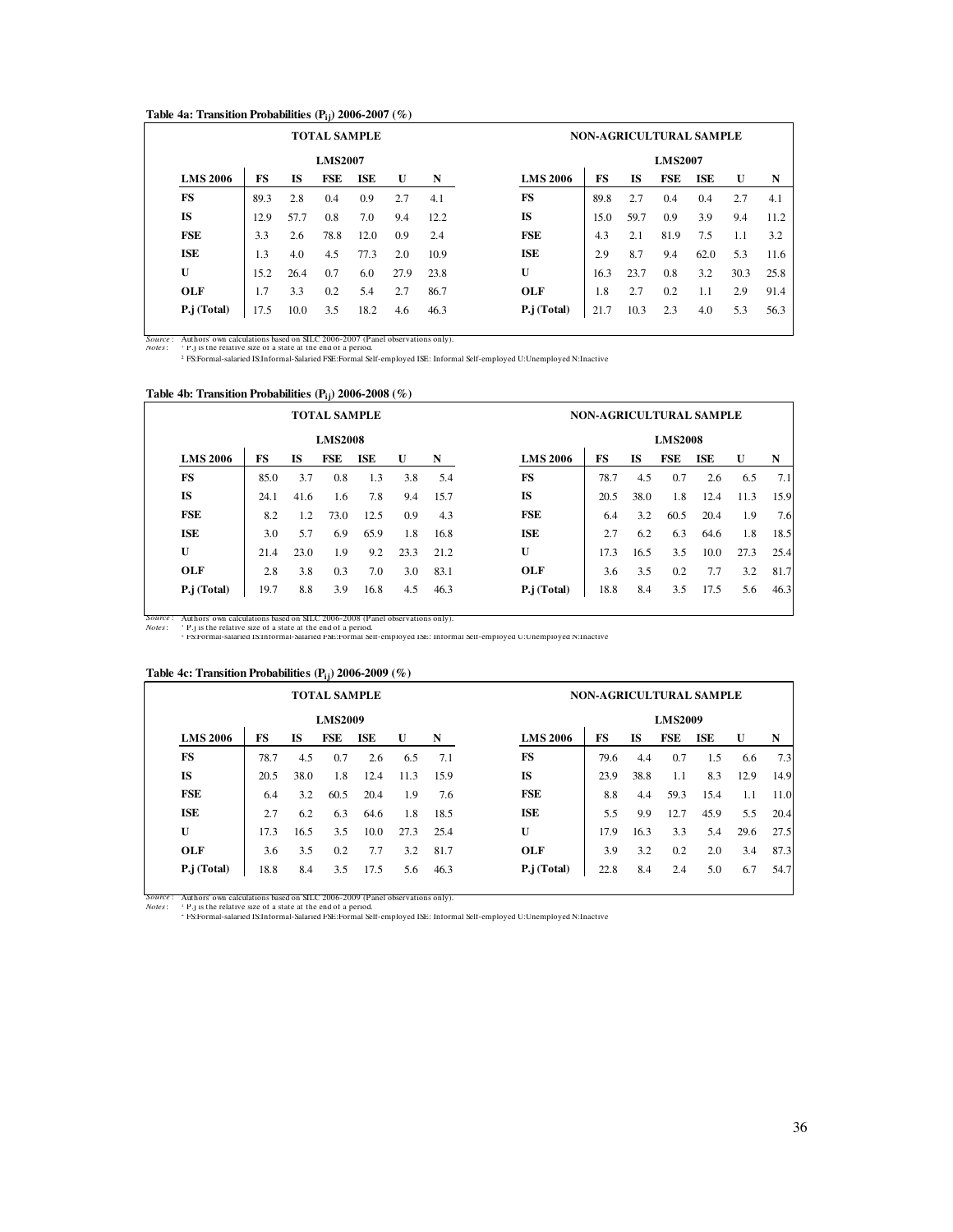#### **Table 4a: Transition Probabilities (Pij) 2006-2007 (%)**

|                 |      |           | <b>TOTAL SAMPLE</b> |            |      |      | <b>NON-AGRICULTURAL SAMPLE</b>                                                      |  |  |  |  |  |  |  |  |  |
|-----------------|------|-----------|---------------------|------------|------|------|-------------------------------------------------------------------------------------|--|--|--|--|--|--|--|--|--|
|                 |      |           | <b>LMS2007</b>      |            |      |      | <b>LMS2007</b>                                                                      |  |  |  |  |  |  |  |  |  |
| <b>LMS 2006</b> | FS   | <b>IS</b> | FSE                 | <b>ISE</b> | U    | N    | <b>LMS 2006</b><br>FS<br><b>IS</b><br><b>FSE</b><br><b>ISE</b><br>$\mathbf{U}$<br>N |  |  |  |  |  |  |  |  |  |
| <b>FS</b>       | 89.3 | 2.8       | 0.4                 | 0.9        | 2.7  | 4.1  | FS<br>2.7<br>2.7<br>89.8<br>0.4<br>0.4<br>4.1                                       |  |  |  |  |  |  |  |  |  |
| <b>IS</b>       | 12.9 | 57.7      | 0.8                 | 7.0        | 9.4  | 12.2 | IS<br>15.0<br>59.7<br>3.9<br>0.9<br>9.4<br>11.2                                     |  |  |  |  |  |  |  |  |  |
| <b>FSE</b>      | 3.3  | 2.6       | 78.8                | 12.0       | 0.9  | 2.4  | FSE<br>7.5<br>4.3<br>81.9<br>2.1<br>3.2<br>1.1                                      |  |  |  |  |  |  |  |  |  |
| ISE             | 1.3  | 4.0       | 4.5                 | 77.3       | 2.0  | 10.9 | <b>ISE</b><br>8.7<br>2.9<br>5.3<br>9.4<br>62.0<br>11.6                              |  |  |  |  |  |  |  |  |  |
| U               | 15.2 | 26.4      | 0.7                 | 6.0        | 27.9 | 23.8 | U<br>16.3<br>23.7<br>0.8<br>3.2<br>25.8<br>30.3                                     |  |  |  |  |  |  |  |  |  |
| <b>OLF</b>      | 1.7  | 3.3       | 0.2                 | 5.4        | 2.7  | 86.7 | OLF<br>1.8<br>2.7<br>0.2<br>2.9<br>1.1<br>91.4                                      |  |  |  |  |  |  |  |  |  |
| P.j (Total)     | 17.5 | 10.0      | 3.5                 | 18.2       | 4.6  | 46.3 | P.j (Total)<br>10.3<br>2.3<br>5.3<br>21.7<br>4.0<br>56.3                            |  |  |  |  |  |  |  |  |  |

*Notes*: <sup>1</sup>

*Source* : Authors' own calculations based on SILC 2006-2007 (Panel observations only).<br>*Notes* : <sup>1</sup> P.j is the relative size of a state at the end of a period.<br><sup>2</sup> FS:Formal-salaried IS:Informal-Salaried FSE:For

# **Table 4b: Transition Probabilities (Pij) 2006-2008 (%)**

|                 |      |           | <b>TOTAL SAMPLE</b> |      |      |      | NON-AGRICULTURAL SAMPLE                                     |
|-----------------|------|-----------|---------------------|------|------|------|-------------------------------------------------------------|
|                 |      |           | <b>LMS2008</b>      |      |      |      | <b>LMS2008</b>                                              |
| <b>LMS 2006</b> | FS   | <b>IS</b> | FSE                 | ISE  | U    | N    | <b>LMS 2006</b><br>FS<br>FSE<br><b>IS</b><br>ISE<br>U<br>N  |
| FS              | 85.0 | 3.7       | 0.8                 | 1.3  | 3.8  | 5.4  | FS<br>6.5<br>78.7<br>4.5<br>0.7<br>2.6<br>7.1               |
| IS              | 24.1 | 41.6      | 1.6                 | 7.8  | 9.4  | 15.7 | <b>IS</b><br>20.5<br>1.8<br>15.9<br>38.0<br>12.4<br>11.3    |
| FSE             | 8.2  | 1.2       | 73.0                | 12.5 | 0.9  | 4.3  | FSE<br>3.2<br>1.9<br>20.4<br>7.6<br>6.4<br>60.5             |
| <b>ISE</b>      | 3.0  | 5.7       | 6.9                 | 65.9 | 1.8  | 16.8 | ISE<br>2.7<br>6.2<br>6.3<br>1.8<br>18.5<br>64.6             |
| U               | 21.4 | 23.0      | 1.9                 | 9.2  | 23.3 | 21.2 | U<br>17.3<br>3.5<br>16.5<br>10.0<br>27.3<br>25.4            |
| <b>OLF</b>      | 2.8  | 3.8       | 0.3                 | 7.0  | 3.0  | 83.1 | <b>OLF</b><br>3.2<br>81.7<br>3.6<br>3.5<br>0.2<br>7.7       |
| $P$ .j (Total)  | 19.7 | 8.8       | 3.9                 | 16.8 | 4.5  | 46.3 | $P$ .j (Total)<br>17.5<br>18.8<br>8.4<br>3.5<br>5.6<br>46.3 |

*Notes*: <sup>1</sup>

*Source* : Authors' own calculations based on SILC 2006-2008 (Panel observations only). P.j is the relative size of a state at the end of a period. 2 FS:Formal-salaried IS:Informal-Salaried FSE:Formal Self-employed ISE: Informal Self-employed U:Unemployed N:Inactive

# **Table 4c: Transition Probabilities (Pij) 2006-2009 (%)**

|      |           |                | <b>TOTAL SAMPLE</b> |              |      |                 |      |           |                | <b>NON-AGRICULTURAL SAMPLE</b> |      |      |
|------|-----------|----------------|---------------------|--------------|------|-----------------|------|-----------|----------------|--------------------------------|------|------|
|      |           | <b>LMS2009</b> |                     |              |      |                 |      |           | <b>LMS2009</b> |                                |      |      |
| FS   | <b>IS</b> | FSE            | <b>ISE</b>          | $\mathbf{U}$ | N    | <b>LMS 2006</b> | FS   | <b>IS</b> | FSE            | <b>ISE</b>                     | U    | N    |
| 78.7 | 4.5       | 0.7            | 2.6                 | 6.5          | 7.1  | FS              | 79.6 | 4.4       | 0.7            | 1.5                            | 6.6  | 7.3  |
| 20.5 | 38.0      | 1.8            | 12.4                | 11.3         | 15.9 | IS              | 23.9 | 38.8      | 1.1            | 8.3                            | 12.9 | 14.9 |
| 6.4  | 3.2       | 60.5           | 20.4                | 1.9          | 7.6  | FSE             | 8.8  | 4.4       | 59.3           | 15.4                           | 1.1  | 11.0 |
| 2.7  | 6.2       | 6.3            | 64.6                | 1.8          | 18.5 | <b>ISE</b>      | 5.5  | 9.9       | 12.7           | 45.9                           | 5.5  | 20.4 |
| 17.3 | 16.5      | 3.5            | 10.0                | 27.3         | 25.4 | U               | 17.9 | 16.3      | 3.3            | 5.4                            | 29.6 | 27.5 |
| 3.6  | 3.5       | 0.2            | 7.7                 | 3.2          | 81.7 | OLF             | 3.9  | 3.2       | 0.2            | 2.0                            | 3.4  | 87.3 |
| 18.8 | 8.4       | 3.5            | 17.5                | 5.6          | 46.3 | P.j (Total)     | 22.8 | 8.4       | 2.4            | 5.0                            | 6.7  | 54.7 |
|      |           |                |                     |              |      |                 |      |           |                |                                |      |      |

*Notes*: <sup>1</sup>

*Source* : Authors' own calculations based on SILC 2006-2009 (Panel observations only). P.j is the relative size of a state at the end of a period. 2 FS:Formal-salaried IS:Informal-Salaried FSE:Formal Self-employed ISE: Informal Self-employed U:Unemployed N:Inactive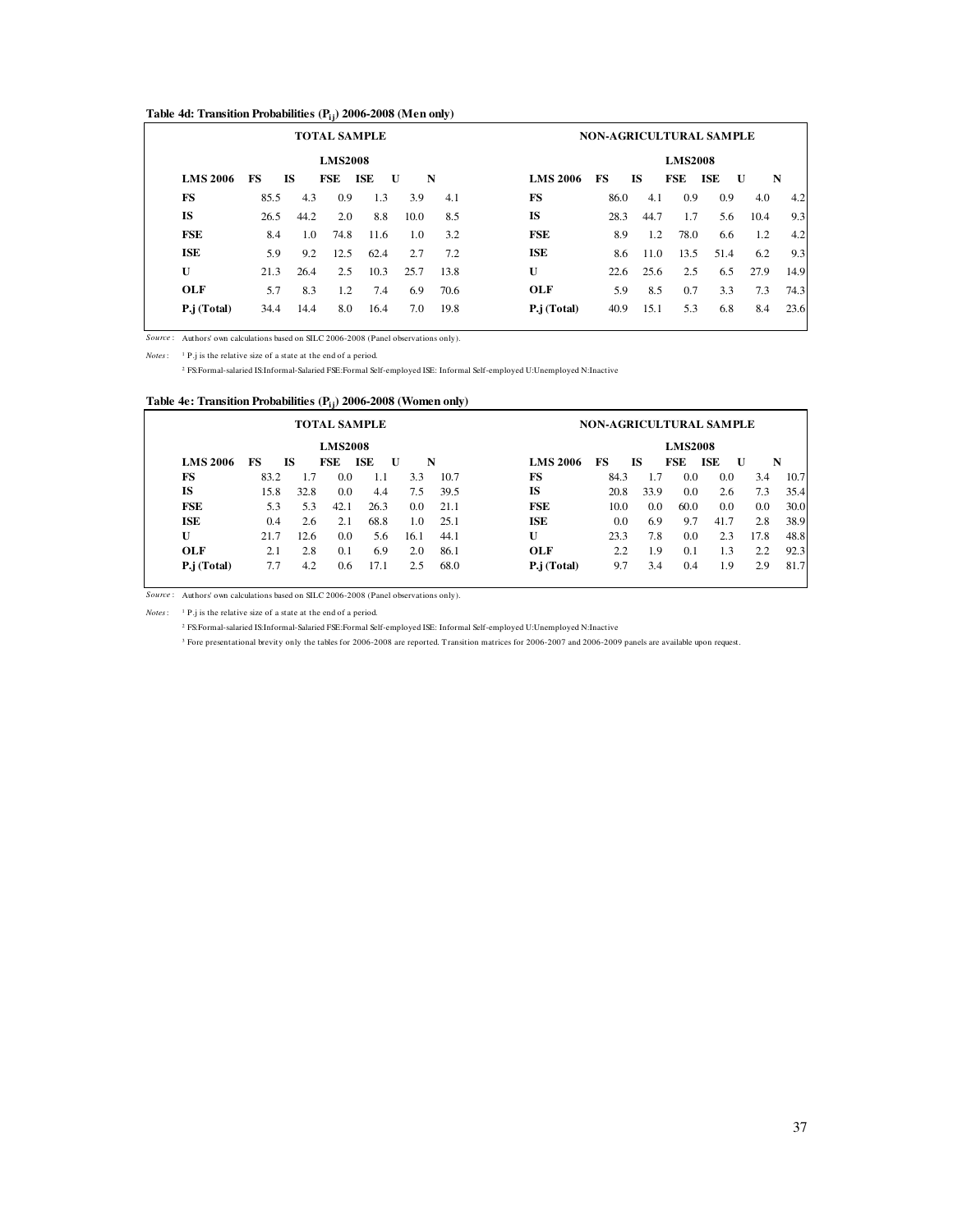### **Table 4d: Transition Probabilities (Pij) 2006-2008 (Men only)**

|      |      |                |            |                    |                                                                                       |                 |    |           |                                                   | <b>NON-AGRICULTURAL SAMPLE</b>                    |                                                 |                                                                             |
|------|------|----------------|------------|--------------------|---------------------------------------------------------------------------------------|-----------------|----|-----------|---------------------------------------------------|---------------------------------------------------|-------------------------------------------------|-----------------------------------------------------------------------------|
|      |      | <b>LMS2008</b> |            |                    |                                                                                       |                 |    |           | <b>LMS2008</b>                                    |                                                   |                                                 |                                                                             |
| FS   |      |                | <b>ISE</b> | $\mathbf{U}$       |                                                                                       | <b>LMS 2006</b> | FS | <b>IS</b> | FSE                                               | <b>ISE</b>                                        | U                                               | N                                                                           |
| 85.5 | 4.3  | 0.9            |            |                    | 4.1                                                                                   | FS              |    |           |                                                   |                                                   |                                                 | 4.2                                                                         |
| 26.5 | 44.2 |                |            |                    | 8.5                                                                                   | <b>IS</b>       |    |           |                                                   |                                                   | 10.4                                            | 9.3                                                                         |
| 8.4  | 1.0  |                |            |                    | 3.2                                                                                   | <b>FSE</b>      |    |           |                                                   |                                                   |                                                 | 4.2                                                                         |
| 5.9  | 9.2  | 12.5           |            | 2.7                | 7.2                                                                                   | <b>ISE</b>      |    |           |                                                   |                                                   |                                                 | 9.3                                                                         |
| 21.3 | 26.4 | 2.5            |            | 25.7               | 13.8                                                                                  | U               |    |           |                                                   |                                                   |                                                 | 14.9                                                                        |
| 5.7  | 8.3  | 1.2            |            |                    | 70.6                                                                                  | OLF             |    |           |                                                   | 3.3                                               | 7.3                                             | 74.3                                                                        |
| 34.4 | 14.4 |                |            |                    | 19.8                                                                                  | P.j (Total)     |    |           |                                                   |                                                   |                                                 | 23.6                                                                        |
|      |      | IS.            | FSE        | 2.0<br>74.8<br>8.0 | 1.3<br>3.9<br>8.8<br>10.0<br>11.6<br>1.0<br>62.4<br>10.3<br>7.4<br>6.9<br>16.4<br>7.0 | N               |    |           | 86.0<br>28.3<br>8.9<br>8.6<br>22.6<br>5.9<br>40.9 | 4.1<br>44.7<br>1.2<br>11.0<br>25.6<br>8.5<br>15.1 | 0.9<br>1.7<br>78.0<br>13.5<br>2.5<br>0.7<br>5.3 | 0.9<br>4.0<br>5.6<br>1.2<br>6.6<br>51.4<br>6.2<br>6.5<br>27.9<br>6.8<br>8.4 |

*Source* : Authors' own calculations based on SILC 2006-2008 (Panel observations only).

*Notes*: <sup>1</sup> P.j is the relative size of a state at the end of a period.

2 FS:Formal-salaried IS:Informal-Salaried FSE:Formal Self-employed ISE: Informal Self-employed U:Unemployed N:Inactive

# **Table 4e: Transition Probabilities (Pij) 2006-2008 (Women only)**

|                 |      |      |                | <b>TOTAL SAMPLE</b> |              |      |                 |      |      |                | NON-AGRICULTURAL SAMPLE |      |      |
|-----------------|------|------|----------------|---------------------|--------------|------|-----------------|------|------|----------------|-------------------------|------|------|
|                 |      |      | <b>LMS2008</b> |                     |              |      |                 |      |      | <b>LMS2008</b> |                         |      |      |
| <b>LMS 2006</b> | FS   | IS.  | FSE            | ISE                 | $\mathbf{U}$ | N    | <b>LMS 2006</b> | FS   | IS.  | <b>FSE</b>     | ISE                     | U    | N    |
| FS              | 83.2 | 1.7  | 0.0            | 1.1                 | 3.3          | 10.7 | FS              | 84.3 | 1.7  | 0.0            | 0.0                     | 3.4  | 10.7 |
| <b>IS</b>       | 15.8 | 32.8 | 0.0            | 4.4                 | 7.5          | 39.5 | <b>IS</b>       | 20.8 | 33.9 | 0.0            | 2.6                     | 7.3  | 35.4 |
| <b>FSE</b>      | 5.3  | 5.3  | 42.1           | 26.3                | 0.0          | 21.1 | FSE             | 10.0 | 0.0  | 60.0           | 0.0                     | 0.0  | 30.0 |
| ISE             | 0.4  | 2.6  | 2.1            | 68.8                | 1.0          | 25.1 | <b>ISE</b>      | 0.0  | 6.9  | 9.7            | 41.7                    | 2.8  | 38.9 |
| U               | 21.7 | 12.6 | 0.0            | 5.6                 | 16.1         | 44.1 | U               | 23.3 | 7.8  | 0.0            | 2.3                     | 17.8 | 48.8 |
| OLF             | 2.1  | 2.8  | 0.1            | 6.9                 | 2.0          | 86.1 | OLF             | 2.2  | 1.9  | 0.1            | 1.3                     | 2.2  | 92.3 |
| P.j (Total)     | 7.7  | 4.2  | 0.6            | 17.1                | 2.5          | 68.0 | P.j (Total)     | 9.7  | 3.4  | 0.4            | 1.9                     | 2.9  | 81.7 |

*Source* : Authors' own calculations based on SILC 2006-2008 (Panel observations only).

*Notes*: <sup>1</sup> P.j is the relative size of a state at the end of a period.

2 FS:Formal-salaried IS:Informal-Salaried FSE:Formal Self-employed ISE: Informal Self-employed U:Unemployed N:Inactive

<sup>3</sup> Fore presentational brevity only the tables for 2006-2008 are reported. Transition matrices for 2006-2007 and 2006-2009 panels are available upon request.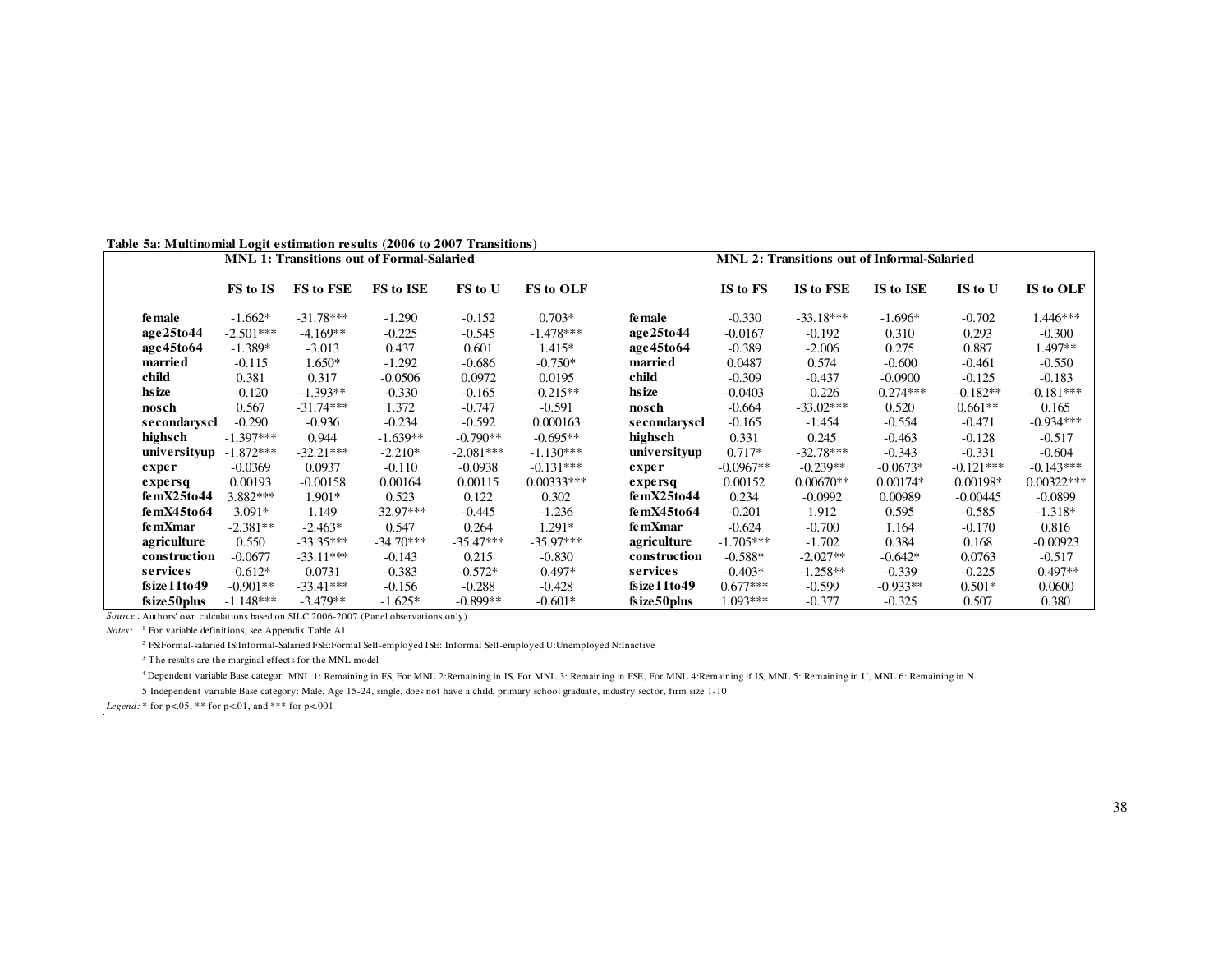| Table 5a: Multinomial Logit estimation results (2006 to 2007 Transitions) |  |  |
|---------------------------------------------------------------------------|--|--|
|---------------------------------------------------------------------------|--|--|

| raoic sa, hrannoman Eogh Csimanon results (2000 to 2007 - rianshons)                 |             |             | MNL 1: Transitions out of Formal-Salaried |             |                  |               |             | <b>MNL 2: Transitions out of Informal-Salaried</b> |             |             |              |
|--------------------------------------------------------------------------------------|-------------|-------------|-------------------------------------------|-------------|------------------|---------------|-------------|----------------------------------------------------|-------------|-------------|--------------|
|                                                                                      | FS to IS    | FS to FSE   | FS to ISE                                 | FS to U     | <b>FS to OLF</b> |               | IS to FS    | IS to FSE                                          | IS to ISE   | IS to U     | IS to OLF    |
| fe male                                                                              | $-1.662*$   | $-31.78***$ | $-1.290$                                  | $-0.152$    | $0.703*$         | fe male       | $-0.330$    | $-33.18***$                                        | $-1.696*$   | $-0.702$    | 1.446***     |
| age 25to 44                                                                          | $-2.501***$ | $-4.169**$  | $-0.225$                                  | $-0.545$    | $-1.478***$      | age25to44     | $-0.0167$   | $-0.192$                                           | 0.310       | 0.293       | $-0.300$     |
| age45to64                                                                            | $-1.389*$   | $-3.013$    | 0.437                                     | 0.601       | $1.415*$         | age45to64     | $-0.389$    | $-2.006$                                           | 0.275       | 0.887       | 1.497**      |
| marrie d                                                                             | $-0.115$    | $1.650*$    | $-1.292$                                  | $-0.686$    | $-0.750*$        | married       | 0.0487      | 0.574                                              | $-0.600$    | $-0.461$    | $-0.550$     |
| child                                                                                | 0.381       | 0.317       | $-0.0506$                                 | 0.0972      | 0.0195           | child         | $-0.309$    | $-0.437$                                           | $-0.0900$   | $-0.125$    | $-0.183$     |
| hsize                                                                                | $-0.120$    | $-1.393**$  | $-0.330$                                  | $-0.165$    | $-0.215**$       | hsize         | $-0.0403$   | $-0.226$                                           | $-0.274***$ | $-0.182**$  | $-0.181***$  |
| nosch                                                                                | 0.567       | $-31.74***$ | 1.372                                     | $-0.747$    | $-0.591$         | nosch         | $-0.664$    | $-33.02***$                                        | 0.520       | $0.661**$   | 0.165        |
| secondarysch                                                                         | $-0.290$    | $-0.936$    | $-0.234$                                  | $-0.592$    | 0.000163         | secondarysch  | $-0.165$    | $-1.454$                                           | $-0.554$    | $-0.471$    | $-0.934***$  |
| highsch                                                                              | $-1.397***$ | 0.944       | $-1.639**$                                | $-0.790**$  | $-0.695**$       | highsch       | 0.331       | 0.245                                              | $-0.463$    | $-0.128$    | $-0.517$     |
| universityup                                                                         | $-1.872***$ | $-32.21***$ | $-2.210*$                                 | $-2.081***$ | $-1.130***$      | universityup  | $0.717*$    | $-32.78***$                                        | $-0.343$    | $-0.331$    | $-0.604$     |
| exper                                                                                | $-0.0369$   | 0.0937      | $-0.110$                                  | $-0.0938$   | $-0.131***$      | exper         | $-0.0967**$ | $-0.239**$                                         | $-0.0673*$  | $-0.121***$ | $-0.143***$  |
| expersq                                                                              | 0.00193     | $-0.00158$  | 0.00164                                   | 0.00115     | $0.00333***$     | expersq       | 0.00152     | $0.00670**$                                        | $0.00174*$  | $0.00198*$  | $0.00322***$ |
| femX25to44                                                                           | 3.882***    | $1.901*$    | 0.523                                     | 0.122       | 0.302            | femX25to44    | 0.234       | $-0.0992$                                          | 0.00989     | $-0.00445$  | $-0.0899$    |
| femX45to64                                                                           | $3.091*$    | 1.149       | $-32.97***$                               | $-0.445$    | $-1.236$         | femX45to64    | $-0.201$    | 1.912                                              | 0.595       | $-0.585$    | $-1.318*$    |
| femXmar                                                                              | $-2.381**$  | $-2.463*$   | 0.547                                     | 0.264       | $1.291*$         | femXmar       | $-0.624$    | $-0.700$                                           | 1.164       | $-0.170$    | 0.816        |
| agriculture                                                                          | 0.550       | $-33.35***$ | $-34.70***$                               | $-35.47***$ | $-35.97***$      | agriculture   | $-1.705***$ | $-1.702$                                           | 0.384       | 0.168       | $-0.00923$   |
| construction                                                                         | $-0.0677$   | $-33.11***$ | $-0.143$                                  | 0.215       | $-0.830$         | construction  | $-0.588*$   | $-2.027**$                                         | $-0.642*$   | 0.0763      | $-0.517$     |
| services                                                                             | $-0.612*$   | 0.0731      | $-0.383$                                  | $-0.572*$   | $-0.497*$        | services      | $-0.403*$   | $-1.258**$                                         | $-0.339$    | $-0.225$    | $-0.497**$   |
| fsize11to49                                                                          | $-0.901**$  | $-33.41***$ | $-0.156$                                  | $-0.288$    | $-0.428$         | fsize11to49   | $0.677***$  | $-0.599$                                           | $-0.933**$  | $0.501*$    | 0.0600       |
| fsize 50 plus                                                                        | $-1.148***$ | $-3.479**$  | $-1.625*$                                 | $-0.899**$  | $-0.601*$        | fsize 50 plus | $1.093***$  | $-0.377$                                           | $-0.325$    | 0.507       | 0.380        |
| Source: Authors' own calculations based on SILC 2006-2007 (Panel observations only). |             |             |                                           |             |                  |               |             |                                                    |             |             |              |

*Notes*: <sup>1</sup> For variable definitions, see Appendix Table A1

<sup>2</sup> FS:Formal-salaried IS:Informal-Salaried FSE:Formal Self-employed ISE: Informal Self-employed U:Unemployed N:Inactive

<sup>3</sup> The results are the marginal effects for the MNL model

4 Dependent variable Base category: MNL 1: Remaining in FS, For MNL 2:Remaining in IS, For MNL 3: Remaining in FSE, For MNL 4:Remaining if IS, MNL 5: Remaining in U, MNL 6: Remaining in N

5 Independent variable Base category: Male, Age 15-24, single, does not have a child, primary school graduate, industry sector, firm size 1-10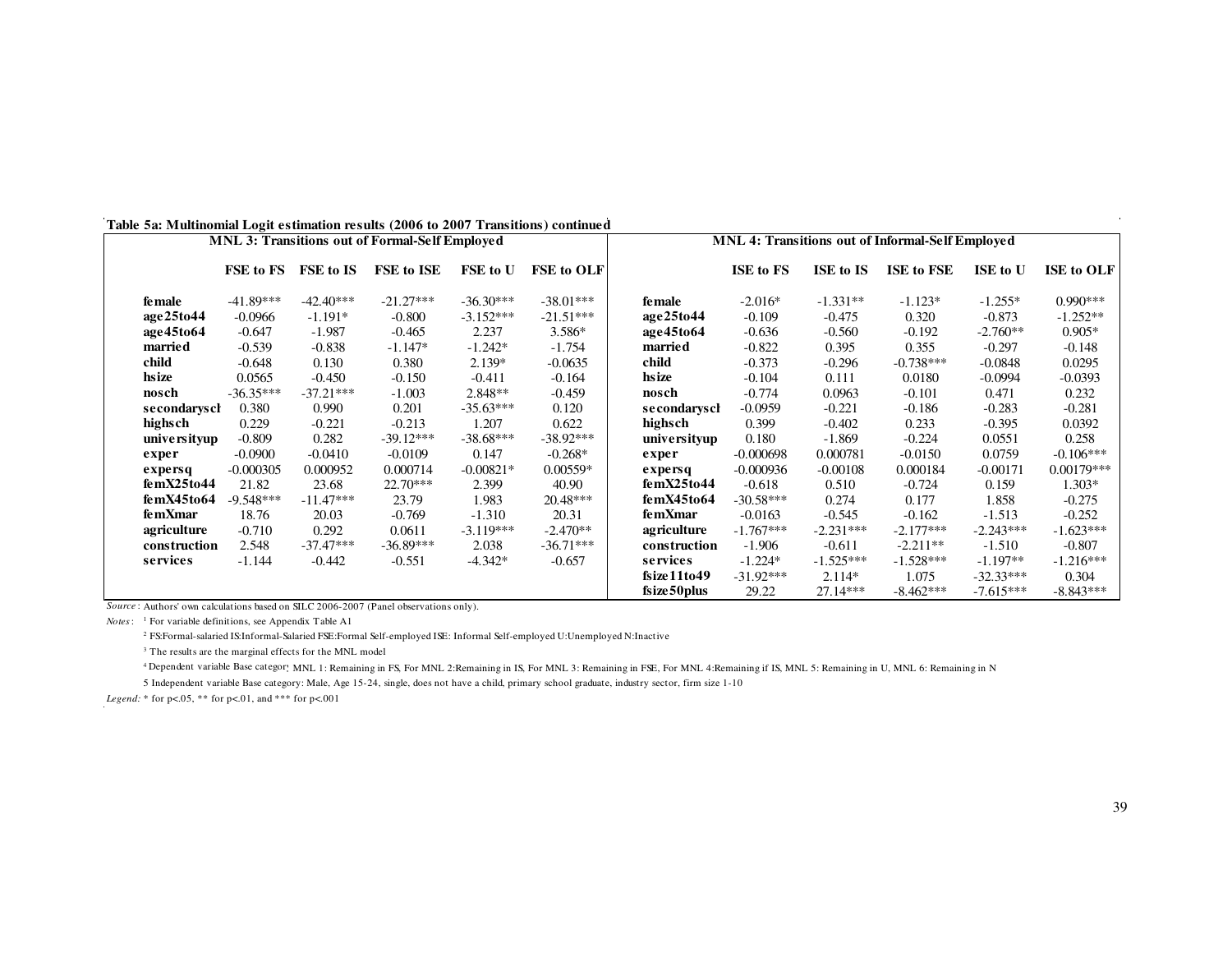|                | MNL 3: Transitions out of Formal-Self Employed |                  | <b>MNL 4: Transitions out of Informal-Self Employed</b> |             |                   |               |             |             |                   |             |                   |
|----------------|------------------------------------------------|------------------|---------------------------------------------------------|-------------|-------------------|---------------|-------------|-------------|-------------------|-------------|-------------------|
|                | FSE to FS                                      | <b>FSE to IS</b> | FSE to ISE                                              | FSE to U    | <b>FSE to OLF</b> |               | ISE to FS   | ISE to IS   | <b>ISE to FSE</b> | ISE to U    | <b>ISE to OLF</b> |
| <b>fe male</b> | $-41.89***$                                    | $-42.40***$      | $-21.27***$                                             | $-36.30***$ | $-38.01***$       | <b>female</b> | $-2.016*$   | $-1.331**$  | $-1.123*$         | $-1.255*$   | $0.990***$        |
| age25to44      | $-0.0966$                                      | $-1.191*$        | $-0.800$                                                | $-3.152***$ | $-21.51***$       | age25to44     | $-0.109$    | $-0.475$    | 0.320             | $-0.873$    | $-1.252**$        |
| age45to64      | $-0.647$                                       | $-1.987$         | $-0.465$                                                | 2.237       | $3.586*$          | age45to64     | $-0.636$    | $-0.560$    | $-0.192$          | $-2.760**$  | $0.905*$          |
| married        | $-0.539$                                       | $-0.838$         | $-1.147*$                                               | $-1.242*$   | $-1.754$          | married       | $-0.822$    | 0.395       | 0.355             | $-0.297$    | $-0.148$          |
| child          | $-0.648$                                       | 0.130            | 0.380                                                   | $2.139*$    | $-0.0635$         | child         | $-0.373$    | $-0.296$    | $-0.738***$       | $-0.0848$   | 0.0295            |
| hsize          | 0.0565                                         | $-0.450$         | $-0.150$                                                | $-0.411$    | $-0.164$          | hsize         | $-0.104$    | 0.111       | 0.0180            | $-0.0994$   | $-0.0393$         |
| nosch          | $-36.35***$                                    | $-37.21***$      | $-1.003$                                                | $2.848**$   | $-0.459$          | nosch         | $-0.774$    | 0.0963      | $-0.101$          | 0.471       | 0.232             |
| secondaryscl   | 0.380                                          | 0.990            | 0.201                                                   | $-35.63***$ | 0.120             | secondarysch  | $-0.0959$   | $-0.221$    | $-0.186$          | $-0.283$    | $-0.281$          |
| highsch        | 0.229                                          | $-0.221$         | $-0.213$                                                | 1.207       | 0.622             | highsch       | 0.399       | $-0.402$    | 0.233             | $-0.395$    | 0.0392            |
| unive rsityup  | $-0.809$                                       | 0.282            | $-39.12***$                                             | $-38.68***$ | $-38.92***$       | universityup  | 0.180       | $-1.869$    | $-0.224$          | 0.0551      | 0.258             |
| exper          | $-0.0900$                                      | $-0.0410$        | $-0.0109$                                               | 0.147       | $-0.268*$         | exper         | $-0.000698$ | 0.000781    | $-0.0150$         | 0.0759      | $-0.106***$       |
| expersq        | $-0.000305$                                    | 0.000952         | 0.000714                                                | $-0.00821*$ | $0.00559*$        | expersq       | $-0.000936$ | $-0.00108$  | 0.000184          | $-0.00171$  | $0.00179***$      |
| femX25to44     | 21.82                                          | 23.68            | 22.70***                                                | 2.399       | 40.90             | femX25to44    | $-0.618$    | 0.510       | $-0.724$          | 0.159       | $1.303*$          |
| femX45to64     | $-9.548***$                                    | $-11.47***$      | 23.79                                                   | 1.983       | $20.48***$        | femX45to64    | $-30.58***$ | 0.274       | 0.177             | 1.858       | $-0.275$          |
| femXmar        | 18.76                                          | 20.03            | $-0.769$                                                | $-1.310$    | 20.31             | femXmar       | $-0.0163$   | $-0.545$    | $-0.162$          | $-1.513$    | $-0.252$          |
| agriculture    | $-0.710$                                       | 0.292            | 0.0611                                                  | $-3.119***$ | $-2.470**$        | agriculture   | $-1.767***$ | $-2.231***$ | $-2.177***$       | $-2.243***$ | $-1.623***$       |
| construction   | 2.548                                          | $-37.47***$      | $-36.89***$                                             | 2.038       | $-36.71***$       | construction  | $-1.906$    | $-0.611$    | $-2.211**$        | $-1.510$    | $-0.807$          |
| services       | $-1.144$                                       | $-0.442$         | $-0.551$                                                | $-4.342*$   | $-0.657$          | services      | $-1.224*$   | $-1.525***$ | $-1.528***$       | $-1.197**$  | $-1.216***$       |
|                |                                                |                  |                                                         |             |                   | fsize11to49   | $-31.92***$ | $2.114*$    | 1.075             | $-32.33***$ | 0.304             |
|                |                                                |                  |                                                         |             |                   | fsize 50 plus | 29.22       | $27.14***$  | $-8.462***$       | $-7.615***$ | $-8.843***$       |

### **Table 5a: Multinomial Logit estimation results (2006 to 2007 Transitions) continued**

*Source* : Authors' own calculations based on SILC 2006-2007 (Panel observations only).

*Notes*: <sup>1</sup> For variable definitions, see Appendix Table A1

2 FS:Formal-salaried IS:Informal-Salaried FSE:Formal Self-employed ISE: Informal Self-employed U:Unemployed N:Inactive

<sup>3</sup> The results are the marginal effects for the MNL model

4 Dependent variable Base category: MNL 1: Remaining in FS, For MNL 2:Remaining in IS, For MNL 3: Remaining in FSE, For MNL 4:Remaining if IS, MNL 5: Remaining in U, MNL 6: Remaining in N

5 Independent variable Base category: Male, Age 15-24, single, does not have a child, primary school graduate, industry sector, firm size 1-10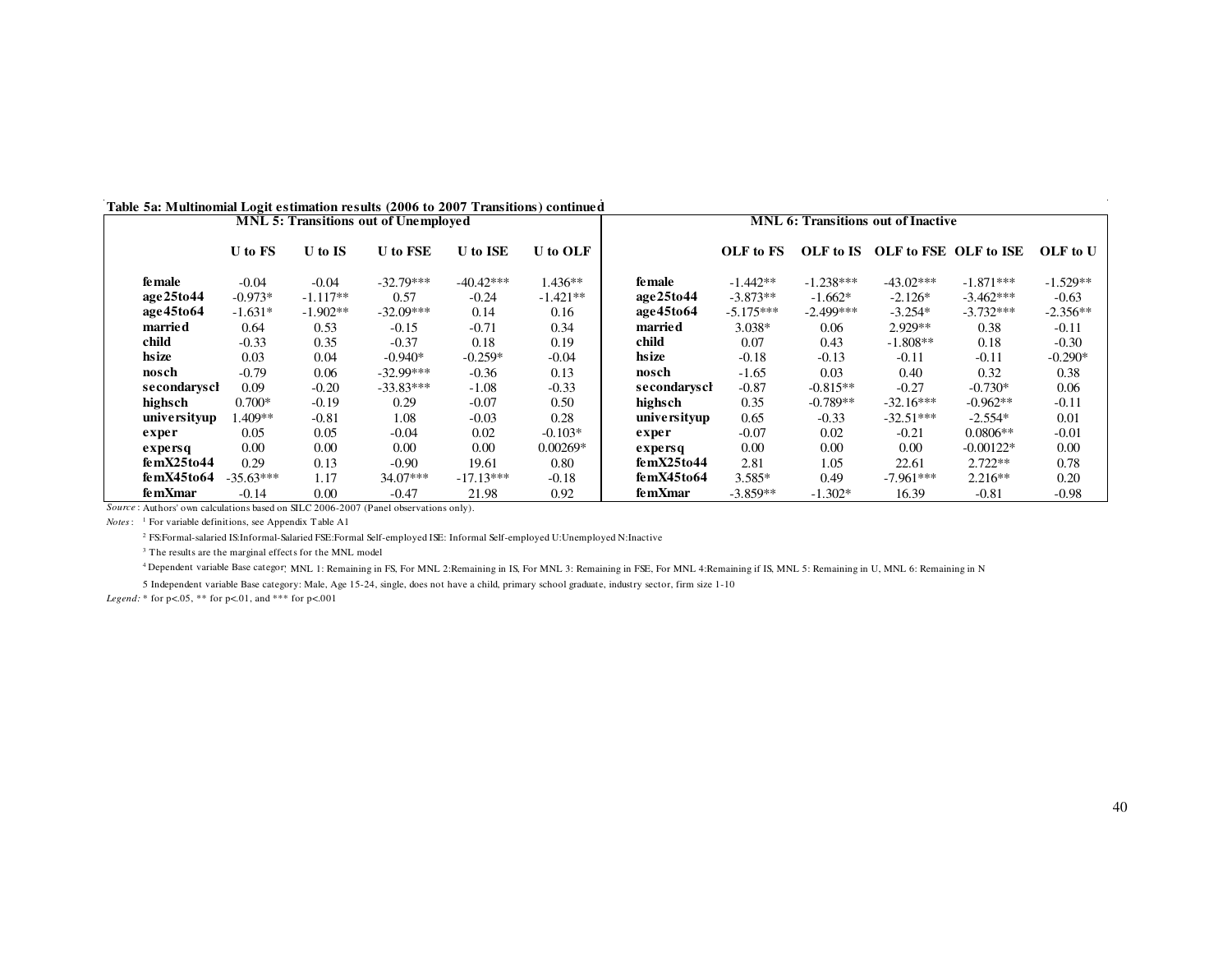| Table 5a: Multinomial Logit estimation results (2006 to 2007 Transitions) continued |  |  |  |  |
|-------------------------------------------------------------------------------------|--|--|--|--|
|-------------------------------------------------------------------------------------|--|--|--|--|

| 1 avit ca: 111 animomma                                                              |             |            | $\frac{1}{2}$<br><b>MNL 5: Transitions out of Unemployed</b> |             |            | <b>MNL 6: Transitions out of Inactive</b> |             |             |                                 |             |            |
|--------------------------------------------------------------------------------------|-------------|------------|--------------------------------------------------------------|-------------|------------|-------------------------------------------|-------------|-------------|---------------------------------|-------------|------------|
|                                                                                      | U to FS     | U to IS    | <b>U</b> to FSE                                              | U to ISE    | U to OLF   |                                           | OLF to FS   |             | OLF to IS OLF to FSE OLF to ISE |             | OLF to U   |
| fe male                                                                              | $-0.04$     | $-0.04$    | $-32.79***$                                                  | $-40.42***$ | $1.436**$  | fe male                                   | $-1.442**$  | $-1.238***$ | $-43.02***$                     | $-1.871***$ | $-1.529**$ |
| age25to44                                                                            | $-0.973*$   | $-1.117**$ | 0.57                                                         | $-0.24$     | $-1.421**$ | age25to44                                 | $-3.873**$  | $-1.662*$   | $-2.126*$                       | $-3.462***$ | $-0.63$    |
| age45to64                                                                            | $-1.631*$   | $-1.902**$ | $-32.09***$                                                  | 0.14        | 0.16       | age45to64                                 | $-5.175***$ | $-2.499***$ | $-3.254*$                       | $-3.732***$ | $-2.356**$ |
| <b>married</b>                                                                       | 0.64        | 0.53       | $-0.15$                                                      | $-0.71$     | 0.34       | marrie d                                  | 3.038*      | 0.06        | $2.929**$                       | 0.38        | $-0.11$    |
| child                                                                                | $-0.33$     | 0.35       | $-0.37$                                                      | 0.18        | 0.19       | child                                     | 0.07        | 0.43        | $-1.808**$                      | 0.18        | $-0.30$    |
| hsize                                                                                | 0.03        | 0.04       | $-0.940*$                                                    | $-0.259*$   | $-0.04$    | hsize                                     | $-0.18$     | $-0.13$     | $-0.11$                         | $-0.11$     | $-0.290*$  |
| nosch                                                                                | $-0.79$     | 0.06       | $-32.99***$                                                  | $-0.36$     | 0.13       | nosch                                     | $-1.65$     | 0.03        | 0.40                            | 0.32        | 0.38       |
| secondarysch                                                                         | 0.09        | $-0.20$    | $-33.83***$                                                  | $-1.08$     | $-0.33$    | secondarysch                              | $-0.87$     | $-0.815**$  | $-0.27$                         | $-0.730*$   | 0.06       |
| highsch                                                                              | $0.700*$    | $-0.19$    | 0.29                                                         | $-0.07$     | 0.50       | highsch                                   | 0.35        | $-0.789**$  | $-32.16***$                     | $-0.962**$  | $-0.11$    |
| unive rsityup                                                                        | $.409**$    | $-0.81$    | 1.08                                                         | $-0.03$     | 0.28       | universityup                              | 0.65        | $-0.33$     | $-32.51***$                     | $-2.554*$   | 0.01       |
| exper                                                                                | 0.05        | 0.05       | $-0.04$                                                      | 0.02        | $-0.103*$  | exper                                     | $-0.07$     | 0.02        | $-0.21$                         | $0.0806**$  | $-0.01$    |
| expersq                                                                              | 0.00        | 0.00       | 0.00                                                         | 0.00        | $0.00269*$ | expersq                                   | 0.00        | 0.00        | 0.00                            | $-0.00122*$ | 0.00       |
| femX25to44                                                                           | 0.29        | 0.13       | $-0.90$                                                      | 19.61       | 0.80       | femX25to44                                | 2.81        | 1.05        | 22.61                           | $2.722**$   | 0.78       |
| femX45to64                                                                           | $-35.63***$ | 1.17       | $34.07***$                                                   | $-17.13***$ | $-0.18$    | femX45to64                                | $3.585*$    | 0.49        | $-7.961***$                     | $2.216**$   | 0.20       |
| fe mXmar                                                                             | $-0.14$     | 0.00       | $-0.47$                                                      | 21.98       | 0.92       | femXmar                                   | $-3.859**$  | $-1.302*$   | 16.39                           | $-0.81$     | $-0.98$    |
| Source: Authors' own calculations based on SILC 2006-2007 (Panel observations only). |             |            |                                                              |             |            |                                           |             |             |                                 |             |            |

*Notes*: <sup>1</sup> For variable definitions, see Appendix Table A1

<sup>2</sup> FS:Formal-salaried IS:Informal-Salaried FSE:Formal Self-employed ISE: Informal Self-employed U:Unemployed N:Inactive

<sup>3</sup> The results are the marginal effects for the MNL model

4 Dependent variable Base category: MNL 1: Remaining in FS, For MNL 2: Remaining in FS, For MNM A. Remaining in IS, MNC 5: Remaining in U, MNL 6: Remaining in N

5 Independent variable Base category: Male, Age 15-24, single, does not have a child, primary school graduate, industry sector, firm size 1-10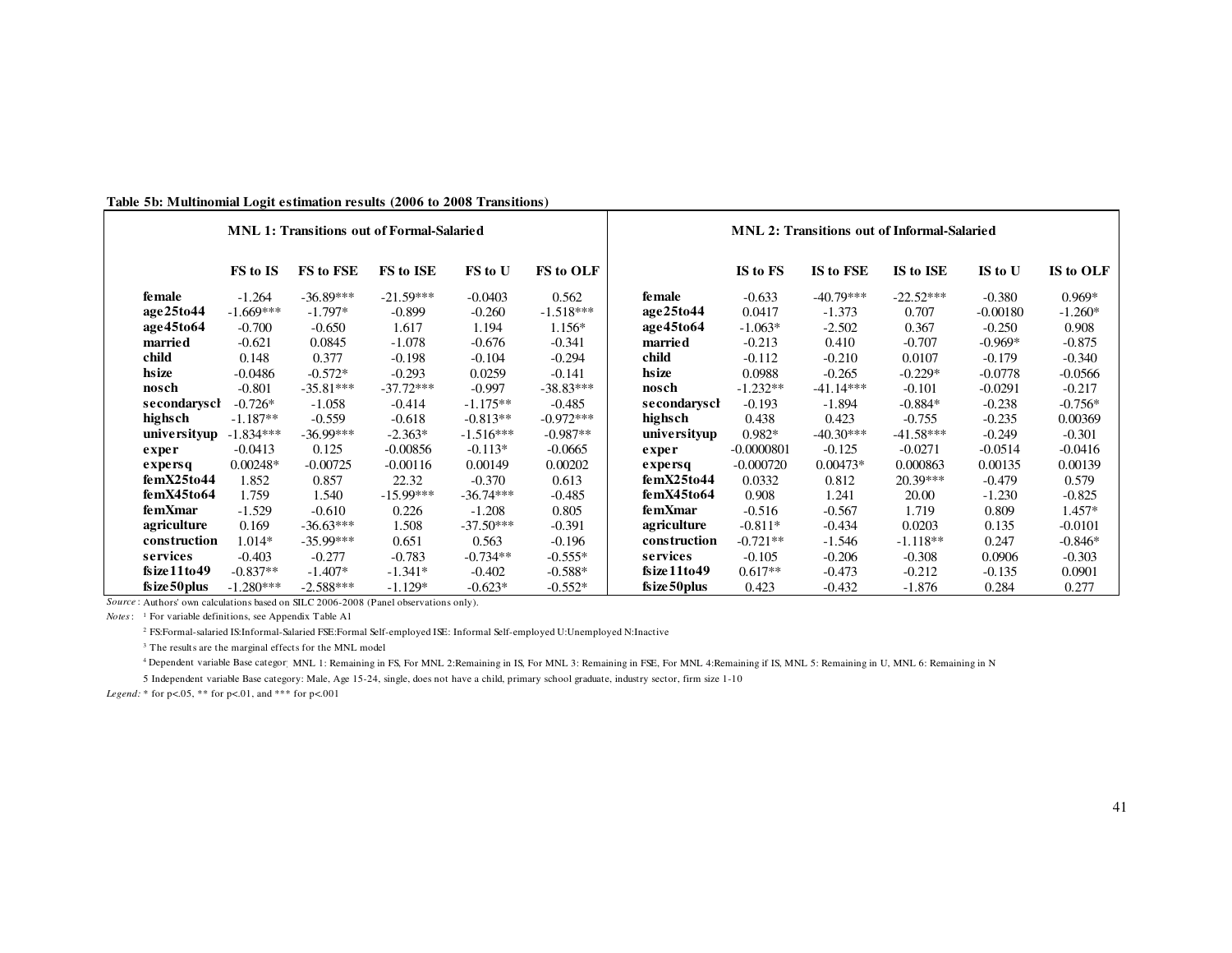#### **Table 5b: Multinomial Logit estimation results (2006 to 2008 Transitions)**

|               | <b>MNL 1: Transitions out of Formal-Salaried</b> |             |             |             |             |               | <b>MNL 2: Transitions out of Informal-Salaried</b> |             |             |            |           |  |
|---------------|--------------------------------------------------|-------------|-------------|-------------|-------------|---------------|----------------------------------------------------|-------------|-------------|------------|-----------|--|
|               | FS to IS                                         | FS to FSE   | FS to ISE   | FS to U     | FS to OLF   |               | IS to FS                                           | IS to FSE   | IS to ISE   | IS to U    | IS to OLF |  |
| <b>female</b> | $-1.264$                                         | $-36.89***$ | $-21.59***$ | $-0.0403$   | 0.562       | <b>female</b> | $-0.633$                                           | $-40.79***$ | $-22.52***$ | $-0.380$   | $0.969*$  |  |
| age25to44     | $-1.669***$                                      | $-1.797*$   | $-0.899$    | $-0.260$    | $-1.518***$ | age25to44     | 0.0417                                             | $-1.373$    | 0.707       | $-0.00180$ | $-1.260*$ |  |
| age45to64     | $-0.700$                                         | $-0.650$    | 1.617       | 1.194       | $1.156*$    | age45to64     | $-1.063*$                                          | $-2.502$    | 0.367       | $-0.250$   | 0.908     |  |
| married       | $-0.621$                                         | 0.0845      | $-1.078$    | $-0.676$    | $-0.341$    | married       | $-0.213$                                           | 0.410       | $-0.707$    | $-0.969*$  | $-0.875$  |  |
| child         | 0.148                                            | 0.377       | $-0.198$    | $-0.104$    | $-0.294$    | child         | $-0.112$                                           | $-0.210$    | 0.0107      | $-0.179$   | $-0.340$  |  |
| hsize         | $-0.0486$                                        | $-0.572*$   | $-0.293$    | 0.0259      | $-0.141$    | hsize         | 0.0988                                             | $-0.265$    | $-0.229*$   | $-0.0778$  | $-0.0566$ |  |
| nosch         | $-0.801$                                         | $-35.81***$ | $-37.72***$ | $-0.997$    | $-38.83***$ | nosch         | $-1.232**$                                         | $-41.14***$ | $-0.101$    | $-0.0291$  | $-0.217$  |  |
| secondarysch  | $-0.726*$                                        | $-1.058$    | $-0.414$    | $-1.175**$  | $-0.485$    | secondarysch  | $-0.193$                                           | $-1.894$    | $-0.884*$   | $-0.238$   | $-0.756*$ |  |
| highsch       | $-1.187**$                                       | $-0.559$    | $-0.618$    | $-0.813**$  | $-0.972***$ | highsch       | 0.438                                              | 0.423       | $-0.755$    | $-0.235$   | 0.00369   |  |
| universityup  | $-1.834***$                                      | $-36.99***$ | $-2.363*$   | $-1.516***$ | $-0.987**$  | universityup  | $0.982*$                                           | $-40.30***$ | $-41.58***$ | $-0.249$   | $-0.301$  |  |
| exper         | $-0.0413$                                        | 0.125       | $-0.00856$  | $-0.113*$   | $-0.0665$   | exper         | $-0.0000801$                                       | $-0.125$    | $-0.0271$   | $-0.0514$  | $-0.0416$ |  |
| expersq       | $0.00248*$                                       | $-0.00725$  | $-0.00116$  | 0.00149     | 0.00202     | expersq       | $-0.000720$                                        | $0.00473*$  | 0.000863    | 0.00135    | 0.00139   |  |
| femX25to44    | 1.852                                            | 0.857       | 22.32       | $-0.370$    | 0.613       | femX25to44    | 0.0332                                             | 0.812       | $20.39***$  | $-0.479$   | 0.579     |  |
| femX45to64    | 1.759                                            | 1.540       | $-15.99***$ | $-36.74***$ | $-0.485$    | femX45to64    | 0.908                                              | 1.241       | 20.00       | $-1.230$   | $-0.825$  |  |
| femXmar       | $-1.529$                                         | $-0.610$    | 0.226       | $-1.208$    | 0.805       | femXmar       | $-0.516$                                           | $-0.567$    | 1.719       | 0.809      | $1.457*$  |  |
| agriculture   | 0.169                                            | $-36.63***$ | 1.508       | $-37.50***$ | $-0.391$    | agriculture   | $-0.811*$                                          | $-0.434$    | 0.0203      | 0.135      | $-0.0101$ |  |
| construction  | $1.014*$                                         | $-35.99***$ | 0.651       | 0.563       | $-0.196$    | construction  | $-0.721**$                                         | $-1.546$    | $-1.118**$  | 0.247      | $-0.846*$ |  |
| services      | $-0.403$                                         | $-0.277$    | $-0.783$    | $-0.734**$  | $-0.555*$   | services      | $-0.105$                                           | $-0.206$    | $-0.308$    | 0.0906     | $-0.303$  |  |
| fsize11to49   | $-0.837**$                                       | $-1.407*$   | $-1.341*$   | $-0.402$    | $-0.588*$   | fsize11to49   | $0.617**$                                          | $-0.473$    | $-0.212$    | $-0.135$   | 0.0901    |  |
| fsize 50 plus | $-1.280***$                                      | $-2.588***$ | $-1.129*$   | $-0.623*$   | $-0.552*$   | fsize 50 plus | 0.423                                              | $-0.432$    | $-1.876$    | 0.284      | 0.277     |  |

*Source* : Authors' own calculations based on SILC 2006-2008 (Panel observations only).

*Notes*: <sup>1</sup> For variable definitions, see Appendix Table A1

2 FS:Formal-salaried IS:Informal-Salaried FSE:Formal Self-employed ISE: Informal Self-employed U:Unemployed N:Inactive

<sup>3</sup> The results are the marginal effects for the MNL model

<sup>4</sup> Dependent variable Base categor; MNL 1: Remaining in FS, For MNL 2:Remaining in IS, For MNL 3:Remaining in IS, For MNL 4:Remaining if IS, MNL 5: Remaining in U, MNL 6: Remaining in N

5 Independent variable Base category: Male, Age 15-24, single, does not have a child, primary school graduate, industry sector, firm size 1-10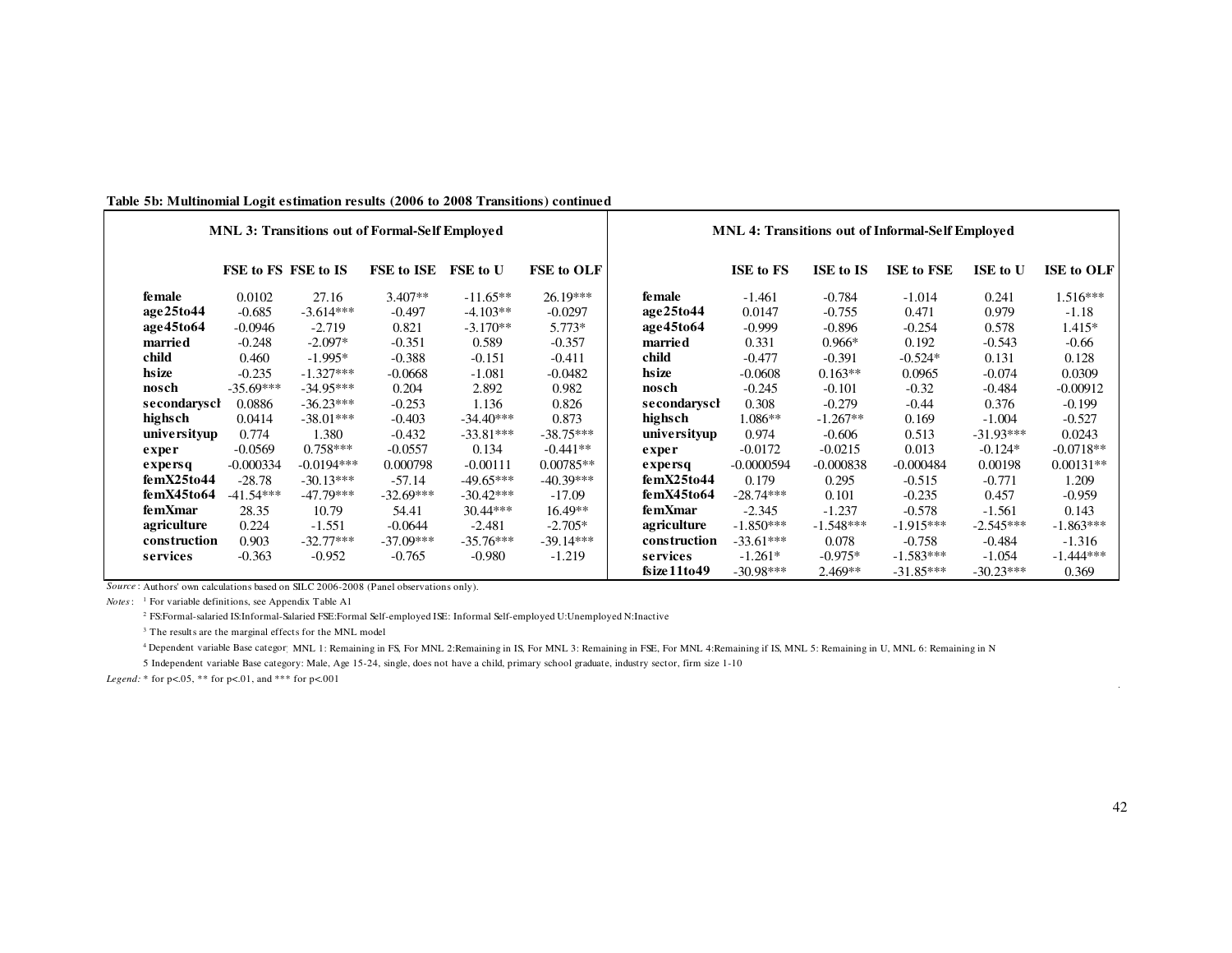| Table 5b: Multinomial Logit estimation results (2006 to 2008 Transitions) continued |  |  |  |  |
|-------------------------------------------------------------------------------------|--|--|--|--|
|                                                                                     |  |  |  |  |

|                               |                     |              | <b>MNL 3: Transitions out of Formal-Self Employed</b> |                 |                   | <b>MNL 4: Transitions out of Informal-Self Employed</b> |                  |                  |                   |             |                   |
|-------------------------------|---------------------|--------------|-------------------------------------------------------|-----------------|-------------------|---------------------------------------------------------|------------------|------------------|-------------------|-------------|-------------------|
|                               | FSE to FS FSE to IS |              | <b>FSE to ISE</b>                                     | <b>FSE</b> to U | <b>FSE to OLF</b> |                                                         | <b>ISE to FS</b> | <b>ISE to IS</b> | <b>ISE to FSE</b> | ISE to U    | <b>ISE to OLF</b> |
| female                        | 0.0102              | 27.16        | $3.407**$                                             | $-11.65**$      | $26.19***$        | <b>female</b>                                           | $-1.461$         | $-0.784$         | $-1.014$          | 0.241       | $1.516***$        |
| age25to44                     | $-0.685$            | $-3.614***$  | $-0.497$                                              | $-4.103**$      | $-0.0297$         | age25to44                                               | 0.0147           | $-0.755$         | 0.471             | 0.979       | $-1.18$           |
| age45to64                     | $-0.0946$           | $-2.719$     | 0.821                                                 | $-3.170**$      | 5.773*            | age45to64                                               | $-0.999$         | $-0.896$         | $-0.254$          | 0.578       | $1.415*$          |
| married                       | $-0.248$            | $-2.097*$    | $-0.351$                                              | 0.589           | $-0.357$          | married                                                 | 0.331            | $0.966*$         | 0.192             | $-0.543$    | $-0.66$           |
| child                         | 0.460               | $-1.995*$    | $-0.388$                                              | $-0.151$        | $-0.411$          | child                                                   | $-0.477$         | $-0.391$         | $-0.524*$         | 0.131       | 0.128             |
| hsize                         | $-0.235$            | $-1.327***$  | $-0.0668$                                             | $-1.081$        | $-0.0482$         | hsize                                                   | $-0.0608$        | $0.163**$        | 0.0965            | $-0.074$    | 0.0309            |
| nosch                         | $-35.69***$         | $-34.95***$  | 0.204                                                 | 2.892           | 0.982             | nosch                                                   | $-0.245$         | $-0.101$         | $-0.32$           | $-0.484$    | $-0.00912$        |
| secondaryscl                  | 0.0886              | $-36.23***$  | $-0.253$                                              | 1.136           | 0.826             | secondarysch                                            | 0.308            | $-0.279$         | $-0.44$           | 0.376       | $-0.199$          |
| highsch                       | 0.0414              | $-38.01***$  | $-0.403$                                              | $-34.40***$     | 0.873             | highsch                                                 | $1.086**$        | $-1.267**$       | 0.169             | $-1.004$    | $-0.527$          |
| universityup                  | 0.774               | 1.380        | $-0.432$                                              | $-33.81***$     | $-38.75***$       | universityup                                            | 0.974            | $-0.606$         | 0.513             | $-31.93***$ | 0.0243            |
| exper                         | $-0.0569$           | $0.758***$   | $-0.0557$                                             | 0.134           | $-0.441**$        | exper                                                   | $-0.0172$        | $-0.0215$        | 0.013             | $-0.124*$   | $-0.0718**$       |
| $\boldsymbol{\mathrm{exper}}$ | $-0.000334$         | $-0.0194***$ | 0.000798                                              | $-0.00111$      | $0.00785**$       | $\boldsymbol{\mathrm{exper}}$                           | $-0.0000594$     | $-0.000838$      | $-0.000484$       | 0.00198     | $0.00131**$       |
| femX25to44                    | $-28.78$            | $-30.13***$  | $-57.14$                                              | $-49.65***$     | $-40.39***$       | femX25to44                                              | 0.179            | 0.295            | $-0.515$          | $-0.771$    | 1.209             |
| femX45to64                    | $-41.54***$         | $-47.79***$  | $-32.69***$                                           | $-30.42***$     | $-17.09$          | femX45to64                                              | $-28.74***$      | 0.101            | $-0.235$          | 0.457       | $-0.959$          |
| femXmar                       | 28.35               | 10.79        | 54.41                                                 | $30.44***$      | $16.49**$         | femXmar                                                 | $-2.345$         | $-1.237$         | $-0.578$          | $-1.561$    | 0.143             |
| agriculture                   | 0.224               | $-1.551$     | $-0.0644$                                             | $-2.481$        | $-2.705*$         | agriculture                                             | $-1.850***$      | $-1.548***$      | $-1.915***$       | $-2.545***$ | $-1.863***$       |
| construction                  | 0.903               | $-32.77***$  | $-37.09***$                                           | $-35.76***$     | $-39.14***$       | construction                                            | $-33.61***$      | 0.078            | $-0.758$          | $-0.484$    | $-1.316$          |
| services                      | $-0.363$            | $-0.952$     | $-0.765$                                              | $-0.980$        | $-1.219$          | services                                                | $-1.261*$        | $-0.975*$        | $-1.583***$       | $-1.054$    | $-1.444***$       |
|                               |                     |              |                                                       |                 |                   | fixe11to49                                              | $-30.98***$      | $2.469**$        | $-31.85***$       | $-30.23***$ | 0.369             |

*Source* : Authors' own calculations based on SILC 2006-2008 (Panel observations only).

*Notes*: <sup>1</sup> For variable definitions, see Appendix Table A1

2 FS:Formal-salaried IS:Informal-Salaried FSE:Formal Self-employed ISE: Informal Self-employed U:Unemployed N:Inactive

<sup>3</sup> The results are the marginal effects for the MNL model

4 Dependent variable Base category: MNL 1: Remaining in FS, For MNL 2:Remaining in IS, For MNL 3: Remaining in FSE, For MNL 4:Remaining if IS, MNL 5: Remaining in U, MNL 6: Remaining in N

5 Independent variable Base category: Male, Age 15-24, single, does not have a child, primary school graduate, industry sector, firm size 1-10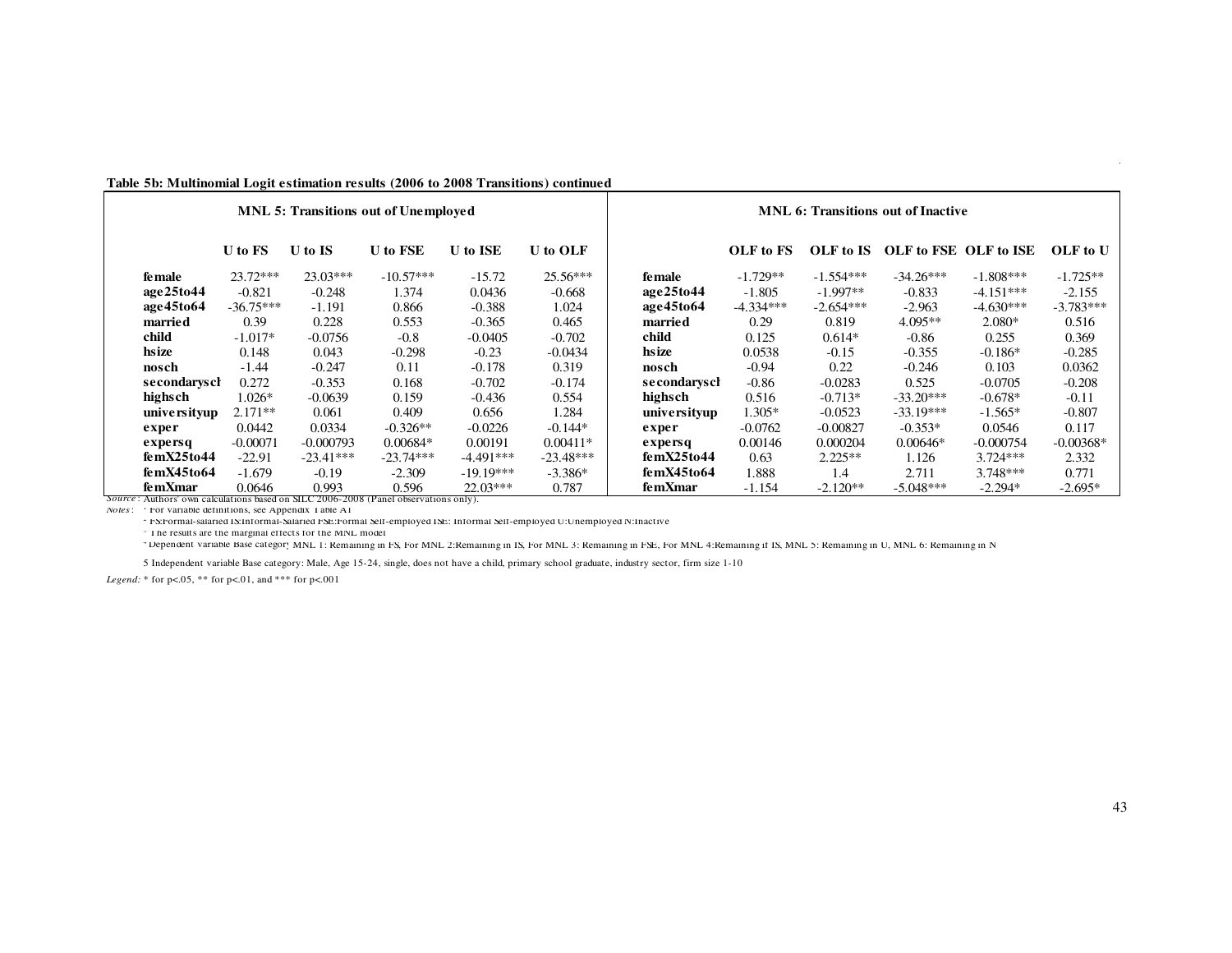|                                                                                                |                |                | <b>MNL 5: Transitions out of Unemployed</b> |                 |             | <b>MNL 6: Transitions out of Inactive</b> |             |             |                       |             |             |
|------------------------------------------------------------------------------------------------|----------------|----------------|---------------------------------------------|-----------------|-------------|-------------------------------------------|-------------|-------------|-----------------------|-------------|-------------|
|                                                                                                | <b>U</b> to FS | <b>U</b> to IS | <b>U</b> to FSE                             | <b>U</b> to ISE | U to OLF    |                                           | OLF to FS   | OLF to IS   | OLF to FSE OLF to ISE |             | OLF to U    |
| fe male                                                                                        | $23.72***$     | $23.03***$     | $-10.57***$                                 | $-15.72$        | $25.56***$  | fe male                                   | $-1.729**$  | $-1.554***$ | $-34.26***$           | $-1.808***$ | $-1.725**$  |
| age25to44                                                                                      | $-0.821$       | $-0.248$       | 1.374                                       | 0.0436          | $-0.668$    | age25to44                                 | $-1.805$    | $-1.997**$  | $-0.833$              | $-4.151***$ | $-2.155$    |
| age45to64                                                                                      | $-36.75***$    | $-1.191$       | 0.866                                       | $-0.388$        | 1.024       | age45to64                                 | $-4.334***$ | $-2.654***$ | $-2.963$              | $-4.630***$ | $-3.783***$ |
| married                                                                                        | 0.39           | 0.228          | 0.553                                       | $-0.365$        | 0.465       | married                                   | 0.29        | 0.819       | $4.095**$             | $2.080*$    | 0.516       |
| child                                                                                          | $-1.017*$      | $-0.0756$      | $-0.8$                                      | $-0.0405$       | $-0.702$    | child                                     | 0.125       | $0.614*$    | $-0.86$               | 0.255       | 0.369       |
| hsize                                                                                          | 0.148          | 0.043          | $-0.298$                                    | $-0.23$         | $-0.0434$   | hsize                                     | 0.0538      | $-0.15$     | $-0.355$              | $-0.186*$   | $-0.285$    |
| nosch                                                                                          | $-1.44$        | $-0.247$       | 0.11                                        | $-0.178$        | 0.319       | nosch                                     | $-0.94$     | 0.22        | $-0.246$              | 0.103       | 0.0362      |
| secondarysch                                                                                   | 0.272          | $-0.353$       | 0.168                                       | $-0.702$        | $-0.174$    | secondarysch                              | $-0.86$     | $-0.0283$   | 0.525                 | $-0.0705$   | $-0.208$    |
| highsch                                                                                        | $1.026*$       | $-0.0639$      | 0.159                                       | $-0.436$        | 0.554       | highsch                                   | 0.516       | $-0.713*$   | $-33.20***$           | $-0.678*$   | $-0.11$     |
| unive rsityup                                                                                  | $2.171**$      | 0.061          | 0.409                                       | 0.656           | 1.284       | universityup                              | $1.305*$    | $-0.0523$   | $-33.19***$           | $-1.565*$   | $-0.807$    |
| exper                                                                                          | 0.0442         | 0.0334         | $-0.326**$                                  | $-0.0226$       | $-0.144*$   | exper                                     | $-0.0762$   | $-0.00827$  | $-0.353*$             | 0.0546      | 0.117       |
| expersq                                                                                        | $-0.00071$     | $-0.000793$    | $0.00684*$                                  | 0.00191         | $0.00411*$  | expersq                                   | 0.00146     | 0.000204    | $0.00646*$            | $-0.000754$ | $-0.00368*$ |
| femX25to44                                                                                     | $-22.91$       | $-23.41***$    | $-23.74***$                                 | $-4.491***$     | $-23.48***$ | femX25to44                                | 0.63        | $2.225**$   | 1.126                 | $3.724***$  | 2.332       |
| femX45to64                                                                                     | $-1.679$       | $-0.19$        | $-2.309$                                    | $-19.19***$     | $-3.386*$   | femX45to64                                | 1.888       | 1.4         | 2.711                 | $3.748***$  | 0.771       |
| femXmar<br>Source: Authors' own calculations based on SH C 2006-2008 (Panel observations only) | 0.0646         | 0.993          | 0.596                                       | $22.03***$      | 0.787       | femXmar                                   | $-1.154$    | $-2.120**$  | $-5.048***$           | $-2.294*$   | $-2.695*$   |

#### **Table 5b: Multinomial Logit estimation results (2006 to 2008 Transitions) continued**

2006-2008 (Panel observations only). *Notes*: <sup>1</sup> For variable definitions, see Appendix Table A1

<sup>2</sup> FS:Formal-salaried IS:Informal-Salaried FSE:Formal Self-employed ISE: Informal Self-employed U:Unemployed N:Inactive

<sup>3</sup> The results are the marginal effects for the MNL model

<sup>4</sup> Dependent variable Base categor<sub>x</sub> MNL 1: Remaining in FS, For MNL 2:Remaining in IS, For MNL 3: Remaining in FSE, For MNL 4:Remaining if IS, MNL 5: Remaining in U, MNL 6: Remaining in N

5 Independent variable Base category: Male, Age 15-24, single, does not have a child, primary school graduate, industry sector, firm size 1-10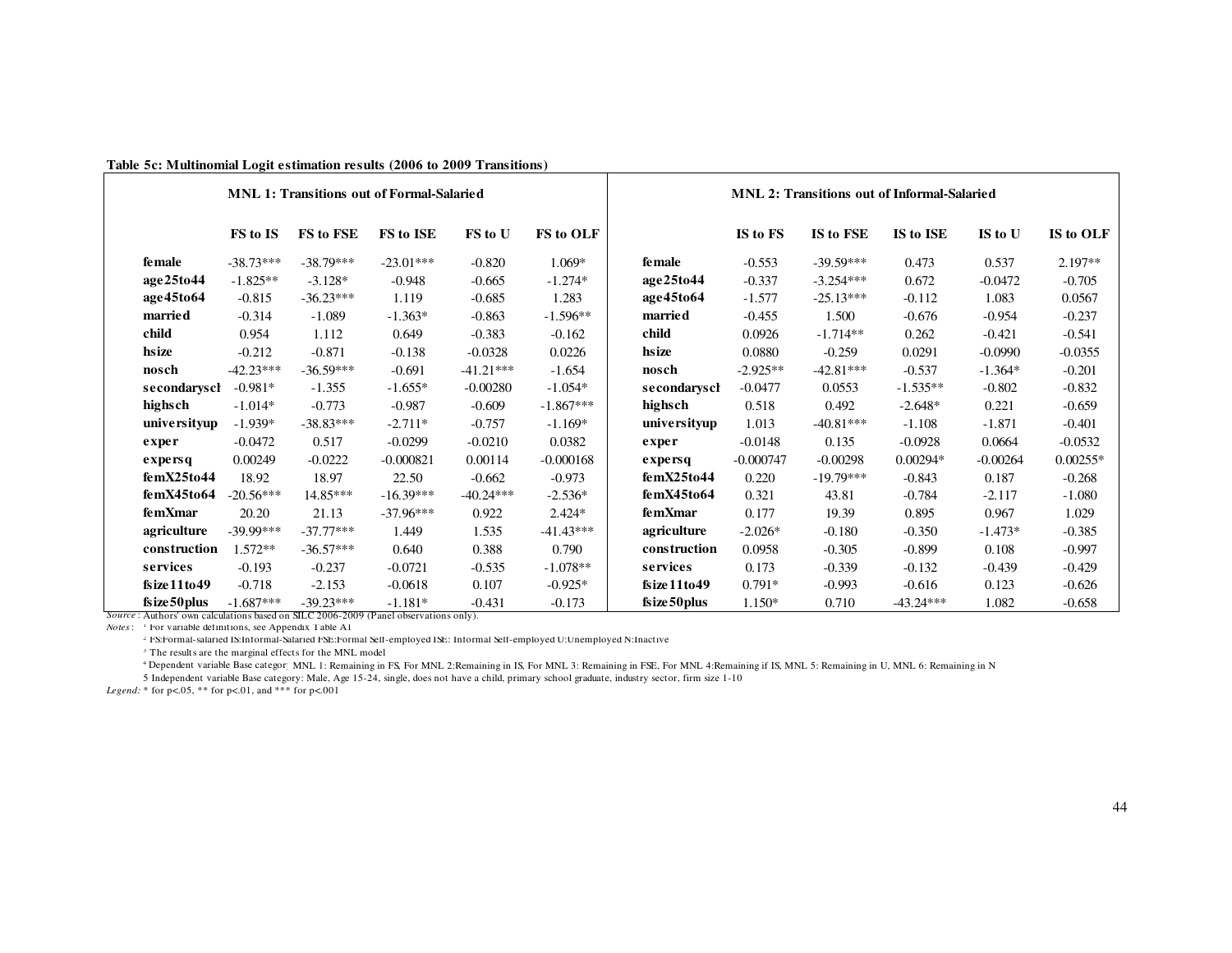| <b>MNL 2: Transitions out of Informal-Salaried</b>   | <b>MNL 1: Transitions out of Formal-Salaried</b> |                |                  |             |             |             |             |                                                                                              |
|------------------------------------------------------|--------------------------------------------------|----------------|------------------|-------------|-------------|-------------|-------------|----------------------------------------------------------------------------------------------|
| IS to FSE<br>IS to ISE<br>IS to OLF<br>IS to U       | IS to FS                                         |                | <b>FS</b> to OLF | FS to U     | FS to ISE   | FS to FSE   | FS to IS    |                                                                                              |
| $-39.59***$<br>$2.197**$<br>0.473<br>0.537           | $-0.553$                                         | female         | $1.069*$         | $-0.820$    | $-23.01***$ | $-38.79***$ | $-38.73***$ | <b>female</b>                                                                                |
| 0.672<br>$-0.705$<br>$-3.254***$<br>$-0.0472$        | $-0.337$                                         | age25to44      | $-1.274*$        | $-0.665$    | $-0.948$    | $-3.128*$   | $-1.825**$  | age25to44                                                                                    |
| $-25.13***$<br>$-0.112$<br>1.083<br>0.0567           | $-1.577$                                         | age45to64      | 1.283            | $-0.685$    | 1.119       | $-36.23***$ | $-0.815$    | age45to64                                                                                    |
| $-0.237$<br>1.500<br>$-0.676$<br>$-0.954$            | $-0.455$                                         | <b>married</b> | $-1.596**$       | $-0.863$    | $-1.363*$   | $-1.089$    | $-0.314$    | married                                                                                      |
| $-1.714**$<br>0.262<br>$-0.421$<br>$-0.541$          | 0.0926                                           | child          | $-0.162$         | $-0.383$    | 0.649       | 1.112       | 0.954       | child                                                                                        |
| $-0.259$<br>0.0291<br>$-0.0990$<br>$-0.0355$         | 0.0880                                           | hsize          | 0.0226           | $-0.0328$   | $-0.138$    | $-0.871$    | $-0.212$    | hsize                                                                                        |
| $-42.81***$<br>$-0.537$<br>$-1.364*$<br>$-0.201$     | $-2.925**$                                       | nosch          | $-1.654$         | $-41.21***$ | $-0.691$    | $-36.59***$ | $-42.23***$ | nosch                                                                                        |
| $-0.832$<br>0.0553<br>$-1.535**$<br>$-0.802$         | $-0.0477$                                        | secondaryscl   | $-1.054*$        | $-0.00280$  | $-1.655*$   | $-1.355$    | $-0.981*$   | secondarysch                                                                                 |
| 0.492<br>$-2.648*$<br>0.221<br>$-0.659$              | 0.518                                            | highsch        | $-1.867***$      | $-0.609$    | $-0.987$    | $-0.773$    | $-1.014*$   | highsch                                                                                      |
| $-40.81***$<br>$-1.108$<br>$-1.871$<br>$-0.401$      | 1.013                                            | universityup   | $-1.169*$        | $-0.757$    | $-2.711*$   | $-38.83***$ | $-1.939*$   | universityup                                                                                 |
| $-0.0928$<br>0.135<br>0.0664<br>$-0.0532$            | $-0.0148$                                        | exper          | 0.0382           | $-0.0210$   | $-0.0299$   | 0.517       | $-0.0472$   | exper                                                                                        |
| $-0.00298$<br>$0.00294*$<br>$-0.00264$<br>$0.00255*$ | $-0.000747$                                      | expersq        | $-0.000168$      | 0.00114     | $-0.000821$ | $-0.0222$   | 0.00249     | expersq                                                                                      |
| $-19.79***$<br>$-0.268$<br>$-0.843$<br>0.187         | 0.220                                            | femX25to44     | $-0.973$         | $-0.662$    | 22.50       | 18.97       | 18.92       | femX25to44                                                                                   |
| $-0.784$<br>$-2.117$<br>$-1.080$<br>43.81            | 0.321                                            | femX45to64     | $-2.536*$        | $-40.24***$ | $-16.39***$ | 14.85***    | $-20.56***$ | femX45to64                                                                                   |
| 0.967<br>1.029<br>19.39<br>0.895                     | 0.177                                            | femXmar        | $2.424*$         | 0.922       | $-37.96***$ | 21.13       | 20.20       | femXmar                                                                                      |
| $-0.350$<br>$-1.473*$<br>$-0.385$<br>$-0.180$        | $-2.026*$                                        | agriculture    | $-41.43***$      | 1.535       | 1.449       | $-37.77***$ | $-39.99***$ | agriculture                                                                                  |
| $-0.997$<br>$-0.305$<br>$-0.899$<br>0.108            | 0.0958                                           | construction   | 0.790            | 0.388       | 0.640       | $-36.57***$ | $1.572**$   | construction                                                                                 |
| $-0.339$<br>$-0.132$<br>$-0.439$<br>$-0.429$         | 0.173                                            | services       | $-1.078**$       | $-0.535$    | $-0.0721$   | $-0.237$    | $-0.193$    | services                                                                                     |
| $-0.993$<br>$-0.616$<br>0.123<br>$-0.626$            | $0.791*$                                         | fsize11to49    | $-0.925*$        | 0.107       | $-0.0618$   | $-2.153$    | $-0.718$    | fsize11to49                                                                                  |
| 0.710<br>$-43.24***$<br>1.082<br>$-0.658$            | $1.150*$                                         | fsize 50 plus  | $-0.173$         | $-0.431$    | $-1.181*$   | $-39.23***$ | $-1.687***$ | fsize 50 plus                                                                                |
|                                                      |                                                  |                |                  |             |             |             |             | <i>Source</i> : Authors' own calculations based on SILC 2006-2009 (Panel observations only). |

|  |  | Table 5c: Multinomial Logit estimation results (2006 to 2009 Transitions) |  |  |  |  |  |  |  |  |  |  |  |
|--|--|---------------------------------------------------------------------------|--|--|--|--|--|--|--|--|--|--|--|
|--|--|---------------------------------------------------------------------------|--|--|--|--|--|--|--|--|--|--|--|

*Notes*: <sup>1</sup> For variable definitions, see Appendix Table A1

2 FS:Formal-salaried IS:Informal-Salaried FSE:Formal Self-employed ISE: Informal Self-employed U:Unemployed N:Inactive

 $^{\rm 3}$  The results are the marginal effects for the MNL model

<sup>4</sup> Dependent variable Base categor; MNL 1: Remaining in FS, For MNL 2: Remaining in IS, For MNL 4: Remaining in IS, For MNL 4: Remaining if IS, MNL 5: Remaining in U, MNL 6: Remaining in N

5 Independent variable Base category: Male, Age 15-24, single, does not have a child, primary school graduate, industry sector, firm size 1-10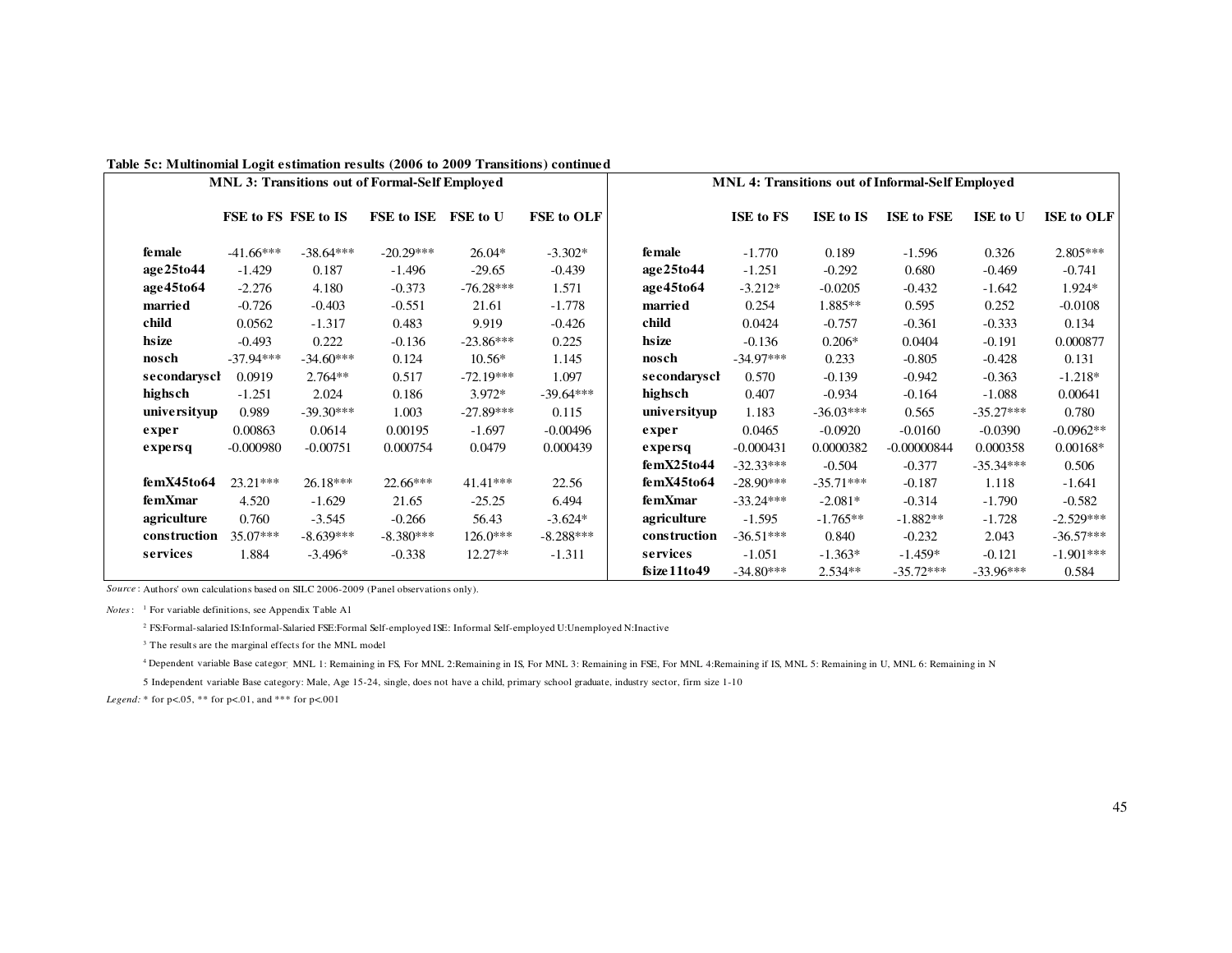|               |                     |             | <b>MNL 3: Transitions out of Formal-Self Employed</b> |             |             | <b>MNL 4: Transitions out of Informal-Self Employed</b> |             |             |                   |             |             |
|---------------|---------------------|-------------|-------------------------------------------------------|-------------|-------------|---------------------------------------------------------|-------------|-------------|-------------------|-------------|-------------|
|               | FSE to FS FSE to IS |             | FSE to ISE                                            | FSE to U    | FSE to OLF  |                                                         | ISE to FS   | ISE to IS   | <b>ISE to FSE</b> | ISE to U    | ISE to OLF  |
| <b>female</b> | $-41.66***$         | $-38.64***$ | $-20.29***$                                           | 26.04*      | $-3.302*$   | <b>female</b>                                           | $-1.770$    | 0.189       | $-1.596$          | 0.326       | 2.805***    |
| age25to44     | $-1.429$            | 0.187       | $-1.496$                                              | $-29.65$    | $-0.439$    | age25to44                                               | $-1.251$    | $-0.292$    | 0.680             | $-0.469$    | $-0.741$    |
| age45to64     | $-2.276$            | 4.180       | $-0.373$                                              | $-76.28***$ | 1.571       | age45to64                                               | $-3.212*$   | $-0.0205$   | $-0.432$          | $-1.642$    | 1.924*      |
| married       | $-0.726$            | $-0.403$    | $-0.551$                                              | 21.61       | $-1.778$    | married                                                 | 0.254       | 1.885**     | 0.595             | 0.252       | $-0.0108$   |
| child         | 0.0562              | $-1.317$    | 0.483                                                 | 9.919       | $-0.426$    | child                                                   | 0.0424      | $-0.757$    | $-0.361$          | $-0.333$    | 0.134       |
| hsize         | $-0.493$            | 0.222       | $-0.136$                                              | $-23.86***$ | 0.225       | hsize                                                   | $-0.136$    | $0.206*$    | 0.0404            | $-0.191$    | 0.000877    |
| nosch         | $-37.94***$         | $-34.60***$ | 0.124                                                 | $10.56*$    | 1.145       | nosch                                                   | $-34.97***$ | 0.233       | $-0.805$          | $-0.428$    | 0.131       |
| secondaryscl  | 0.0919              | $2.764**$   | 0.517                                                 | $-72.19***$ | 1.097       | secondarysch                                            | 0.570       | $-0.139$    | $-0.942$          | $-0.363$    | $-1.218*$   |
| highsch       | $-1.251$            | 2.024       | 0.186                                                 | 3.972*      | $-39.64***$ | highsch                                                 | 0.407       | $-0.934$    | $-0.164$          | $-1.088$    | 0.00641     |
| universityup  | 0.989               | $-39.30***$ | 1.003                                                 | $-27.89***$ | 0.115       | universityup                                            | 1.183       | $-36.03***$ | 0.565             | $-35.27***$ | 0.780       |
| exper         | 0.00863             | 0.0614      | 0.00195                                               | $-1.697$    | $-0.00496$  | exper                                                   | 0.0465      | $-0.0920$   | $-0.0160$         | $-0.0390$   | $-0.0962**$ |
| expersq       | $-0.000980$         | $-0.00751$  | 0.000754                                              | 0.0479      | 0.000439    | expersq                                                 | $-0.000431$ | 0.0000382   | $-0.00000844$     | 0.000358    | $0.00168*$  |
|               |                     |             |                                                       |             |             | femX25to44                                              | $-32.33***$ | $-0.504$    | $-0.377$          | $-35.34***$ | 0.506       |
| femX45to64    | $23.21***$          | $26.18***$  | $22.66***$                                            | $41.41***$  | 22.56       | femX45to64                                              | $-28.90***$ | $-35.71***$ | $-0.187$          | 1.118       | $-1.641$    |
| femXmar       | 4.520               | $-1.629$    | 21.65                                                 | $-25.25$    | 6.494       | femXmar                                                 | $-33.24***$ | $-2.081*$   | $-0.314$          | $-1.790$    | $-0.582$    |
| agriculture   | 0.760               | $-3.545$    | $-0.266$                                              | 56.43       | $-3.624*$   | agriculture                                             | $-1.595$    | $-1.765**$  | $-1.882**$        | $-1.728$    | $-2.529***$ |
| construction  | 35.07***            | $-8.639***$ | $-8.380***$                                           | $126.0***$  | $-8.288***$ | construction                                            | $-36.51***$ | 0.840       | $-0.232$          | 2.043       | $-36.57***$ |
| services      | 1.884               | $-3.496*$   | $-0.338$                                              | $12.27**$   | $-1.311$    | services                                                | $-1.051$    | $-1.363*$   | $-1.459*$         | $-0.121$    | $-1.901***$ |
|               |                     |             |                                                       |             |             | fsize11to49                                             | $-34.80***$ | 2.534**     | $-35.72***$       | $-33.96***$ | 0.584       |

**Table 5c: Multinomial Logit estimation results (2006 to 2009 Transitions) continued**

*Source* : Authors' own calculations based on SILC 2006-2009 (Panel observations only).

*Notes*: <sup>1</sup> For variable definitions, see Appendix Table A1

<sup>2</sup> FS:Formal-salaried IS:Informal-Salaried FSE:Formal Self-employed ISE: Informal Self-employed U:Unemployed N:Inactive

<sup>3</sup> The results are the marginal effects for the MNL model

<sup>4</sup> Dependent variable Base categor; MNL 1: Remaining in FS, For MNL 2:Remaining in IS, For MNL 3:Remaining in IS, For MNL 4:Remaining if IS, MNL 5: Remaining in U, MNL 6: Remaining in N

5 Independent variable Base category: Male, Age 15-24, single, does not have a child, primary school graduate, industry sector, firm size 1-10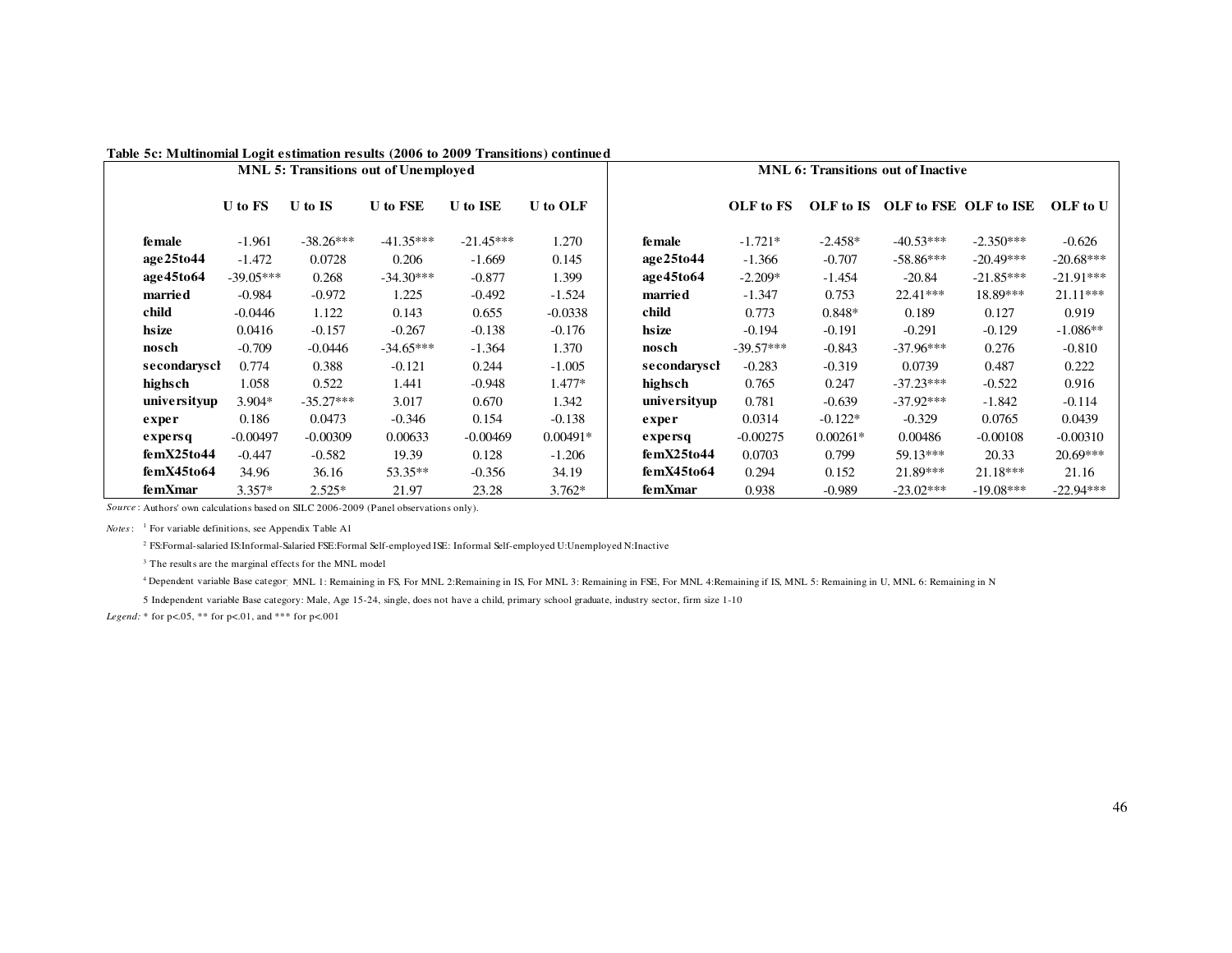|              |             |             | <b>MNL 5: Transitions out of Unemployed</b> |                 |                 | <b>MNL 6: Transitions out of Inactive</b> |             |            |             |                       |             |
|--------------|-------------|-------------|---------------------------------------------|-----------------|-----------------|-------------------------------------------|-------------|------------|-------------|-----------------------|-------------|
|              | U to FS     | U to IS     | <b>U</b> to FSE                             | <b>U</b> to ISE | <b>U</b> to OLF |                                           | OLF to FS   | OLF to IS  |             | OLF to FSE OLF to ISE | OLF to U    |
| female       | $-1.961$    | $-38.26***$ | $-41.35***$                                 | $-21.45***$     | 1.270           | fe male                                   | $-1.721*$   | $-2.458*$  | $-40.53***$ | $-2.350***$           | $-0.626$    |
| age25to44    | $-1.472$    | 0.0728      | 0.206                                       | $-1.669$        | 0.145           | age25to44                                 | $-1.366$    | $-0.707$   | $-58.86***$ | $-20.49***$           | $-20.68***$ |
| age45to64    | $-39.05***$ | 0.268       | $-34.30***$                                 | $-0.877$        | 1.399           | age45to64                                 | $-2.209*$   | $-1.454$   | $-20.84$    | $-21.85***$           | $-21.91***$ |
| married      | $-0.984$    | $-0.972$    | 1.225                                       | $-0.492$        | $-1.524$        | married                                   | $-1.347$    | 0.753      | $22.41***$  | 18.89***              | $21.11***$  |
| child        | $-0.0446$   | 1.122       | 0.143                                       | 0.655           | $-0.0338$       | child                                     | 0.773       | $0.848*$   | 0.189       | 0.127                 | 0.919       |
| hsize        | 0.0416      | $-0.157$    | $-0.267$                                    | $-0.138$        | $-0.176$        | hsize                                     | $-0.194$    | $-0.191$   | $-0.291$    | $-0.129$              | $-1.086**$  |
| nosch        | $-0.709$    | $-0.0446$   | $-34.65***$                                 | $-1.364$        | 1.370           | nosch                                     | $-39.57***$ | $-0.843$   | $-37.96***$ | 0.276                 | $-0.810$    |
| secondaryscl | 0.774       | 0.388       | $-0.121$                                    | 0.244           | $-1.005$        | secondaryscl                              | $-0.283$    | $-0.319$   | 0.0739      | 0.487                 | 0.222       |
| highsch      | 1.058       | 0.522       | 1.441                                       | $-0.948$        | $1.477*$        | highsch                                   | 0.765       | 0.247      | $-37.23***$ | $-0.522$              | 0.916       |
| universityup | $3.904*$    | $-35.27***$ | 3.017                                       | 0.670           | 1.342           | universityup                              | 0.781       | $-0.639$   | $-37.92***$ | $-1.842$              | $-0.114$    |
| exper        | 0.186       | 0.0473      | $-0.346$                                    | 0.154           | $-0.138$        | exper                                     | 0.0314      | $-0.122*$  | $-0.329$    | 0.0765                | 0.0439      |
| expersq      | $-0.00497$  | $-0.00309$  | 0.00633                                     | $-0.00469$      | $0.00491*$      | $\boldsymbol{\mathrm{exper}}$             | $-0.00275$  | $0.00261*$ | 0.00486     | $-0.00108$            | $-0.00310$  |
| femX25to44   | $-0.447$    | $-0.582$    | 19.39                                       | 0.128           | $-1.206$        | femX25to44                                | 0.0703      | 0.799      | 59.13***    | 20.33                 | $20.69***$  |
| femX45to64   | 34.96       | 36.16       | 53.35**                                     | $-0.356$        | 34.19           | femX45to64                                | 0.294       | 0.152      | $21.89***$  | $21.18***$            | 21.16       |
| femXmar      | $3.357*$    | $2.525*$    | 21.97                                       | 23.28           | $3.762*$        | femXmar                                   | 0.938       | $-0.989$   | $-23.02***$ | $-19.08***$           | $-22.94***$ |

#### **Table 5c: Multinomial Logit estimation results (2006 to 2009 Transitions) continued**

*Source* : Authors' own calculations based on SILC 2006-2009 (Panel observations only).

*Notes*: <sup>1</sup> For variable definitions, see Appendix Table A1

<sup>2</sup> FS:Formal-salaried IS:Informal-Salaried FSE:Formal Self-employed ISE: Informal Self-employed U:Unemployed N:Inactive

<sup>3</sup> The results are the marginal effects for the MNL model

<sup>4</sup> Dependent variable Base category: MNL 1: Remaining in FS, For MNL 2:Remaining in IS, For MNL 4:Remaining in IS, MNL 5: Remaining in U, MNL 6: Remaining in U, MNL 6: Remaining in N

5 Independent variable Base category: Male, Age 15-24, single, does not have a child, primary school graduate, industry sector, firm size 1-10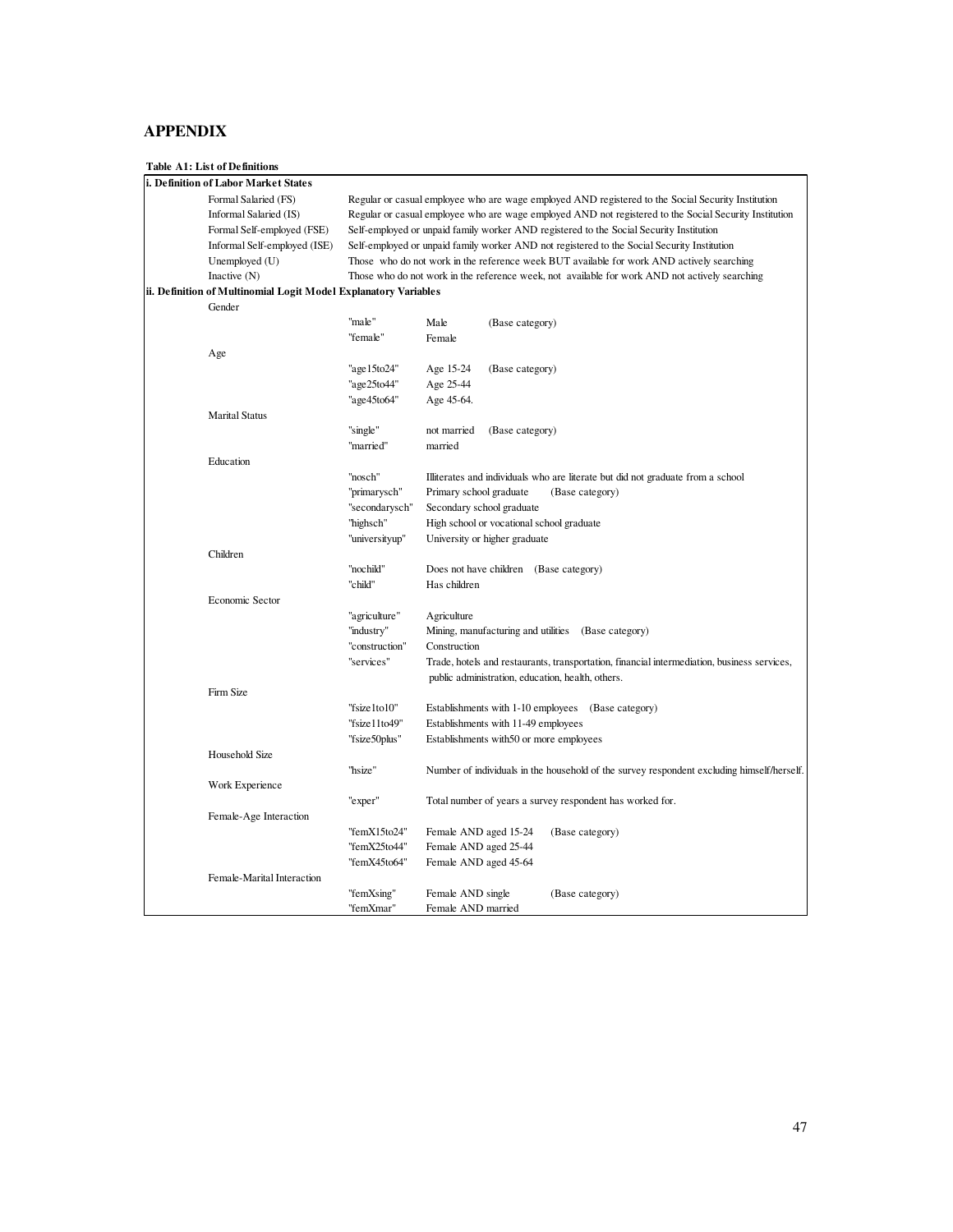# **APPENDIX**

# **Table A1: List of Definitions**

| i. Definition of Labor Market States                            |                |                         |                                     |                                                                                                        |
|-----------------------------------------------------------------|----------------|-------------------------|-------------------------------------|--------------------------------------------------------------------------------------------------------|
| Formal Salaried (FS)                                            |                |                         |                                     | Regular or casual employee who are wage employed AND registered to the Social Security Institution     |
| Informal Salaried (IS)                                          |                |                         |                                     | Regular or casual employee who are wage employed AND not registered to the Social Security Institution |
| Formal Self-employed (FSE)                                      |                |                         |                                     | Self-employed or unpaid family worker AND registered to the Social Security Institution                |
| Informal Self-employed (ISE)                                    |                |                         |                                     | Self-employed or unpaid family worker AND not registered to the Social Security Institution            |
| Unemployed (U)                                                  |                |                         |                                     | Those who do not work in the reference week BUT available for work AND actively searching              |
| Inactive $(N)$                                                  |                |                         |                                     | Those who do not work in the reference week, not available for work AND not actively searching         |
| ii. Definition of Multinomial Logit Model Explanatory Variables |                |                         |                                     |                                                                                                        |
| Gender                                                          |                |                         |                                     |                                                                                                        |
|                                                                 | "male"         | Male                    | (Base category)                     |                                                                                                        |
|                                                                 | "female"       | Female                  |                                     |                                                                                                        |
| Age                                                             |                |                         |                                     |                                                                                                        |
|                                                                 |                |                         |                                     |                                                                                                        |
|                                                                 | "age15to24"    | Age 15-24               | (Base category)                     |                                                                                                        |
|                                                                 | "age25to44"    | Age 25-44               |                                     |                                                                                                        |
|                                                                 | "age45to64"    | Age 45-64.              |                                     |                                                                                                        |
| <b>Marital Status</b>                                           |                |                         |                                     |                                                                                                        |
|                                                                 | "single"       | not married             | (Base category)                     |                                                                                                        |
|                                                                 | "married"      | married                 |                                     |                                                                                                        |
| Education                                                       |                |                         |                                     |                                                                                                        |
|                                                                 | "nosch"        |                         |                                     | Illiterates and individuals who are literate but did not graduate from a school                        |
|                                                                 | "primarysch"   | Primary school graduate |                                     | (Base category)                                                                                        |
|                                                                 | "secondarysch" |                         | Secondary school graduate           |                                                                                                        |
|                                                                 | "highsch"      |                         |                                     | High school or vocational school graduate                                                              |
|                                                                 | "universityup" |                         | University or higher graduate       |                                                                                                        |
| Children                                                        |                |                         |                                     |                                                                                                        |
|                                                                 | "nochild"      |                         |                                     | Does not have children (Base category)                                                                 |
|                                                                 | "child"        | Has children            |                                     |                                                                                                        |
| Economic Sector                                                 |                |                         |                                     |                                                                                                        |
|                                                                 | "agriculture"  | Agriculture             |                                     |                                                                                                        |
|                                                                 | "industry"     |                         |                                     | Mining, manufacturing and utilities (Base category)                                                    |
|                                                                 | "construction" | Construction            |                                     |                                                                                                        |
|                                                                 | "services"     |                         |                                     | Trade, hotels and restaurants, transportation, financial intermediation, business services,            |
|                                                                 |                |                         |                                     | public administration, education, health, others.                                                      |
| Firm Size                                                       |                |                         |                                     |                                                                                                        |
|                                                                 | "fsize1to10"   |                         | Establishments with 1-10 employees  | (Base category)                                                                                        |
|                                                                 | "fsize11to49"  |                         | Establishments with 11-49 employees |                                                                                                        |
|                                                                 | "fsize50plus"  |                         |                                     | Establishments with 50 or more employees                                                               |
| Household Size                                                  |                |                         |                                     |                                                                                                        |
|                                                                 | "hsize"        |                         |                                     | Number of individuals in the household of the survey respondent excluding himself/herself.             |
|                                                                 |                |                         |                                     |                                                                                                        |
| Work Experience                                                 |                |                         |                                     |                                                                                                        |
|                                                                 | "exper"        |                         |                                     | Total number of years a survey respondent has worked for.                                              |
| Female-Age Interaction                                          |                |                         |                                     |                                                                                                        |
|                                                                 | "femX15to24"   | Female AND aged 15-24   |                                     | (Base category)                                                                                        |
|                                                                 | "femX25to44"   | Female AND aged 25-44   |                                     |                                                                                                        |
|                                                                 | "femX45to64"   | Female AND aged 45-64   |                                     |                                                                                                        |
| Female-Marital Interaction                                      |                |                         |                                     |                                                                                                        |
|                                                                 | "femXsing"     | Female AND single       |                                     | (Base category)                                                                                        |
|                                                                 | "femXmar"      | Female AND married      |                                     |                                                                                                        |